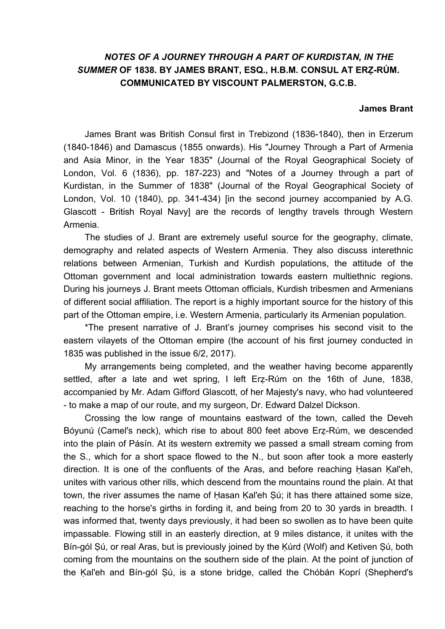## *NOTES OF A JOURNEY THROUGH A PART OF KURDISTAN, IN THE SUMMER* **OF 1838. BY JAMES BRANT, ESQ., H.B.M. CONSUL AT ERẒRÚM. COMMUNICATED BY VISCOUNT PALMERSTON, G.C.B.**

## **James Brant**

James Brant was British Consul first in Trebizond (1836-1840), then in Erzerum (1840-1846) and Damascus (1855 onwards). His "Journey Through a Part of Armenia and Asia Minor, in the Year 1835" (Journal of the Royal Geographical Society of London, Vol. 6 (1836), pp. 187-223) and "Notes of a Journey through a part of Kurdistan, in the Summer of 1838" (Journal of the Royal Geographical Society of London, Vol. 10 (1840), pp. 341-434) [in the second journey accompanied by A.G. Glascott - British Royal Navy] are the records of lengthy travels through Western Armenia.

The studies of J. Brant are extremely useful source for the geography, climate, demography and related aspects of Western Armenia. They also discuss interethnic relations between Armenian, Turkish and Kurdish populations, the attitude of the Ottoman government and local administration towards eastern multiethnic regions. During his journeys J. Brant meets Ottoman officials, Kurdish tribesmen and Armenians of different social affiliation. The report is a highly important source for the history of this part of the Ottoman empire, i.e. Western Armenia, particularly its Armenian population.

\*The present narrative of J. Brant's journey comprises his second visit to the eastern vilayets of the Ottoman empire (the account of his first journey conducted in 1835 was published in the issue 6/2, 2017).

My arrangements being completed, and the weather having become apparently settled, after a late and wet spring, I left Erẓ-Rúm on the 16th of June, 1838, accompanied by Mr. Adam Gifford Glascott, of her Majesty's navy, who had volunteered - to make a map of our route, and my surgeon, Dr. Edward Dalzel Dickson.

Crossing the low range of mountains eastward of the town, called the Deveh Bóyunú (Camel's neck), which rise to about 800 feet above Erẓ-Rúm, we descended into the plain of Pásín. At its western extremity we passed a small stream coming from the S., which for a short space flowed to the N., but soon after took a more easterly direction. It is one of the confluents of the Aras, and before reaching Hasan Kal'eh, unites with various other rills, which descend from the mountains round the plain. At that town, the river assumes the name of Hasan Kal'eh Sú; it has there attained some size, reaching to the horse's girths in fording it, and being from 20 to 30 yards in breadth. I was informed that, twenty days previously, it had been so swollen as to have been quite impassable. Flowing still in an easterly direction, at 9 miles distance, it unites with the Bín-gól Sú, or real Aras, but is previously joined by the Kúrd (Wolf) and Ketiven Sú, both coming from the mountains on the southern side of the plain. At the point of junction of the Ḳal'eh and Bín-gól Ṣú, is a stone bridge, called the Chóbán Koprí (Shepherd's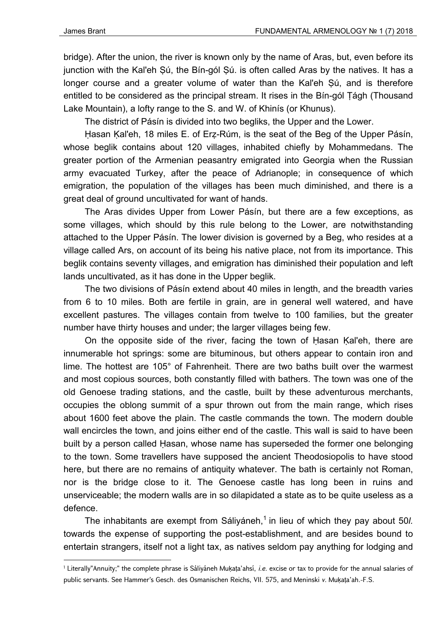1

bridge). After the union, the river is known only by the name of Aras, but, even before its junction with the Kal'eh Ṣú, the Bín-gól Ṣú. is often called Aras by the natives. It has a longer course and a greater volume of water than the Kal'eh Ṣú, and is therefore entitled to be considered as the principal stream. It rises in the Bín-gól Ṭágh (Thousand Lake Mountain), a lofty range to the S. and W. of Khinís (or Khunus).

The district of Pásín is divided into two begliks, the Upper and the Lower.

Hasan Kal'eh, 18 miles E. of Erz-Rúm, is the seat of the Beg of the Upper Pásín, whose beglik contains about 120 villages, inhabited chiefly by Mohammedans. The greater portion of the Armenian peasantry emigrated into Georgia when the Russian army evacuated Turkey, after the peace of Adrianople; in consequence of which emigration, the population of the villages has been much diminished, and there is a great deal of ground uncultivated for want of hands.

The Aras divides Upper from Lower Pásín, but there are a few exceptions, as some villages, which should by this rule belong to the Lower, are notwithstanding attached to the Upper Pásín. The lower division is governed by a Beg, who resides at a village called Ars, on account of its being his native place, not from its importance. This beglik contains seventy villages, and emigration has diminished their population and left lands uncultivated, as it has done in the Upper beglik.

The two divisions of Pásín extend about 40 miles in length, and the breadth varies from 6 to 10 miles. Both are fertile in grain, are in general well watered, and have excellent pastures. The villages contain from twelve to 100 families, but the greater number have thirty houses and under; the larger villages being few.

On the opposite side of the river, facing the town of Ḥasan Ḳal'eh, there are innumerable hot springs: some are bituminous, but others appear to contain iron and lime. The hottest are 105° of Fahrenheit. There are two baths built over the warmest and most copious sources, both constantly filled with bathers. The town was one of the old Genoese trading stations, and the castle, built by these adventurous merchants, occupies the oblong summit of a spur thrown out from the main range, which rises about 1600 feet above the plain. The castle commands the town. The modern double wall encircles the town, and joins either end of the castle. This wall is said to have been built by a person called Ḥasan, whose name has superseded the former one belonging to the town. Some travellers have supposed the ancient Theodosiopolis to have stood here, but there are no remains of antiquity whatever. The bath is certainly not Roman, nor is the bridge close to it. The Genoese castle has long been in ruins and unserviceable; the modern walls are in so dilapidated a state as to be quite useless as a defence.

The inhabitants are exempt from Sáliyáneh,<sup>1</sup> in lieu of which they pay about 50*l.* towards the expense of supporting the post-establishment, and are besides bound to entertain strangers, itself not a light tax, as natives seldom pay anything for lodging and

<sup>1</sup> Literally"Annuity;" the complete phrase is Sáliyáneh Muḳaṭa'ahsí, *i.e.* excise or tax to provide for the annual salaries of public servants. See Hammer's Gesch. des Osmanischen Reichs, VII. 575, and Meninski *v.* Muḳaṭa'ah.-F.S.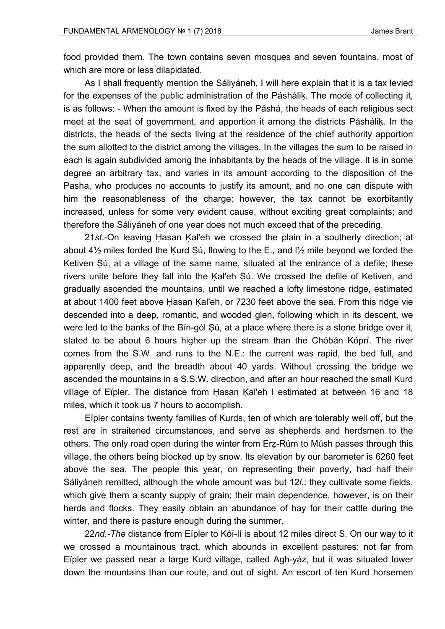food provided them. The town contains seven mosques and seven fountains, most of which are more or less dilapidated.

As I shall frequently mention the Sáliyáneh, I will here explain that it is a tax levied for the expenses of the public administration of the Páshálik. The mode of collecting it, is as follows: - When the amount is fixed by the Páshá, the heads of each religious sect meet at the seat of government, and apportion it among the districts Páshálik. In the districts, the heads of the sects living at the residence of the chief authority apportion the sum allotted to the district among the villages. In the villages the sum to be raised in each is again subdivided among the inhabitants by the heads of the village. It is in some degree an arbitrary tax, and varies in its amount according to the disposition of the Pasha, who produces no accounts to justify its amount, and no one can dispute with him the reasonableness of the charge; however, the tax cannot be exorbitantly increased, unless for some very evident cause, without exciting great complaints; and therefore the Sáliyáneh of one year does not much exceed that of the preceding.

21*st*.-On leaving Ḥasan Ḳal'eh we crossed the plain in a southerly direction; at about  $4\frac{1}{2}$  miles forded the Kurd Sú, flowing to the E., and  $\frac{1}{2}$  mile beyond we forded the Ketiven Ṣú, at a village of the same name, situated at the entrance of a defile; these rivers unite before they fall into the Kal'eh Sú. We crossed the defile of Ketiven, and gradually ascended the mountains, until we reached a lofty limestone ridge, estimated at about 1400 feet above Ḥasan Ḳal'eh, or 7230 feet above the sea. From this ridge vie descended into a deep, romantic, and wooded glen, following which in its descent, we were led to the banks of the Bín-gól Ṣú, at a place where there is a stone bridge over it, stated to be about 6 hours higher up the stream than the Chóbán Kóprí. The river comes from the S.W. and runs to the N.E.: the current was rapid, the bed full, and apparently deep, and the breadth about 40 yards. Without crossing the bridge we ascended the mountains in a S.S.W. direction, and after an hour reached the small Kurd village of Eïpler. The distance from Ḥasan Ḳal'eh I estimated at between 16 and 18 miles, which it took us 7 hours to accomplish.

Eïpler contains twenty families of Kurds, ten of which are tolerably well off, but the rest are in straitened circumstances, and serve as shepherds and herdsmen to the others. The only road open during the winter from Erẓ-Rúm to Músh passes through this village, the others being blocked up by snow. Its elevation by our barometer is 6260 feet above the sea. The people this year, on representing their poverty, had half their Sáliyáneh remitted, although the whole amount was but 12*l.*: they cultivate some fields, which give them a scanty supply of grain; their main dependence, however, is on their herds and flocks. They easily obtain an abundance of hay for their cattle during the winter, and there is pasture enough during the summer.

22*nd.-The* distance from Eïpler to Kóï-lí is about 12 miles direct S. On our way to it we crossed a mountainous tract, which abounds in excellent pastures: not far from Eïpler we passed near a large Kurd village, called Agh-yáz, but it was situated lower down the mountains than our route, and out of sight. An escort of ten Kurd horsemen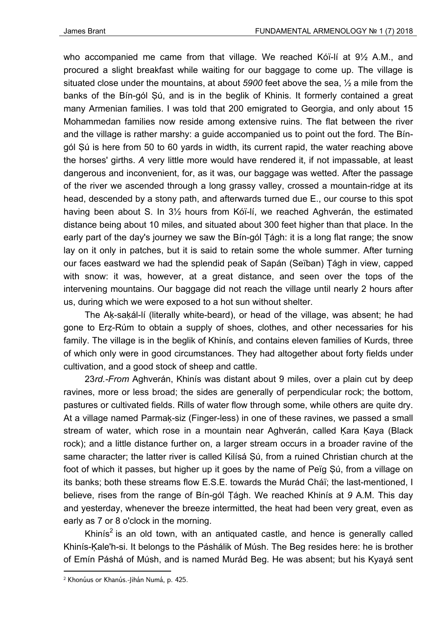who accompanied me came from that village. We reached Kóï-lí at 9½ A.M., and procured a slight breakfast while waiting for our baggage to come up. The village is situated close under the mountains, at about *5900* feet above the sea, ½ a mile from the banks of the Bín-gól Ṣú, and is in the beglik of Khinis. It formerly contained a great many Armenian families. I was told that 200 emigrated to Georgia, and only about 15 Mohammedan families now reside among extensive ruins. The flat between the river and the village is rather marshy: a guide accompanied us to point out the ford. The Bíngól Ṣú is here from 50 to 60 yards in width, its current rapid, the water reaching above the horses' girths. *A* very little more would have rendered it, if not impassable, at least dangerous and inconvenient, for, as it was, our baggage was wetted. After the passage of the river we ascended through a long grassy valley, crossed a mountain-ridge at its head, descended by a stony path, and afterwards turned due E., our course to this spot having been about S. In 3½ hours from Kóï-lí, we reached Aghverán, the estimated distance being about 10 miles, and situated about 300 feet higher than that place. In the early part of the day's journey we saw the Bín-gól Ṭágh: it is a long flat range; the snow lay on it only in patches, but it is said to retain some the whole summer. After turning our faces eastward we had the splendid peak of Sapán (Seïban) Ṭágh in view, capped with snow: it was, however, at a great distance, and seen over the tops of the intervening mountains. Our baggage did not reach the village until nearly 2 hours after us, during which we were exposed to a hot sun without shelter.

The Aḳ-saḳál-lí (literally white-beard), or head of the village, was absent; he had gone to Erẓ-Rúm to obtain a supply of shoes, clothes, and other necessaries for his family. The village is in the beglik of Khinís, and contains eleven families of Kurds, three of which only were in good circumstances. They had altogether about forty fields under cultivation, and a good stock of sheep and cattle.

23*rd.-From* Aghverán, Khinís was distant about 9 miles, over a plain cut by deep ravines, more or less broad; the sides are generally of perpendicular rock; the bottom, pastures or cultivated fields. Rills of water flow through some, while others are quite dry. At a village named Parmaḳ-siz (Finger-less) in one of these ravines, we passed a small stream of water, which rose in a mountain near Aghverán, called Kara Kaya (Black rock); and a little distance further on, a larger stream occurs in a broader ravine of the same character; the latter river is called Kilísá Ṣú, from a ruined Christian church at the foot of which it passes, but higher up it goes by the name of Peïg Ṣú, from a village on its banks; both these streams flow E.S.E. towards the Murád Cháï; the last-mentioned, I believe, rises from the range of Bín-gól Ṭágh. We reached Khinís at *9* A.M. This day and yesterday, whenever the breeze intermitted, the heat had been very great, even as early as 7 or 8 o'clock in the morning.

Khinís<sup>2</sup> is an old town, with an antiquated castle, and hence is generally called Khinís-Kale'h-si. It belongs to the Páshálik of Músh. The Beg resides here: he is brother of Emín Páshá of Músh, and is named Murád Beg. He was absent; but his Kyayá sent

<u>.</u>

<sup>2</sup> Khonúus or Khanús.-Jihán Numá, p. 425.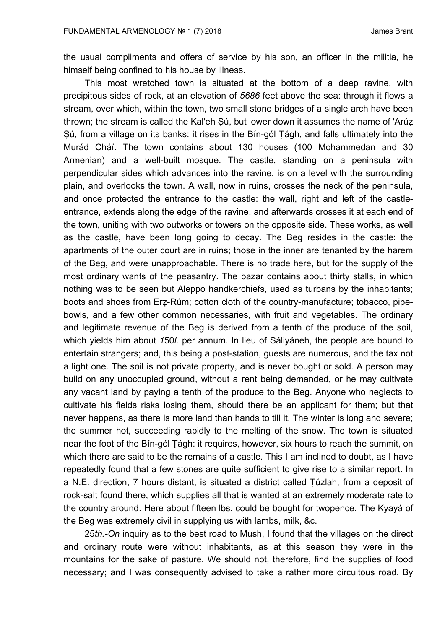the usual compliments and offers of service by his son, an officer in the militia, he himself being confined to his house by illness.

This most wretched town is situated at the bottom of a deep ravine, with precipitous sides of rock, at an elevation of *5686* feet above the sea: through it flows a stream, over which, within the town, two small stone bridges of a single arch have been thrown; the stream is called the Kal'eh Ṣú, but lower down it assumes the name of 'Arúẓ Sú, from a village on its banks: it rises in the Bín-gól Tágh, and falls ultimately into the Murád Cháï. The town contains about 130 houses (100 Mohammedan and 30 Armenian) and a well-built mosque. The castle, standing on a peninsula with perpendicular sides which advances into the ravine, is on a level with the surrounding plain, and overlooks the town. A wall, now in ruins, crosses the neck of the peninsula, and once protected the entrance to the castle: the wall, right and left of the castleentrance, extends along the edge of the ravine, and afterwards crosses it at each end of the town, uniting with two outworks or towers on the opposite side. These works, as well as the castle, have been long going to decay. The Beg resides in the castle: the apartments of the outer court are in ruins; those in the inner are tenanted by the harem of the Beg, and were unapproachable. There is no trade here, but for the supply of the most ordinary wants of the peasantry. The bazar contains about thirty stalls, in which nothing was to be seen but Aleppo handkerchiefs, used as turbans by the inhabitants; boots and shoes from Erẓ-Rúm; cotton cloth of the country-manufacture; tobacco, pipebowls, and a few other common necessaries, with fruit and vegetables. The ordinary and legitimate revenue of the Beg is derived from a tenth of the produce of the soil, which yields him about *1*50*l.* per annum. In lieu of Sáliyáneh, the people are bound to entertain strangers; and, this being a post-station, guests are numerous, and the tax not a light one. The soil is not private property, and is never bought or sold. A person may build on any unoccupied ground, without a rent being demanded, or he may cultivate any vacant land by paying a tenth of the produce to the Beg. Anyone who neglects to cultivate his fields risks losing them, should there be an applicant for them; but that never happens, as there is more land than hands to till it. The winter is long and severe; the summer hot, succeeding rapidly to the melting of the snow. The town is situated near the foot of the Bín-gól Ṭágh: it requires, however, six hours to reach the summit, on which there are said to be the remains of a castle. This I am inclined to doubt, as I have repeatedly found that a few stones are quite sufficient to give rise to a similar report. In a N.E. direction, 7 hours distant, is situated a district called Ṭúzlah, from a deposit of rock-salt found there, which supplies all that is wanted at an extremely moderate rate to the country around. Here about fifteen lbs. could be bought for twopence. The Kyayá of the Beg was extremely civil in supplying us with lambs, milk, &c.

25*th.-On* inquiry as to the best road to Mush, I found that the villages on the direct and ordinary route were without inhabitants, as at this season they were in the mountains for the sake of pasture. We should not, therefore, find the supplies of food necessary; and I was consequently advised to take a rather more circuitous road. By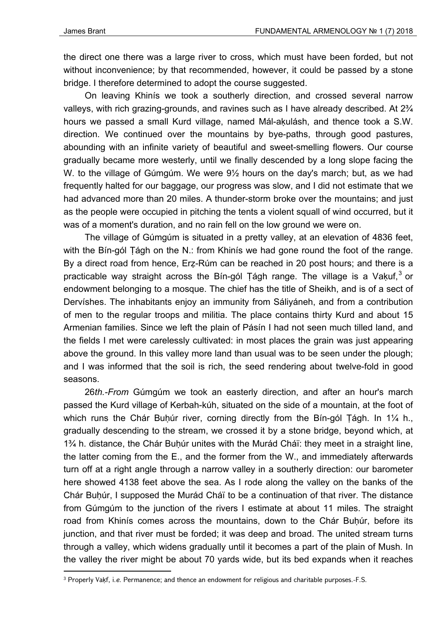<u>.</u>

the direct one there was a large river to cross, which must have been forded, but not without inconvenience; by that recommended, however, it could be passed by a stone bridge. I therefore determined to adopt the course suggested.

On leaving Khinís we took a southerly direction, and crossed several narrow valleys, with rich grazing-grounds, and ravines such as I have already described. At 2¾ hours we passed a small Kurd village, named Mál-aḳulásh, and thence took a S.W. direction. We continued over the mountains by bye-paths, through good pastures, abounding with an infinite variety of beautiful and sweet-smelling flowers. Our course gradually became more westerly, until we finally descended by a long slope facing the W. to the village of Gúmgúm. We were 9½ hours on the day's march; but, as we had frequently halted for our baggage, our progress was slow, and I did not estimate that we had advanced more than 20 miles. A thunder-storm broke over the mountains; and just as the people were occupied in pitching the tents a violent squall of wind occurred, but it was of a moment's duration, and no rain fell on the low ground we were on.

The village of Gúmgúm is situated in a pretty valley, at an elevation of 4836 feet, with the Bín-gól Tágh on the N.: from Khinís we had gone round the foot of the range. By a direct road from hence, Erẓ-Rúm can be reached in 20 post hours; and there is a practicable way straight across the Bín-gól Ṭágh range. The village is a Vak̞uf, $^3$  or endowment belonging to a mosque. The chief has the title of Sheikh, and is of a sect of Dervíshes. The inhabitants enjoy an immunity from Sáliyáneh, and from a contribution of men to the regular troops and militia. The place contains thirty Kurd and about 15 Armenian families. Since we left the plain of Pásín I had not seen much tilled land, and the fields I met were carelessly cultivated: in most places the grain was just appearing above the ground. In this valley more land than usual was to be seen under the plough; and I was informed that the soil is rich, the seed rendering about twelve-fold in good seasons.

26*th.-From* Gúmgúm we took an easterly direction, and after an hour's march passed the Kurd village of Kerbah-kúh, situated on the side of a mountain, at the foot of which runs the Chár Buḥúr river, corning directly from the Bín-gól Țágh. In 1¼ h., gradually descending to the stream, we crossed it by a stone bridge, beyond which, at 1¾ h. distance, the Chár Buḥúr unites with the Murád Cháï: they meet in a straight line, the latter coming from the E., and the former from the W., and immediately afterwards turn off at a right angle through a narrow valley in a southerly direction: our barometer here showed 4138 feet above the sea. As I rode along the valley on the banks of the Chár Buḥúr, I supposed the Murád Cháï to be a continuation of that river. The distance from Gúmgúm to the junction of the rivers I estimate at about 11 miles. The straight road from Khinís comes across the mountains, down to the Chár Buhúr, before its junction, and that river must be forded; it was deep and broad. The united stream turns through a valley, which widens gradually until it becomes a part of the plain of Mush. In the valley the river might be about 70 yards wide, but its bed expands when it reaches

<sup>3</sup> Properly Vaḳf, i.*e.* Permanence; and thence an endowment for religious and charitable purposes.-F.S.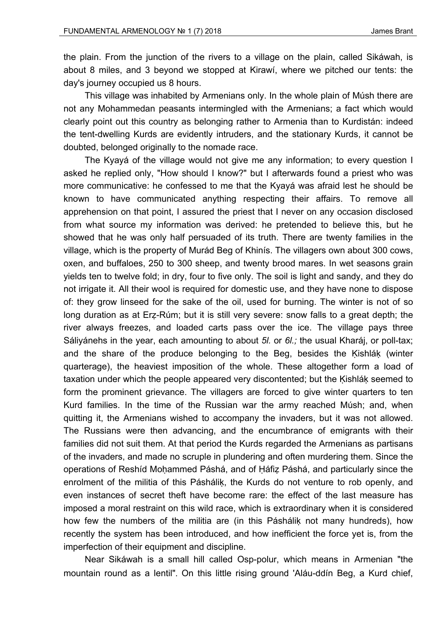the plain. From the junction of the rivers to a village on the plain, called Sikáwah, is about 8 miles, and 3 beyond we stopped at Kirawí, where we pitched our tents: the day's journey occupied us 8 hours.

This village was inhabited by Armenians only. In the whole plain of Músh there are not any Mohammedan peasants intermingled with the Armenians; a fact which would clearly point out this country as belonging rather to Armenia than to Kurdistán: indeed the tent-dwelling Kurds are evidently intruders, and the stationary Kurds, it cannot be doubted, belonged originally to the nomade race.

The Kyayá of the village would not give me any information; to every question I asked he replied only, "How should I know?" but I afterwards found a priest who was more communicative: he confessed to me that the Kyayá was afraid lest he should be known to have communicated anything respecting their affairs. To remove all apprehension on that point, I assured the priest that I never on any occasion disclosed from what source my information was derived: he pretended to believe this, but he showed that he was only half persuaded of its truth. There are twenty families in the village, which is the property of Murád Beg of Khinís. The villagers own about 300 cows, oxen, and buffaloes, 250 to 300 sheep, and twenty brood mares. In wet seasons grain yields ten to twelve fold; in dry, four to five only. The soil is light and sandy, and they do not irrigate it. All their wool is required for domestic use, and they have none to dispose of: they grow linseed for the sake of the oil, used for burning. The winter is not of so long duration as at Erẓ-Rúm; but it is still very severe: snow falls to a great depth; the river always freezes, and loaded carts pass over the ice. The village pays three Sáliyánehs in the year, each amounting to about *5l.* or *6l.;* the usual Kharáj, or poll-tax; and the share of the produce belonging to the Beg, besides the Ḳishláḳ (winter quarterage), the heaviest imposition of the whole. These altogether form a load of taxation under which the people appeared very discontented; but the Kishlák seemed to form the prominent grievance. The villagers are forced to give winter quarters to ten Kurd families. In the time of the Russian war the army reached Músh; and, when quitting it, the Armenians wished to accompany the invaders, but it was not allowed. The Russians were then advancing, and the encumbrance of emigrants with their families did not suit them. At that period the Kurds regarded the Armenians as partisans of the invaders, and made no scruple in plundering and often murdering them. Since the operations of Reshíd Moḥammed Páshá, and of Ḥáfiẓ Páshá, and particularly since the enrolment of the militia of this Pásháliḳ, the Kurds do not venture to rob openly, and even instances of secret theft have become rare: the effect of the last measure has imposed a moral restraint on this wild race, which is extraordinary when it is considered how few the numbers of the militia are (in this Páshálik not many hundreds), how recently the system has been introduced, and how inefficient the force yet is, from the imperfection of their equipment and discipline.

Near Sikáwah is a small hill called Osp-polur, which means in Armenian "the mountain round as a lentil". On this little rising ground 'Aláu-ddín Beg, a Kurd chief,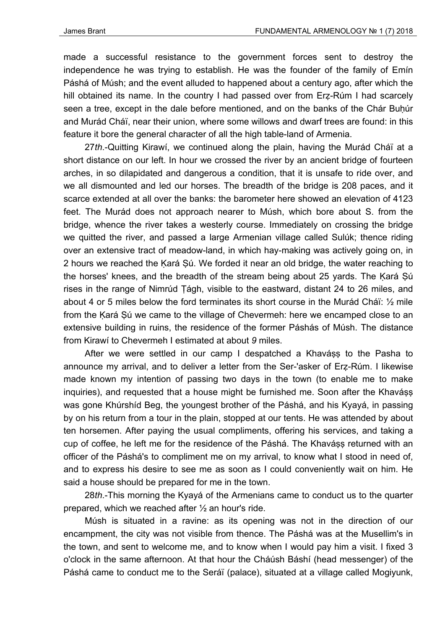made a successful resistance to the government forces sent to destroy the independence he was trying to establish. He was the founder of the family of Emín Páshá of Músh; and the event alluded to happened about a century ago, after which the hill obtained its name. In the country I had passed over from Erz-Rúm I had scarcely seen a tree, except in the dale before mentioned, and on the banks of the Chár Buhúr and Murád Cháï, near their union, where some willows and dwarf trees are found: in this feature it bore the general character of all the high table-land of Armenia.

27*th*.-Quitting Kirawí, we continued along the plain, having the Murád Cháï at a short distance on our left. In hour we crossed the river by an ancient bridge of fourteen arches, in so dilapidated and dangerous a condition, that it is unsafe to ride over, and we all dismounted and led our horses. The breadth of the bridge is 208 paces, and it scarce extended at all over the banks: the barometer here showed an elevation of 4123 feet. The Murád does not approach nearer to Músh, which bore about S. from the bridge, whence the river takes a westerly course. Immediately on crossing the bridge we quitted the river, and passed a large Armenian village called Sulúk; thence riding over an extensive tract of meadow-land, in which hay-making was actively going on, in 2 hours we reached the Kará Sú. We forded it near an old bridge, the water reaching to the horses' knees, and the breadth of the stream being about 25 yards. The Kará Sú rises in the range of Nimrúd Ṭágh, visible to the eastward, distant 24 to 26 miles, and about 4 or 5 miles below the ford terminates its short course in the Murád Cháï:  $\frac{1}{2}$  mile from the Kará Sú we came to the village of Chevermeh: here we encamped close to an extensive building in ruins, the residence of the former Páshás of Músh. The distance from Kirawí to Chevermeh I estimated at about *9* miles.

After we were settled in our camp I despatched a Khaváss to the Pasha to announce my arrival, and to deliver a letter from the Ser-'asker of Erẓ-Rúm. I likewise made known my intention of passing two days in the town (to enable me to make inquiries), and requested that a house might be furnished me. Soon after the Khaváṣṣ was gone Khúrshíd Beg, the youngest brother of the Páshá, and his Kyayá, in passing by on his return from a tour in the plain, stopped at our tents. He was attended by about ten horsemen. After paying the usual compliments, offering his services, and taking a cup of coffee, he left me for the residence of the Páshá. The Khaváṣṣ returned with an officer of the Páshá's to compliment me on my arrival, to know what I stood in need of, and to express his desire to see me as soon as I could conveniently wait on him. He said a house should be prepared for me in the town.

28*th*.-This morning the Kyayá of the Armenians came to conduct us to the quarter prepared, which we reached after  $\frac{1}{2}$  an hour's ride.

Músh is situated in a ravine: as its opening was not in the direction of our encampment, the city was not visible from thence. The Páshá was at the Musellim's in the town, and sent to welcome me, and to know when I would pay him a visit. I fixed 3 o'clock in the same afternoon. At that hour the Cháúsh Báshí (head messenger) of the Páshá came to conduct me to the Seráï (palace), situated at a village called Mogiyunk,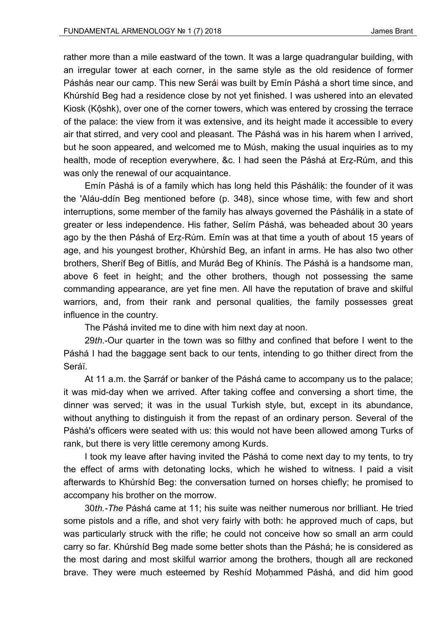rather more than a mile eastward of the town. It was a large quadrangular building, with an irregular tower at each corner, in the same style as the old residence of former Páshás near our camp. This new Serái was built by Emín Páshá a short time since, and Khúrshíd Beg had a residence close by not yet finished. I was ushered into an elevated Kiosk (Kộshk), over one of the corner towers, which was entered by crossing the terrace of the palace: the view from it was extensive, and its height made it accessible to every air that stirred, and very cool and pleasant. The Páshá was in his harem when I arrived, but he soon appeared, and welcomed me to Músh, making the usual inquiries as to my health, mode of reception everywhere, &c. I had seen the Páshá at Erẓ-Rúm, and this was only the renewal of our acquaintance.

Emín Páshá is of a family which has long held this Pásháliḳ: the founder of it was the 'Aláu-ddín Beg mentioned before (p. 348), since whose time, with few and short interruptions, some member of the family has always governed the Pásháliḳ in a state of greater or less independence. His father, Selím Páshá, was beheaded about 30 years ago by the then Páshá of Erẓ-Rúm. Emín was at that time a youth of about 15 years of age, and his youngest brother, Khúrshíd Beg, an infant in arms. He has also two other brothers, Sheríf Beg of Bitlís, and Murád Beg of Khinís. The Páshá is a handsome man, above 6 feet in height; and the other brothers, though not possessing the same commanding appearance, are yet fine men. All have the reputation of brave and skilful warriors, and, from their rank and personal qualities, the family possesses great influence in the country.

The Páshá invited me to dine with him next day at noon.

29*th*.-Our quarter in the town was so filthy and confined that before I went to the Páshá I had the baggage sent back to our tents, intending to go thither direct from the Seráï.

At 11 a.m. the Ṣarráf or banker of the Páshá came to accompany us to the palace; it was mid-day when we arrived. After taking coffee and conversing a short time, the dinner was served; it was in the usual Turkish style, but, except in its abundance, without anything to distinguish it from the repast of an ordinary person. Several of the Páshá's officers were seated with us: this would not have been allowed among Turks of rank, but there is very little ceremony among Kurds.

I took my leave after having invited the Páshá to come next day to my tents, to try the effect of arms with detonating locks, which he wished to witness. I paid a visit afterwards to Khúrshíd Beg: the conversation turned on horses chiefly; he promised to accompany his brother on the morrow.

30*th.-The* Páshá came at 11; his suite was neither numerous nor brilliant. He tried some pistols and a rifle, and shot very fairly with both: he approved much of caps, but was particularly struck with the rifle; he could not conceive how so small an arm could carry so far. Khúrshíd Beg made some better shots than the Páshá; he is considered as the most daring and most skilful warrior among the brothers, though all are reckoned brave. They were much esteemed by Reshíd Moḥammed Páshá, and did him good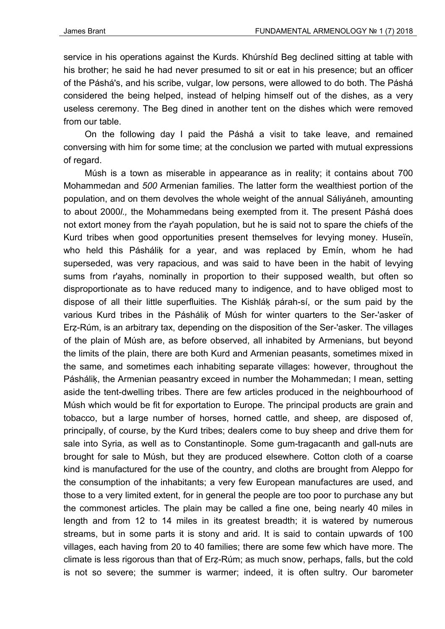service in his operations against the Kurds. Khúrshíd Beg declined sitting at table with his brother; he said he had never presumed to sit or eat in his presence; but an officer of the Páshá's, and his scribe, vulgar, low persons, were allowed to do both. The Páshá considered the being helped, instead of helping himself out of the dishes, as a very useless ceremony. The Beg dined in another tent on the dishes which were removed from our table.

On the following day I paid the Páshá a visit to take leave, and remained conversing with him for some time; at the conclusion we parted with mutual expressions of regard.

Músh is a town as miserable in appearance as in reality; it contains about 700 Mohammedan and *500* Armenian families. The latter form the wealthiest portion of the population, and on them devolves the whole weight of the annual Sáliyáneh, amounting to about 2000*l.,* the Mohammedans being exempted from it. The present Páshá does not extort money from the r'ayah population, but he is said not to spare the chiefs of the Kurd tribes when good opportunities present themselves for levying money. Huseïn, who held this Páshálik for a year, and was replaced by Emín, whom he had superseded, was very rapacious, and was said to have been in the habit of levying sums from r'ayahs, nominally in proportion to their supposed wealth, but often so disproportionate as to have reduced many to indigence, and to have obliged most to dispose of all their little superfluities. The Kishláḳ párah-sí, or the sum paid by the various Kurd tribes in the Pásháliḳ of Músh for winter quarters to the Ser-'asker of Erẓ-Rúm, is an arbitrary tax, depending on the disposition of the Ser-'asker. The villages of the plain of Músh are, as before observed, all inhabited by Armenians, but beyond the limits of the plain, there are both Kurd and Armenian peasants, sometimes mixed in the same, and sometimes each inhabiting separate villages: however, throughout the Pásháliḳ, the Armenian peasantry exceed in number the Mohammedan; I mean, setting aside the tent-dwelling tribes. There are few articles produced in the neighbourhood of Músh which would be fit for exportation to Europe. The principal products are grain and tobacco, but a large number of horses, horned cattle, and sheep, are disposed of, principally, of course, by the Kurd tribes; dealers come to buy sheep and drive them for sale into Syria, as well as to Constantinople. Some gum-tragacanth and gall-nuts are brought for sale to Músh, but they are produced elsewhere. Cotton cloth of a coarse kind is manufactured for the use of the country, and cloths are brought from Aleppo for the consumption of the inhabitants; a very few European manufactures are used, and those to a very limited extent, for in general the people are too poor to purchase any but the commonest articles. The plain may be called a fine one, being nearly 40 miles in length and from 12 to 14 miles in its greatest breadth; it is watered by numerous streams, but in some parts it is stony and arid. It is said to contain upwards of 100 villages, each having from 20 to 40 families; there are some few which have more. The climate is less rigorous than that of Erẓ-Rúm; as much snow, perhaps, falls, but the cold is not so severe; the summer is warmer; indeed, it is often sultry. Our barometer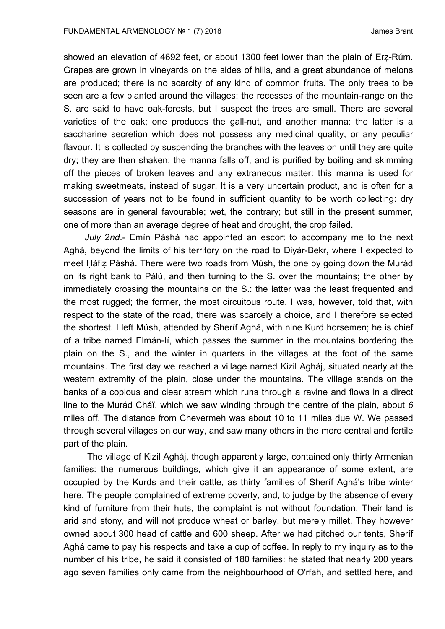showed an elevation of 4692 feet, or about 1300 feet lower than the plain of Erẓ-Rúm. Grapes are grown in vineyards on the sides of hills, and a great abundance of melons are produced; there is no scarcity of any kind of common fruits. The only trees to be seen are a few planted around the villages: the recesses of the mountain-range on the S. are said to have oak-forests, but I suspect the trees are small. There are several varieties of the oak; one produces the gall-nut, and another manna: the latter is a saccharine secretion which does not possess any medicinal quality, or any peculiar flavour. It is collected by suspending the branches with the leaves on until they are quite dry; they are then shaken; the manna falls off, and is purified by boiling and skimming off the pieces of broken leaves and any extraneous matter: this manna is used for making sweetmeats, instead of sugar. It is a very uncertain product, and is often for a succession of years not to be found in sufficient quantity to be worth collecting: dry seasons are in general favourable; wet, the contrary; but still in the present summer, one of more than an average degree of heat and drought, the crop failed.

*July* 2*nd*.- Emín Páshá had appointed an escort to accompany me to the next Aghá, beyond the limits of his territory on the road to Diyár-Bekr, where I expected to meet Ḥáfiẓ Páshá. There were two roads from Músh, the one by going down the Murád on its right bank to Pálú, and then turning to the S. over the mountains; the other by immediately crossing the mountains on the S.: the latter was the least frequented and the most rugged; the former, the most circuitous route. I was, however, told that, with respect to the state of the road, there was scarcely a choice, and I therefore selected the shortest. I left Músh, attended by Sheríf Aghá, with nine Kurd horsemen; he is chief of a tribe named Elmán-Ií, which passes the summer in the mountains bordering the plain on the S., and the winter in quarters in the villages at the foot of the same mountains. The first day we reached a village named Kizil Agháj, situated nearly at the western extremity of the plain, close under the mountains. The village stands on the banks of a copious and clear stream which runs through a ravine and flows in a direct line to the Murád Cháï, which we saw winding through the centre of the plain, about *6*  miles off. The distance from Chevermeh was about 10 to 11 miles due W. We passed through several villages on our way, and saw many others in the more central and fertile part of the plain.

 The village of Kizil Agháj, though apparently large, contained only thirty Armenian families: the numerous buildings, which give it an appearance of some extent, are occupied by the Kurds and their cattle, as thirty families of Sheríf Aghá's tribe winter here. The people complained of extreme poverty, and, to judge by the absence of every kind of furniture from their huts, the complaint is not without foundation. Their land is arid and stony, and will not produce wheat or barley, but merely millet. They however owned about 300 head of cattle and 600 sheep. After we had pitched our tents, Sheríf Aghá came to pay his respects and take a cup of coffee. In reply to my inquiry as to the number of his tribe, he said it consisted of 180 families: he stated that nearly 200 years ago seven families only came from the neighbourhood of O'rfah, and settled here, and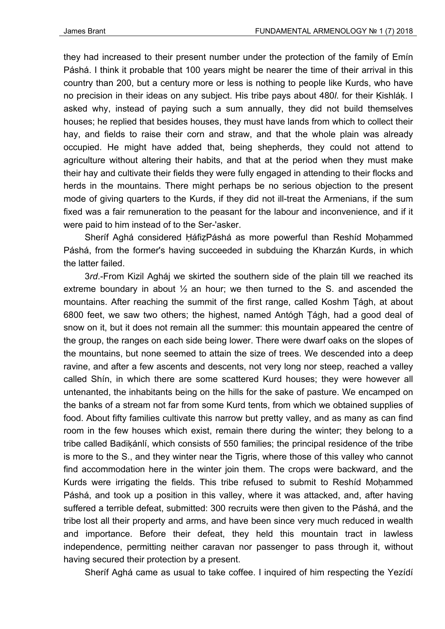they had increased to their present number under the protection of the family of Emín Páshá. I think it probable that 100 years might be nearer the time of their arrival in this country than 200, but a century more or less is nothing to people like Kurds, who have no precision in their ideas on any subject. His tribe pays about 480*l*. for their Kishlák. I asked why, instead of paying such a sum annually, they did not build themselves houses; he replied that besides houses, they must have lands from which to collect their hay, and fields to raise their corn and straw, and that the whole plain was already occupied. He might have added that, being shepherds, they could not attend to agriculture without altering their habits, and that at the period when they must make their hay and cultivate their fields they were fully engaged in attending to their flocks and herds in the mountains. There might perhaps be no serious objection to the present mode of giving quarters to the Kurds, if they did not ill-treat the Armenians, if the sum fixed was a fair remuneration to the peasant for the labour and inconvenience, and if it were paid to him instead of to the Ser-'asker.

Sheríf Aghá considered ḤáfiẓPáshá as more powerful than Reshíd Moḥammed Páshá, from the former's having succeeded in subduing the Kharzán Kurds, in which the latter failed.

3*rd*.-From Kizil Agháj we skirted the southern side of the plain till we reached its extreme boundary in about  $\frac{1}{2}$  an hour; we then turned to the S. and ascended the mountains. After reaching the summit of the first range, called Koshm Ṭágh, at about 6800 feet, we saw two others; the highest, named Antógh Ṭágh, had a good deal of snow on it, but it does not remain all the summer: this mountain appeared the centre of the group, the ranges on each side being lower. There were dwarf oaks on the slopes of the mountains, but none seemed to attain the size of trees. We descended into a deep ravine, and after a few ascents and descents, not very long nor steep, reached a valley called Shín, in which there are some scattered Kurd houses; they were however all untenanted, the inhabitants being on the hills for the sake of pasture. We encamped on the banks of a stream not far from some Kurd tents, from which we obtained supplies of food. About fifty families cultivate this narrow but pretty valley, and as many as can find room in the few houses which exist, remain there during the winter; they belong to a tribe called Badiḳánlí, which consists of 550 families; the principal residence of the tribe is more to the S., and they winter near the Tigris, where those of this valley who cannot find accommodation here in the winter join them. The crops were backward, and the Kurds were irrigating the fields. This tribe refused to submit to Reshíd Moḥammed Páshá, and took up a position in this valley, where it was attacked, and, after having suffered a terrible defeat, submitted: 300 recruits were then given to the Páshá, and the tribe lost all their property and arms, and have been since very much reduced in wealth and importance. Before their defeat, they held this mountain tract in lawless independence, permitting neither caravan nor passenger to pass through it, without having secured their protection by a present.

Sheríf Aghá came as usual to take coffee. I inquired of him respecting the Yezídí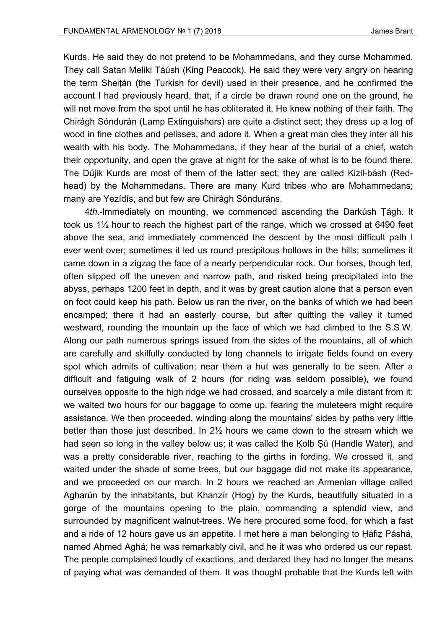Kurds. He said they do not pretend to be Mohammedans, and they curse Mohammed. They call Satan Meliki Táúsh (King Peacock). He said they were very angry on hearing the term Sheiṭán (the Turkish for devil) used in their presence, and he confirmed the account I had previously heard, that, if a circle be drawn round one on the ground, he will not move from the spot until he has obliterated it. He knew nothing of their faith. The Chirágh Sóndurán (Lamp Extinguishers) are quite a distinct sect; they dress up a log of wood in fine clothes and pelisses, and adore it. When a great man dies they inter all his wealth with his body. The Mohammedans, if they hear of the burial of a chief, watch their opportunity, and open the grave at night for the sake of what is to be found there. The Dújik Kurds are most of them of the latter sect; they are called Kizil-básh (Redhead) by the Mohammedans. There are many Kurd tribes who are Mohammedans; many are Yezídís, and but few are Chirágh Sónduráns.

4*th*.-lmmediately on mounting, we commenced ascending the Darkúsh Ṭágh. It took us 1½ hour to reach the highest part of the range, which we crossed at 6490 feet above the sea, and immediately commenced the descent by the most difficult path I ever went over; sometimes it led us round precipitous hollows in the hills; sometimes it came down in a zigzag the face of a nearly perpendicular rock. Our horses, though led, often slipped off the uneven and narrow path, and risked being precipitated into the abyss, perhaps 1200 feet in depth, and it was by great caution alone that a person even on foot could keep his path. Below us ran the river, on the banks of which we had been encamped; there it had an easterly course, but after quitting the valley it turned westward, rounding the mountain up the face of which we had climbed to the S.S.W. Along our path numerous springs issued from the sides of the mountains, all of which are carefully and skilfully conducted by long channels to irrigate fields found on every spot which admits of cultivation; near them a hut was generally to be seen. After a difficult and fatiguing walk of 2 hours (for riding was seldom possible), we found ourselves opposite to the high ridge we had crossed, and scarcely a mile distant from it: we waited two hours for our baggage to come up, fearing the muleteers might require assistance. We then proceeded, winding along the mountains' sides by paths very little better than those just described. In 2½ hours we came down to the stream which we had seen so long in the valley below us; it was called the Kolb Su (Handle Water), and was a pretty considerable river, reaching to the girths in fording. We crossed it, and waited under the shade of some trees, but our baggage did not make its appearance, and we proceeded on our march. In 2 hours we reached an Armenian village called Agharún by the inhabitants, but Khanzír (Hog) by the Kurds, beautifully situated in a gorge of the mountains opening to the plain, commanding a splendid view, and surrounded by magnificent walnut-trees. We here procured some food, for which a fast and a ride of 12 hours gave us an appetite. I met here a man belonging to Ḥáfiẓ Páshá, named Aḥmed Aghá; he was remarkably civil, and he it was who ordered us our repast. The people complained loudly of exactions, and declared they had no longer the means of paying what was demanded of them. It was thought probable that the Kurds left with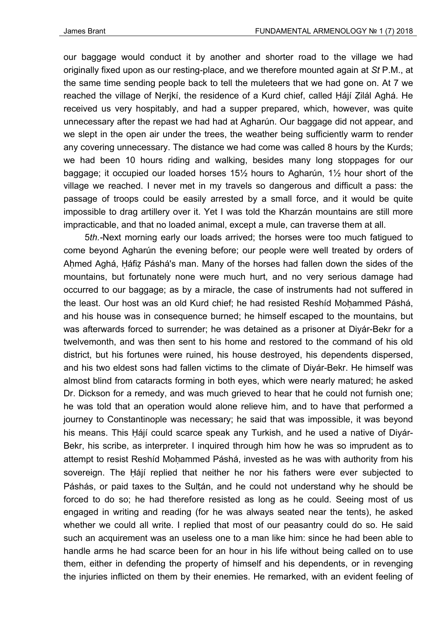our baggage would conduct it by another and shorter road to the village we had originally fixed upon as our resting-place, and we therefore mounted again at *St* P.M., at the same time sending people back to tell the muleteers that we had gone on. At 7 we reached the village of Nerjkí, the residence of a Kurd chief, called Ḥájí Ẓilál Aghá. He received us very hospitably, and had a supper prepared, which, however, was quite unnecessary after the repast we had had at Agharún. Our baggage did not appear, and we slept in the open air under the trees, the weather being sufficiently warm to render any covering unnecessary. The distance we had come was called 8 hours by the Kurds; we had been 10 hours riding and walking, besides many long stoppages for our baggage; it occupied our loaded horses 15½ hours to Agharún, 1½ hour short of the village we reached. I never met in my travels so dangerous and difficult a pass: the passage of troops could be easily arrested by a small force, and it would be quite impossible to drag artillery over it. Yet I was told the Kharzán mountains are still more impracticable, and that no loaded animal, except a mule, can traverse them at all.

5*th.-*Next morning early our loads arrived; the horses were too much fatigued to come beyond Agharún the evening before; our people were well treated by orders of Ahmed Aghá, Ḥáfiz Páshá's man. Many of the horses had fallen down the sides of the mountains, but fortunately none were much hurt, and no very serious damage had occurred to our baggage; as by a miracle, the case of instruments had not suffered in the least. Our host was an old Kurd chief; he had resisted Reshíd Mohammed Páshá, and his house was in consequence burned; he himself escaped to the mountains, but was afterwards forced to surrender; he was detained as a prisoner at Diyár-Bekr for a twelvemonth, and was then sent to his home and restored to the command of his old district, but his fortunes were ruined, his house destroyed, his dependents dispersed, and his two eldest sons had fallen victims to the climate of Diyár-Bekr. He himself was almost blind from cataracts forming in both eyes, which were nearly matured; he asked Dr. Dickson for a remedy, and was much grieved to hear that he could not furnish one; he was told that an operation would alone relieve him, and to have that performed a journey to Constantinople was necessary; he said that was impossible, it was beyond his means. This Ḥájí could scarce speak any Turkish, and he used a native of Diyár-Bekr, his scribe, as interpreter. I inquired through him how he was so imprudent as to attempt to resist Reshíd Mohammed Páshá, invested as he was with authority from his sovereign. The Ḥájí replied that neither he nor his fathers were ever subjected to Páshás, or paid taxes to the Sultán, and he could not understand why he should be forced to do so; he had therefore resisted as long as he could. Seeing most of us engaged in writing and reading (for he was always seated near the tents), he asked whether we could all write. I replied that most of our peasantry could do so. He said such an acquirement was an useless one to a man like him: since he had been able to handle arms he had scarce been for an hour in his life without being called on to use them, either in defending the property of himself and his dependents, or in revenging the injuries inflicted on them by their enemies. He remarked, with an evident feeling of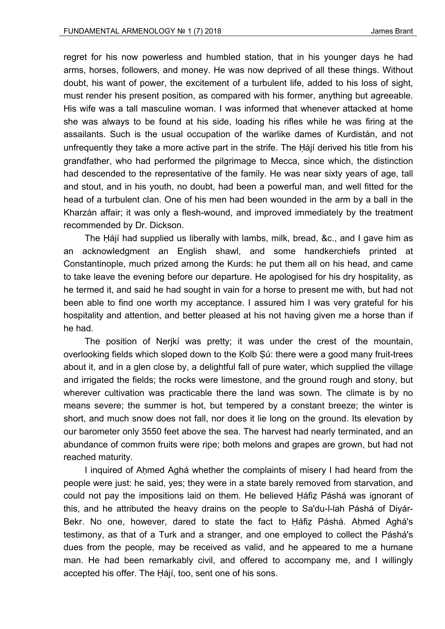regret for his now powerless and humbled station, that in his younger days he had arms, horses, followers, and money. He was now deprived of all these things. Without doubt, his want of power, the excitement of a turbulent life, added to his loss of sight, must render his present position, as compared with his former, anything but agreeable. His wife was a tall masculine woman. I was informed that whenever attacked at home she was always to be found at his side, loading his rifles while he was firing at the assailants. Such is the usual occupation of the warlike dames of Kurdistán, and not unfrequently they take a more active part in the strife. The Ḥájí derived his title from his grandfather, who had performed the pilgrimage to Mecca, since which, the distinction had descended to the representative of the family. He was near sixty years of age, tall and stout, and in his youth, no doubt, had been a powerful man, and well fitted for the head of a turbulent clan. One of his men had been wounded in the arm by a ball in the Kharzán affair; it was only a flesh-wound, and improved immediately by the treatment recommended by Dr. Dickson.

The Ḥájí had supplied us liberally with lambs, milk, bread, &c., and I gave him as an acknowledgment an English shawl, and some handkerchiefs printed at Constantinople, much prized among the Kurds: he put them all on his head, and came to take leave the evening before our departure. He apologised for his dry hospitality, as he termed it, and said he had sought in vain for a horse to present me with, but had not been able to find one worth my acceptance. I assured him I was very grateful for his hospitality and attention, and better pleased at his not having given me a horse than if he had.

The position of Nerjkí was pretty; it was under the crest of the mountain, overlooking fields which sloped down to the Ḳolb Ṣú: there were a good many fruit-trees about it, and in a glen close by, a delightful fall of pure water, which supplied the village and irrigated the fields; the rocks were limestone, and the ground rough and stony, but wherever cultivation was practicable there the land was sown. The climate is by no means severe; the summer is hot, but tempered by a constant breeze; the winter is short, and much snow does not fall, nor does it lie long on the ground. Its elevation by our barometer only 3550 feet above the sea. The harvest had nearly terminated, and an abundance of common fruits were ripe; both melons and grapes are grown, but had not reached maturity.

I inquired of Ahmed Aghá whether the complaints of misery I had heard from the people were just: he said, yes; they were in a state barely removed from starvation, and could not pay the impositions laid on them. He believed Ḥáfiẓ Páshá was ignorant of this, and he attributed the heavy drains on the people to Sa'du-l-lah Páshá of Diyár-Bekr. No one, however, dared to state the fact to Háfiz Páshá. Ahmed Aghá's testimony, as that of a Turk and a stranger, and one employed to collect the Páshá's dues from the people, may be received as valid, and he appeared to me a humane man. He had been remarkably civil, and offered to accompany me, and I willingly accepted his offer. The Ḥájí, too, sent one of his sons.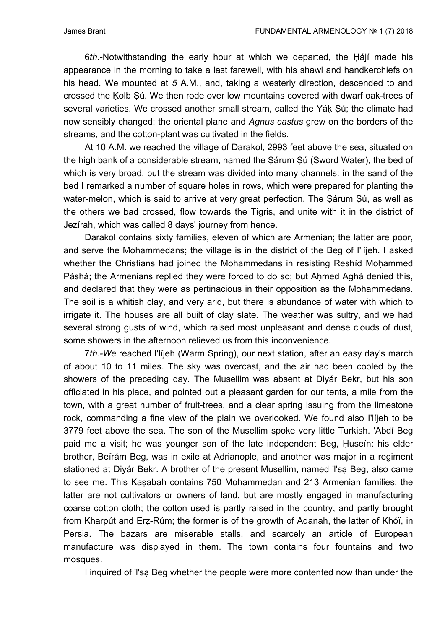6*th*.-Notwithstanding the early hour at which we departed, the Ḥájí made his appearance in the morning to take a last farewell, with his shawl and handkerchiefs on his head. We mounted at *5* A.M., and, taking a westerly direction, descended to and crossed the Ḳolb Ṣú. We then rode over low mountains covered with dwarf oak-trees of several varieties. We crossed another small stream, called the Yák Sú; the climate had now sensibly changed: the oriental plane and *Agnus castus* grew on the borders of the streams, and the cotton-plant was cultivated in the fields.

At 10 A.M. we reached the village of Darakol, 2993 feet above the sea, situated on the high bank of a considerable stream, named the Ṣárum Ṣú (Sword Water), the bed of which is very broad, but the stream was divided into many channels: in the sand of the bed I remarked a number of square holes in rows, which were prepared for planting the water-melon, which is said to arrive at very great perfection. The Sarum Su, as well as the others we bad crossed, flow towards the Tigris, and unite with it in the district of Jezírah, which was called 8 days' journey from hence.

Darakol contains sixty families, eleven of which are Armenian; the latter are poor, and serve the Mohammedans; the village is in the district of the Beg of I'líjeh. I asked whether the Christians had joined the Mohammedans in resisting Reshíd Moḥammed Páshá; the Armenians replied they were forced to do so; but Ahmed Aghá denied this, and declared that they were as pertinacious in their opposition as the Mohammedans. The soil is a whitish clay, and very arid, but there is abundance of water with which to irrigate it. The houses are all built of clay slate. The weather was sultry, and we had several strong gusts of wind, which raised most unpleasant and dense clouds of dust, some showers in the afternoon relieved us from this inconvenience.

7*th.-We* reached I'líjeh (Warm Spring), our next station, after an easy day's march of about 10 to 11 miles. The sky was overcast, and the air had been cooled by the showers of the preceding day. The Musellim was absent at Diyár Bekr, but his son officiated in his place, and pointed out a pleasant garden for our tents, a mile from the town, with a great number of fruit-trees, and a clear spring issuing from the limestone rock, commanding a fine view of the plain we overlooked. We found also I'líjeh to be 3779 feet above the sea. The son of the Musellim spoke very little Turkish. 'Abdí Beg paid me a visit; he was younger son of the late independent Beg, Ḥuseïn: his elder brother, Beïrám Beg, was in exile at Adrianople, and another was major in a regiment stationed at Diyár Bekr. A brother of the present Musellim, named 'l'sạ Beg, also came to see me. This Kaṣabah contains 750 Mohammedan and 213 Armenian families; the latter are not cultivators or owners of land, but are mostly engaged in manufacturing coarse cotton cloth; the cotton used is partly raised in the country, and partly brought from Kharpút and Erẓ-Rúm; the former is of the growth of Adanah, the latter of Khóï, in Persia. The bazars are miserable stalls, and scarcely an article of European manufacture was displayed in them. The town contains four fountains and two mosques.

I inquired of 'l'sạ Beg whether the people were more contented now than under the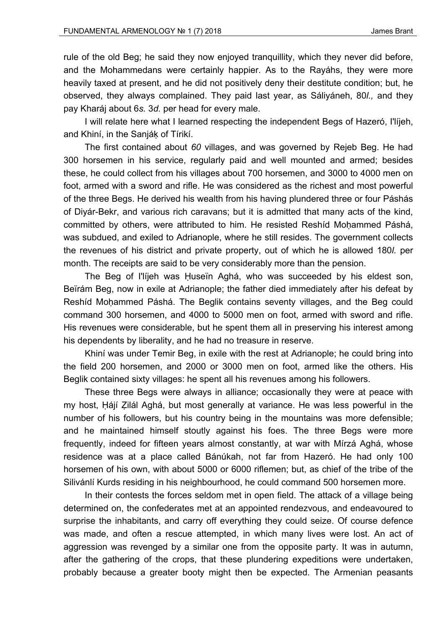rule of the old Beg; he said they now enjoyed tranquillity, which they never did before, and the Mohammedans were certainly happier. As to the Rayáhs, they were more heavily taxed at present, and he did not positively deny their destitute condition; but, he observed, they always complained. They paid last year, as Sáliyáneh, 80*l.,* and they pay Kharáj about 6*s.* 3*d.* per head for every male.

I will relate here what I learned respecting the independent Begs of Hazeró, I'líjeh, and Khiní, in the Sanjáḳ of Tírikí.

The first contained about *60* villages, and was governed by Rejeb Beg. He had 300 horsemen in his service, regularly paid and well mounted and armed; besides these, he could collect from his villages about 700 horsemen, and 3000 to 4000 men on foot, armed with a sword and rifle. He was considered as the richest and most powerful of the three Begs. He derived his wealth from his having plundered three or four Páshás of Diyár-Bekr, and various rich caravans; but it is admitted that many acts of the kind, committed by others, were attributed to him. He resisted Reshid Mohammed Páshá, was subdued, and exiled to Adrianople, where he still resides. The government collects the revenues of his district and private property, out of which he is allowed 180*l.* per month. The receipts are said to be very considerably more than the pension.

The Beg of I'líjeh was Ḥuseïn Aghá, who was succeeded by his eldest son, Beïrám Beg, now in exile at Adrianople; the father died immediately after his defeat by Reshíd Moḥammed Páshá. The Beglik contains seventy villages, and the Beg could command 300 horsemen, and 4000 to 5000 men on foot, armed with sword and rifle. His revenues were considerable, but he spent them all in preserving his interest among his dependents by liberality, and he had no treasure in reserve.

Khiní was under Temir Beg, in exile with the rest at Adrianople; he could bring into the field 200 horsemen, and 2000 or 3000 men on foot, armed like the others. His Beglik contained sixty villages: he spent all his revenues among his followers.

These three Begs were always in alliance; occasionally they were at peace with my host, Ḥájí Ẓilál Aghá, but most generally at variance. He was less powerful in the number of his followers, but his country being in the mountains was more defensible; and he maintained himself stoutly against his foes. The three Begs were more frequently, indeed for fifteen years almost constantly, at war with Mírzá Aghá, whose residence was at a place called Bánúkah, not far from Hazeró. He had only 100 horsemen of his own, with about 5000 or 6000 riflemen; but, as chief of the tribe of the Silivánlí Kurds residing in his neighbourhood, he could command 500 horsemen more.

In their contests the forces seldom met in open field. The attack of a village being determined on, the confederates met at an appointed rendezvous, and endeavoured to surprise the inhabitants, and carry off everything they could seize. Of course defence was made, and often a rescue attempted, in which many lives were lost. An act of aggression was revenged by a similar one from the opposite party. It was in autumn, after the gathering of the crops, that these plundering expeditions were undertaken, probably because a greater booty might then be expected. The Armenian peasants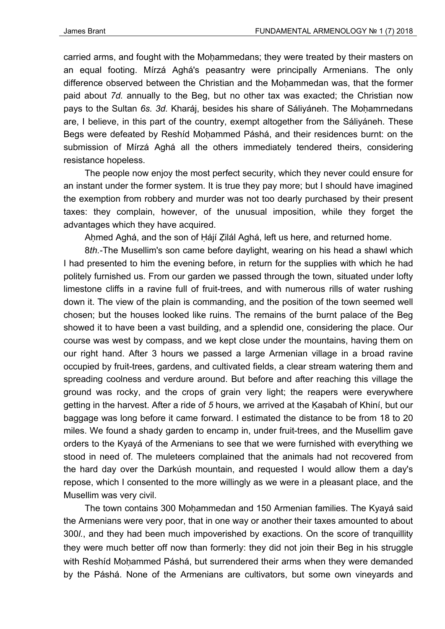carried arms, and fought with the Moḥammedans; they were treated by their masters on an equal footing. Mírzá Aghá's peasantry were principally Armenians. The only difference observed between the Christian and the Moḥammedan was, that the former paid about *7d.* annually to the Beg, but no other tax was exacted; the Christian now pays to the Sultan 6s. 3d. Kharáj, besides his share of Sáliyáneh. The Mohamrnedans are, I believe, in this part of the country, exempt altogether from the Sáliyáneh. These Begs were defeated by Reshíd Mohammed Páshá, and their residences burnt: on the submission of Mírzá Aghá all the others immediately tendered theirs, considering resistance hopeless.

The people now enjoy the most perfect security, which they never could ensure for an instant under the former system. It is true they pay more; but I should have imagined the exemption from robbery and murder was not too dearly purchased by their present taxes: they complain, however, of the unusual imposition, while they forget the advantages which they have acquired.

Aḥmed Aghá, and the son of Ḥájí Ẓilál Aghá, left us here, and returned home.

8*th.*-The Musellim's son came before daylight, wearing on his head a shawl which I had presented to him the evening before, in return for the supplies with which he had politely furnished us. From our garden we passed through the town, situated under lofty limestone cliffs in a ravine full of fruit-trees, and with numerous rills of water rushing down it. The view of the plain is commanding, and the position of the town seemed well chosen; but the houses looked like ruins. The remains of the burnt palace of the Beg showed it to have been a vast building, and a splendid one, considering the place. Our course was west by compass, and we kept close under the mountains, having them on our right hand. After 3 hours we passed a large Armenian village in a broad ravine occupied by fruit-trees, gardens, and cultivated fields, a clear stream watering them and spreading coolness and verdure around. But before and after reaching this village the ground was rocky, and the crops of grain very light; the reapers were everywhere getting in the harvest. After a ride of *5* hours, we arrived at the Ḳаṣabah of Khiní, but our baggage was long before it came forward. I estimated the distance to be from 18 to 20 miles. We found a shady garden to encamp in, under fruit-trees, and the Musellim gave orders to the Kyayá of the Armenians to see that we were furnished with everything we stood in need of. The muleteers complained that the animals had not recovered from the hard day over the Darkúsh mountain, and requested I would allow them a day's repose, which I consented to the more willingly as we were in a pleasant place, and the Musellim was very civil.

The town contains 300 Moḥammedan and 150 Armenian families. The Kyayá said the Armenians were very poor, that in one way or another their taxes amounted to about 300*l.*, and they had been much impoverished by exactions. On the score of tranquillity they were much better off now than formerly: they did not join their Beg in his struggle with Reshid Mohammed Páshá, but surrendered their arms when they were demanded by the Páshá. None of the Armenians are cultivators, but some own vineyards and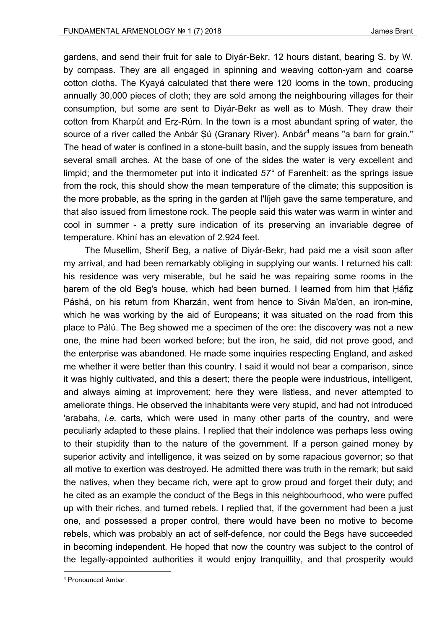gardens, and send their fruit for sale to Diyár-Bekr, 12 hours distant, bearing S. by W. by compass. They are all engaged in spinning and weaving cotton-yarn and coarse cotton cloths. The Kyayá calculated that there were 120 looms in the town, producing annually 30,000 pieces of cloth; they are sold among the neighbouring villages for their consumption, but some are sent to Diyár-Bekr as well as to Músh. They draw their cotton from Kharpút and Erẓ-Rúm. In the town is a most abundant spring of water, the source of a river called the Anbár Ṣú (Granary River). Anbár $^4$  means "a barn for grain." The head of water is confined in a stone-built basin, and the supply issues from beneath several small arches. At the base of one of the sides the water is very excellent and limpid; and the thermometer put into it indicated *57°* of Farenheit: as the springs issue from the rock, this should show the mean temperature of the climate; this supposition is the more probable, as the spring in the garden at I'líjeh gave the same temperature, and that also issued from limestone rock. The people said this water was warm in winter and cool in summer - a pretty sure indication of its preserving an invariable degree of temperature. Khiní has an elevation of 2.924 feet.

The Musellim, Sheríf Beg, a native of Diyár-Bekr, had paid me a visit soon after my arrival, and had been remarkably obliging in supplying our wants. I returned his call: his residence was very miserable, but he said he was repairing some rooms in the ḥarem of the old Beg's house, which had been burned. I learned from him that Ḥáfiẓ Páshá, on his return from Kharzán, went from hence to Siván Ma'den, an iron-mine, which he was working by the aid of Europeans; it was situated on the road from this place to Pálú. The Beg showed me a specimen of the ore: the discovery was not a new one, the mine had been worked before; but the iron, he said, did not prove good, and the enterprise was abandoned. He made some inquiries respecting England, and asked me whether it were better than this country. I said it would not bear a comparison, since it was highly cultivated, and this a desert; there the people were industrious, intelligent, and always aiming at improvement; here they were listless, and never attempted to ameliorate things. He observed the inhabitants were very stupid, and had not introduced 'arabahs, *i.e.* carts, which were used in many other parts of the country, and were peculiarly adapted to these plains. I replied that their indolence was perhaps less owing to their stupidity than to the nature of the government. If a person gained money by superior activity and intelligence, it was seized on by some rapacious governor; so that all motive to exertion was destroyed. He admitted there was truth in the remark; but said the natives, when they became rich, were apt to grow proud and forget their duty; and he cited as an example the conduct of the Begs in this neighbourhood, who were puffed up with their riches, and turned rebels. I replied that, if the government had been a just one, and possessed a proper control, there would have been no motive to become rebels, which was probably an act of self-defence, nor could the Begs have succeeded in becoming independent. He hoped that now the country was subject to the control of the legally-appointed authorities it would enjoy tranquillity, and that prosperity would <u>.</u>

<sup>4</sup> Pronounced Ambar.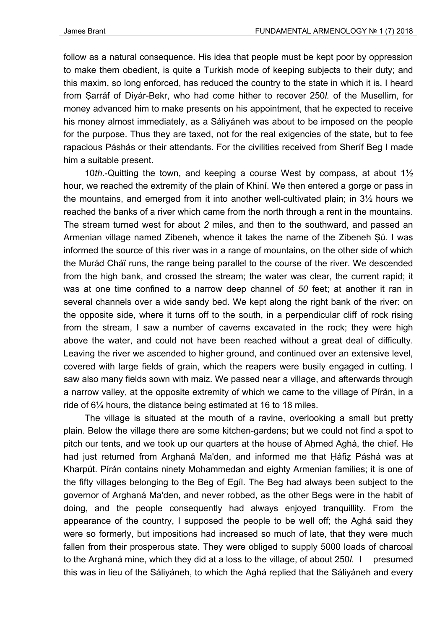follow as a natural consequence. His idea that people must be kept poor by oppression to make them obedient, is quite a Turkish mode of keeping subjects to their duty; and this maxim, so long enforced, has reduced the country to the state in which it is. I heard from Ṣarráf of Diyár-Bekr, who had come hither to recover 250*l.* of the Musellim, for money advanced him to make presents on his appointment, that he expected to receive his money almost immediately, as a Sáliyáneh was about to be imposed on the people for the purpose. Thus they are taxed, not for the real exigencies of the state, but to fee rapacious Páshás or their attendants. For the civilities received from Sheríf Beg I made him a suitable present.

10*th*.-Quitting the town, and keeping a course West by compass, at about 1½ hour, we reached the extremity of the plain of Khiní. We then entered a gorge or pass in the mountains, and emerged from it into another well-cultivated plain; in 3½ hours we reached the banks of a river which came from the north through a rent in the mountains. The stream turned west for about *2* miles, and then to the southward, and passed an Armenian village named Zibeneh, whence it takes the name of the Zibeneh Ṣú. I was informed the source of this river was in a range of mountains, on the other side of which the Murád Cháï runs, the range being parallel to the course of the river. We descended from the high bank, and crossed the stream; the water was clear, the current rapid; it was at one time confined to a narrow deep channel of *50* feet; at another it ran in several channels over a wide sandy bed. We kept along the right bank of the river: on the opposite side, where it turns off to the south, in a perpendicular cliff of rock rising from the stream, I saw a number of caverns excavated in the rock; they were high above the water, and could not have been reached without a great deal of difficulty. Leaving the river we ascended to higher ground, and continued over an extensive level, covered with large fields of grain, which the reapers were busily engaged in cutting. I saw also many fields sown with maiz. We passed near a village, and afterwards through a narrow valley, at the opposite extremity of which we came to the village of Pírán, in a ride of 6¼ hours, the distance being estimated at 16 to 18 miles.

The village is situated at the mouth of a ravine, overlooking a small but pretty plain. Below the village there are some kitchen-gardens; but we could not find a spot to pitch our tents, and we took up our quarters at the house of Aḥmed Aghá, the chief. He had just returned from Arghaná Ma'den, and informed me that Ḥáfiẓ Páshá was at Kharpút. Pírán contains ninety Mohammedan and eighty Armenian families; it is one of the fifty villages belonging to the Beg of Egíl. The Beg had always been subject to the governor of Arghaná Ma'den, and never robbed, as the other Begs were in the habit of doing, and the people consequently had always enjoyed tranquillity. From the appearance of the country, I supposed the people to be well off; the Aghá said they were so formerly, but impositions had increased so much of late, that they were much fallen from their prosperous state. They were obliged to supply 5000 loads of charcoal to the Arghaná mine, which they did at a loss to the village, of about 250*l.* I presumed this was in lieu of the Sáliyáneh, to which the Aghá replied that the Sáliyáneh and every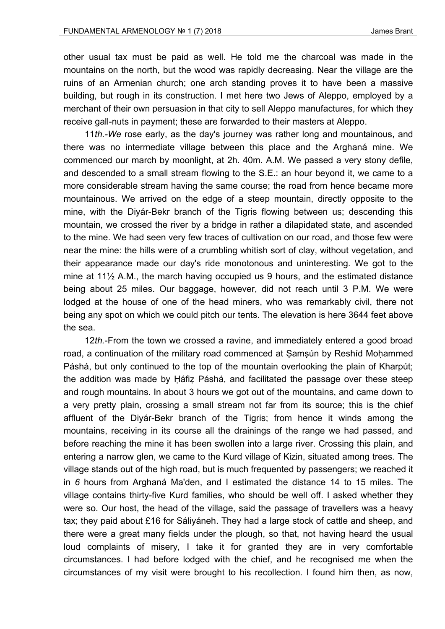other usual tax must be paid as well. He told me the charcoal was made in the mountains on the north, but the wood was rapidly decreasing. Near the village are the ruins of an Armenian church; one arch standing proves it to have been a massive building, but rough in its construction. I met here two Jews of Aleppo, employed by a merchant of their own persuasion in that city to sell Aleppo manufactures, for which they receive gall-nuts in payment; these are forwarded to their masters at Aleppo.

11*th.-We* rose early, as the day's journey was rather long and mountainous, and there was no intermediate village between this place and the Arghaná mine. We commenced our march by moonlight, at 2h. 40m. A.M. We passed a very stony defile, and descended to a small stream flowing to the S.E.: an hour beyond it, we came to a more considerable stream having the same course; the road from hence became more mountainous. We arrived on the edge of a steep mountain, directly opposite to the mine, with the Diyár-Bekr branch of the Tigris flowing between us; descending this mountain, we crossed the river by a bridge in rather a dilapidated state, and ascended to the mine. We had seen very few traces of cultivation on our road, and those few were near the mine: the hills were of a crumbling whitish sort of clay, without vegetation, and their appearance made our day's ride monotonous and uninteresting. We got to the mine at 11½ A.M., the march having occupied us 9 hours, and the estimated distance being about 25 miles. Our baggage, however, did not reach until 3 P.M. We were lodged at the house of one of the head miners, who was remarkably civil, there not being any spot on which we could pitch our tents. The elevation is here 3644 feet above the sea.

12*th.*-From the town we crossed a ravine, and immediately entered a good broad road, a continuation of the military road commenced at Ṣamṣún by Reshíd Moḥammed Páshá, but only continued to the top of the mountain overlooking the plain of Kharpút; the addition was made by Ḥáfiẓ Páshá, and facilitated the passage over these steep and rough mountains. In about 3 hours we got out of the mountains, and came down to a very pretty plain, crossing a small stream not far from its source; this is the chief affluent of the Diyár-Bekr branch of the Tigris; from hence it winds among the mountains, receiving in its course all the drainings of the range we had passed, and before reaching the mine it has been swollen into a large river. Crossing this plain, and entering a narrow glen, we came to the Kurd village of Kizin, situated among trees. The village stands out of the high road, but is much frequented by passengers; we reached it in *6* hours from Arghaná Ma'den, and I estimated the distance 14 to 15 miles. The village contains thirty-five Kurd families, who should be well off. I asked whether they were so. Our host, the head of the village, said the passage of travellers was a heavy tax; they paid about £16 for Sáliyáneh. They had a large stock of cattle and sheep, and there were a great many fields under the plough, so that, not having heard the usual loud complaints of misery, I take it for granted they are in very comfortable circumstances. I had before lodged with the chief, and he recognised me when the circumstances of my visit were brought to his recollection. I found him then, as now,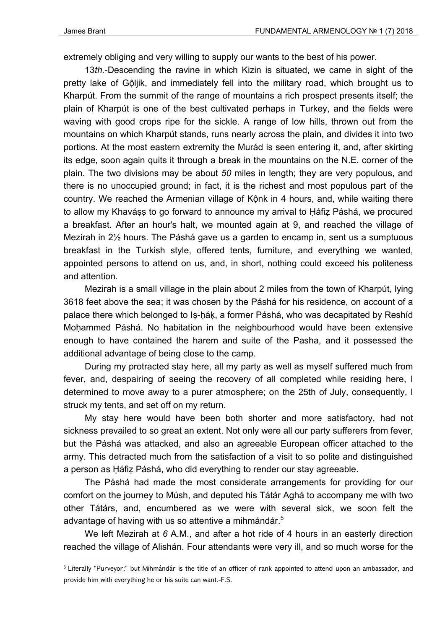1

extremely obliging and very willing to supply our wants to the best of his power.

13*th.*-Descending the ravine in which Kizin is situated, we came in sight of the pretty lake of Gộljik, and immediately fell into the military road, which brought us to Kharpút. From the summit of the range of mountains a rich prospect presents itself; the plain of Kharpút is one of the best cultivated perhaps in Turkey, and the fields were waving with good crops ripe for the sickle. A range of low hills, thrown out from the mountains on which Kharpút stands, runs nearly across the plain, and divides it into two portions. At the most eastern extremity the Murád is seen entering it, and, after skirting its edge, soon again quits it through a break in the mountains on the N.E. corner of the plain. The two divisions may be about *50* miles in length; they are very populous, and there is no unoccupied ground; in fact, it is the richest and most populous part of the country. We reached the Armenian village of Kộnk in 4 hours, and, while waiting there to allow my Khaváṣṣ to go forward to announce my arrival to Ḥáfiẓ Páshá, we procured a breakfast. After an hour's halt, we mounted again at 9, and reached the village of Mezirah in 2½ hours. The Páshá gave us a garden to encamp in, sent us a sumptuous breakfast in the Turkish style, offered tents, furniture, and everything we wanted, appointed persons to attend on us, and, in short, nothing could exceed his politeness and attention.

Mezirah is a small village in the plain about 2 miles from the town of Kharpút, lying 3618 feet above the sea; it was chosen by the Páshá for his residence, on account of a palace there which belonged to Iṣ-ḥáḳ, a former Páshá, who was decapitated by Reshíd Moḥammed Páshá. No habitation in the neighbourhood would have been extensive enough to have contained the harem and suite of the Pasha, and it possessed the additional advantage of being close to the camp.

During my protracted stay here, all my party as well as myself suffered much from fever, and, despairing of seeing the recovery of all completed while residing here, I determined to move away to a purer atmosphere; on the 25th of July, consequently, I struck my tents, and set off on my return.

My stay here would have been both shorter and more satisfactory, had not sickness prevailed to so great an extent. Not only were all our party sufferers from fever, but the Páshá was attacked, and also an agreeable European officer attached to the army. This detracted much from the satisfaction of a visit to so polite and distinguished a person as Ḥáfiẓ Páshá, who did everything to render our stay agreeable.

The Páshá had made the most considerate arrangements for providing for our comfort on the journey to Músh, and deputed his Tátár Aghá to accompany me with two other Tátárs, and, encumbered as we were with several sick, we soon felt the advantage of having with us so attentive a mihmándár.<sup>5</sup>

We left Mezirah at *6* A.M., and after a hot ride of 4 hours in an easterly direction reached the village of Alishán. Four attendants were very ill, and so much worse for the

<sup>5</sup> Literally "Purveyor;" but Mihmándár is the title of an officer of rank appointed to attend upon an ambassador, and provide him with everything he or his suite can want.-F.S.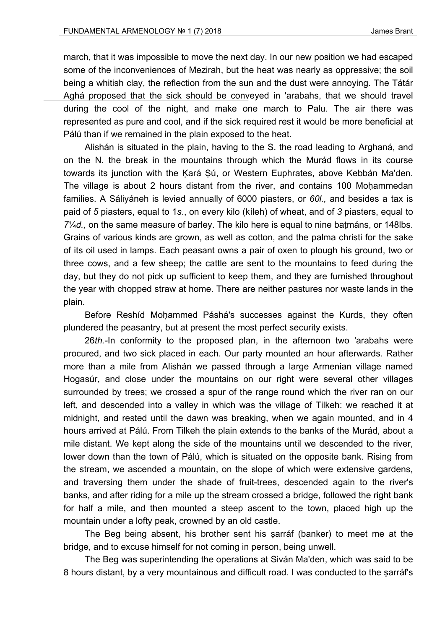march, that it was impossible to move the next day. In our new position we had escaped some of the inconveniences of Mezirah, but the heat was nearly as oppressive; the soil being a whitish clay, the reflection from the sun and the dust were annoying. The Tátár Aghá proposed that the sick should be conveyed in 'arabahs, that we should travel during the cool of the night, and make one march to Palu. The air there was represented as pure and cool, and if the sick required rest it would be more beneficial at Pálú than if we remained in the plain exposed to the heat.

Alishán is situated in the plain, having to the S. the road leading to Arghaná, and on the N. the break in the mountains through which the Murád flows in its course towards its junction with the Kará Sú, or Western Euphrates, above Kebbán Ma'den. The village is about 2 hours distant from the river, and contains 100 Mohammedan families. A Sáliyáneh is levied annually of 6000 piasters, or *60l.,* and besides a tax is paid of *5* piasters, equal to 1*s*., on every kilo (kíleh) of wheat, and of *3* piasters, equal to *7*¼*d.,* on the same measure of barley. The kilo here is equal to nine baṭmáns, or 148lbs. Grains of various kinds are grown, as well as cotton, and the palma christi for the sake of its oil used in lamps. Each peasant owns a pair of oxen to plough his ground, two or three cows, and a few sheep; the cattle are sent to the mountains to feed during the day, but they do not pick up sufficient to keep them, and they are furnished throughout the year with chopped straw at home. There are neither pastures nor waste lands in the plain.

Before Reshíd Mohammed Páshá's successes against the Kurds, they often plundered the peasantry, but at present the most perfect security exists.

26*th.-*In conformity to the proposed plan, in the afternoon two 'arabahs were procured, and two sick placed in each. Our party mounted an hour afterwards. Rather more than a mile from Alishán we passed through a large Armenian village named Hogasúr, and close under the mountains on our right were several other villages surrounded by trees; we crossed a spur of the range round which the river ran on our left, and descended into a valley in which was the village of Tilkeh: we reached it at midnight, and rested until the dawn was breaking, when we again mounted, and in 4 hours arrived at Pálú. From Tilkeh the plain extends to the banks of the Murád, about a mile distant. We kept along the side of the mountains until we descended to the river, lower down than the town of Pálú, which is situated on the opposite bank. Rising from the stream, we ascended a mountain, on the slope of which were extensive gardens, and traversing them under the shade of fruit-trees, descended again to the river's banks, and after riding for a mile up the stream crossed a bridge, followed the right bank for half a mile, and then mounted a steep ascent to the town, placed high up the mountain under a lofty peak, crowned by an old castle.

The Beg being absent, his brother sent his ṣarráf (banker) to meet me at the bridge, and to excuse himself for not coming in person, being unwell.

The Beg was superintending the operations at Siván Ma'den, which was said to be 8 hours distant, by a very mountainous and difficult road. I was conducted to the ṣarráf's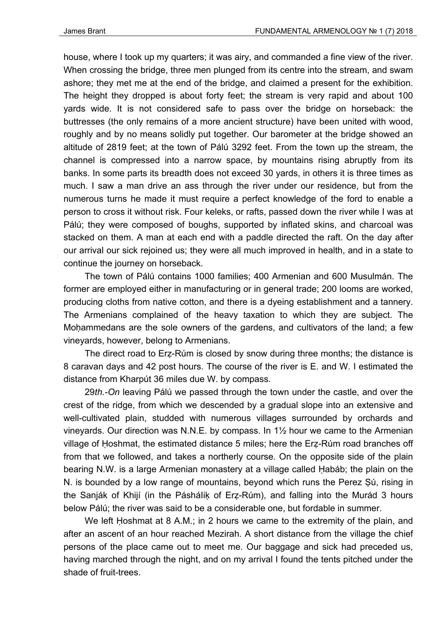house, where I took up my quarters; it was airy, and commanded a fine view of the river. When crossing the bridge, three men plunged from its centre into the stream, and swam ashore; they met me at the end of the bridge, and claimed a present for the exhibition. The height they dropped is about forty feet; the stream is very rapid and about 100 yards wide. It is not considered safe to pass over the bridge on horseback: the buttresses (the only remains of a more ancient structure) have been united with wood, roughly and by no means solidly put together. Our barometer at the bridge showed an altitude of 2819 feet; at the town of Pálú 3292 feet. From the town up the stream, the channel is compressed into a narrow space, by mountains rising abruptly from its banks. In some parts its breadth does not exceed 30 yards, in others it is three times as much. I saw a man drive an ass through the river under our residence, but from the numerous turns he made it must require a perfect knowledge of the ford to enable a person to cross it without risk. Four keleks, or rafts, passed down the river while I was at Pálú; they were composed of boughs, supported by inflated skins, and charcoal was stacked on them. A man at each end with a paddle directed the raft. On the day after our arrival our sick rejoined us; they were all much improved in health, and in a state to continue the journey on horseback.

The town of Pálú contains 1000 families; 400 Armenian and 600 Musulmán. The former are employed either in manufacturing or in general trade; 200 looms are worked, producing cloths from native cotton, and there is a dyeing establishment and a tannery. The Armenians complained of the heavy taxation to which they are subject. The Moḥammedans are the sole owners of the gardens, and cultivators of the land; a few vineyards, however, belong to Armenians.

The direct road to Erẓ-Rúm is closed by snow during three months; the distance is 8 caravan days and 42 post hours. The course of the river is E. and W. I estimated the distance from Kharpút 36 miles due W. by compass.

29*th.-On* leaving Pálú we passed through the town under the castle, and over the crest of the ridge, from which we descended by a gradual slope into an extensive and well-cultivated plain, studded with numerous villages surrounded by orchards and vineyards. Our direction was N.N.E. by compass. In 1½ hour we came to the Armenian village of Ḥoshmat, the estimated distance 5 miles; here the Erẓ-Rúm road branches off from that we followed, and takes a northerly course. On the opposite side of the plain bearing N.W. is a large Armenian monastery at a village called Ḥabáb; the plain on the N. is bounded by a low range of mountains, beyond which runs the Perez Ṣú, rising in the Sanják of Khijí (in the PásháIiḳ of Erẓ-Rúm), and falling into the Murád 3 hours below Pálú; the river was said to be a considerable one, but fordable in summer.

We left Hoshmat at 8 A.M.; in 2 hours we came to the extremity of the plain, and after an ascent of an hour reached Mezirah. A short distance from the village the chief persons of the place came out to meet me. Our baggage and sick had preceded us, having marched through the night, and on my arrival I found the tents pitched under the shade of fruit-trees.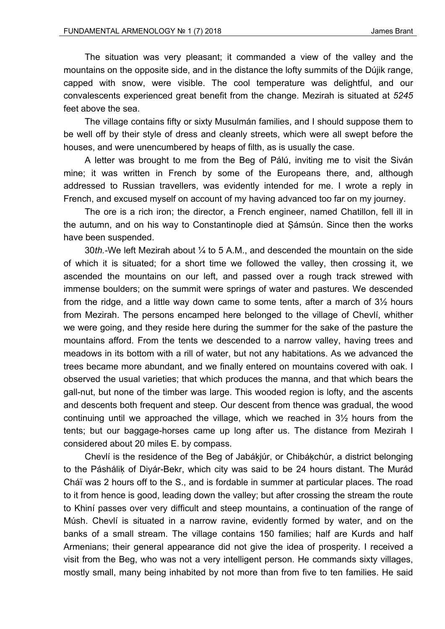The situation was very pleasant; it commanded a view of the valley and the mountains on the opposite side, and in the distance the lofty summits of the Dújik range, capped with snow, were visible. The cool temperature was delightful, and our convalescents experienced great benefit from the change. Mezirah is situated at *5245*  feet above the sea.

The village contains fifty or sixty Musulmán families, and I should suppose them to be well off by their style of dress and cleanly streets, which were all swept before the houses, and were unencumbered by heaps of filth, as is usually the case.

A letter was brought to me from the Beg of Pálú, inviting me to visit the Siván mine; it was written in French by some of the Europeans there, and, although addressed to Russian travellers, was evidently intended for me. I wrote a reply in French, and excused myself on account of my having advanced too far on my journey.

The ore is a rich iron; the director, a French engineer, named Chatillon, fell ill in the autumn, and on his way to Constantinople died at Ṣámsún. Since then the works have been suspended.

30*th.-*We left Mezirah about ¼ to 5 A.M., and descended the mountain on the side of which it is situated; for a short time we followed the valley, then crossing it, we ascended the mountains on our left, and passed over a rough track strewed with immense boulders; on the summit were springs of water and pastures. We descended from the ridge, and a little way down came to some tents, after a march of 3½ hours from Mezirah. The persons encamped here belonged to the village of Chevlí, whither we were going, and they reside here during the summer for the sake of the pasture the mountains afford. From the tents we descended to a narrow valley, having trees and meadows in its bottom with a rill of water, but not any habitations. As we advanced the trees became more abundant, and we finally entered on mountains covered with oak. I observed the usual varieties; that which produces the manna, and that which bears the gall-nut, but none of the timber was large. This wooded region is lofty, and the ascents and descents both frequent and steep. Our descent from thence was gradual, the wood continuing until we approached the village, which we reached in  $3\frac{1}{2}$  hours from the tents; but our baggage-horses came up long after us. The distance from Mezirah I considered about 20 miles E. by compass.

Chevlí is the residence of the Beg of Jabáḳjúr, or Chibáḳchúr, a district belonging to the Pásháliḳ of Diyár-Bekr, which city was said to be 24 hours distant. The Murád Cháï was 2 hours off to the S., and is fordable in summer at particular places. The road to it from hence is good, leading down the valley; but after crossing the stream the route to Khiní passes over very difficult and steep mountains, a continuation of the range of Músh. Chevlí is situated in a narrow ravine, evidently formed by water, and on the banks of a small stream. The village contains 150 families; half are Kurds and half Armenians; their general appearance did not give the idea of prosperity. I received a visit from the Beg, who was not a very intelligent person. He commands sixty villages, mostly small, many being inhabited by not more than from five to ten families. He said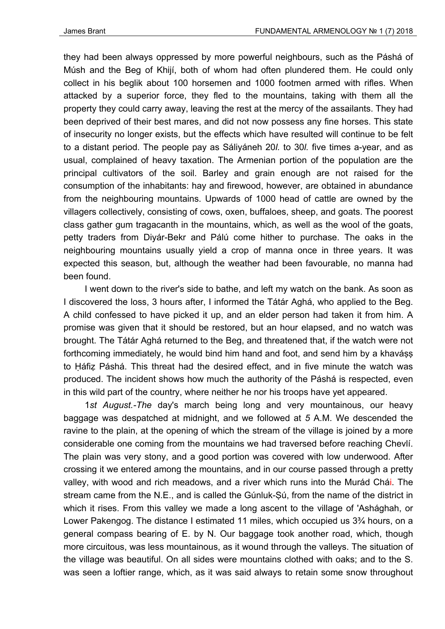they had been always oppressed by more powerful neighbours, such as the Páshá of Músh and the Beg of Khijí, both of whom had often plundered them. He could only collect in his beglik about 100 horsemen and 1000 footmen armed with rifles. When attacked by a superior force, they fled to the mountains, taking with them all the property they could carry away, leaving the rest at the mercy of the assailants. They had been deprived of their best mares, and did not now possess any fine horses. This state of insecurity no longer exists, but the effects which have resulted will continue to be felt to a distant period. The people pay as Sáliyáneh 20*l.* to 30*l.* five times a-year, and as usual, complained of heavy taxation. The Armenian portion of the population are the principal cultivators of the soil. Barley and grain enough are not raised for the consumption of the inhabitants: hay and firewood, however, are obtained in abundance from the neighbouring mountains. Upwards of 1000 head of cattle are owned by the villagers collectively, consisting of cows, oxen, buffaloes, sheep, and goats. The poorest class gather gum tragacanth in the mountains, which, as well as the wool of the goats, petty traders from Diyár-Bekr and Pálú come hither to purchase. The oaks in the neighbouring mountains usually yield a crop of manna once in three years. It was expected this season, but, although the weather had been favourable, no manna had been found.

I went down to the river's side to bathe, and left my watch on the bank. As soon as I discovered the loss, 3 hours after, I informed the Tátár Aghá, who applied to the Beg. A child confessed to have picked it up, and an elder person had taken it from him. A promise was given that it should be restored, but an hour elapsed, and no watch was brought. The Tátár Aghá returned to the Beg, and threatened that, if the watch were not forthcoming immediately, he would bind him hand and foot, and send him by a khaváss to Ḥáfiẓ Páshá. This threat had the desired effect, and in five minute the watch was produced. The incident shows how much the authority of the Páshá is respected, even in this wild part of the country, where neither he nor his troops have yet appeared.

1*st August.-The* day's march being long and very mountainous, our heavy baggage was despatched at midnight, and we followed at *5* A.M. We descended the ravine to the plain, at the opening of which the stream of the village is joined by a more considerable one coming from the mountains we had traversed before reaching Chevlí. The plain was very stony, and a good portion was covered with low underwood. After crossing it we entered among the mountains, and in our course passed through a pretty valley, with wood and rich meadows, and a river which runs into the Murád Chái. The stream came from the N.E., and is called the Gúnluk-Ṣú, from the name of the district in which it rises. From this valley we made a long ascent to the village of 'Ashághah, or Lower Pakengog. The distance I estimated 11 miles, which occupied us  $3\frac{3}{4}$  hours, on a general compass bearing of E. by N. Our baggage took another road, which, though more circuitous, was less mountainous, as it wound through the valleys. The situation of the village was beautiful. On all sides were mountains clothed with oaks; and to the S. was seen a loftier range, which, as it was said always to retain some snow throughout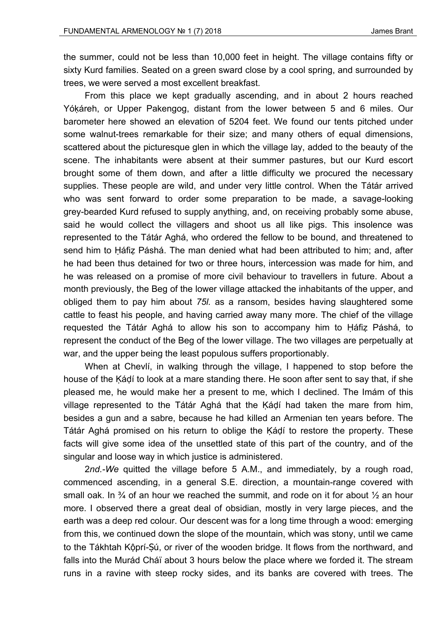the summer, could not be less than 10,000 feet in height. The village contains fifty or sixty Kurd families. Seated on a green sward close by a cool spring, and surrounded by trees, we were served a most excellent breakfast.

From this place we kept gradually ascending, and in about 2 hours reached Yóḳáreh, or Upper Pakengog, distant from the lower between 5 and 6 miles. Our barometer here showed an elevation of 5204 feet. We found our tents pitched under some walnut-trees remarkable for their size; and many others of equal dimensions, scattered about the picturesque glen in which the village lay, added to the beauty of the scene. The inhabitants were absent at their summer pastures, but our Kurd escort brought some of them down, and after a little difficulty we procured the necessary supplies. These people are wild, and under very little control. When the Tátár arrived who was sent forward to order some preparation to be made, a savage-looking grey-bearded Kurd refused to supply anything, and, on receiving probably some abuse, said he would collect the villagers and shoot us all like pigs. This insolence was represented to the Tátár Aghá, who ordered the fellow to be bound, and threatened to send him to Ḥáfiẓ Páshá. The man denied what had been attributed to him; and, after he had been thus detained for two or three hours, intercession was made for him, and he was released on a promise of more civil behaviour to travellers in future. About a month previously, the Beg of the lower village attacked the inhabitants of the upper, and obliged them to pay him about *75l.* as a ransom, besides having slaughtered some cattle to feast his people, and having carried away many more. The chief of the village requested the Tátár Aghá to allow his son to accompany him to Ḥáfiẓ Páshá, to represent the conduct of the Beg of the lower village. The two villages are perpetually at war, and the upper being the least populous suffers proportionably.

When at Chevlí, in walking through the village, I happened to stop before the house of the Kádí to look at a mare standing there. He soon after sent to say that, if she pleased me, he would make her a present to me, which I declined. The Imám of this village represented to the Tátár Aghá that the Kádí had taken the mare from him, besides a gun and a sabre, because he had killed an Armenian ten years before. The Tátár Aghá promised on his return to oblige the Ḳáḍí to restore the property. These facts will give some idea of the unsettled state of this part of the country, and of the singular and loose way in which justice is administered.

2*nd.-We* quitted the village before 5 A.M., and immediately, by a rough road, commenced ascending, in a general S.E. direction, a mountain-range covered with small oak. In  $\frac{3}{4}$  of an hour we reached the summit, and rode on it for about  $\frac{1}{2}$  an hour more. I observed there a great deal of obsidian, mostly in very large pieces, and the earth was a deep red colour. Our descent was for a long time through a wood: emerging from this, we continued down the slope of the mountain, which was stony, until we came to the Tákhtah Kộprí-Ṣú, or river of the wooden bridge. It flows from the northward, and falls into the Murád Cháï about 3 hours below the place where we forded it. The stream runs in a ravine with steep rocky sides, and its banks are covered with trees. The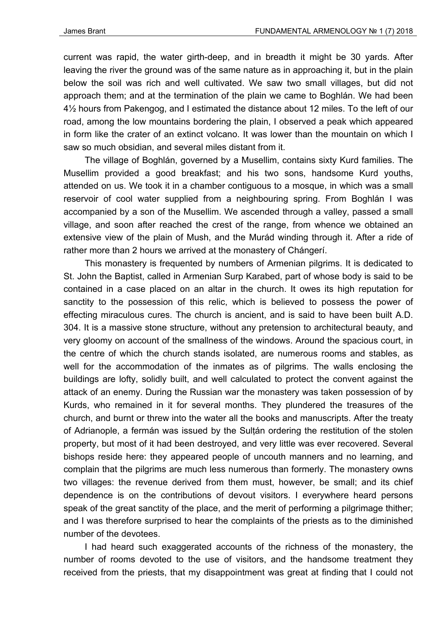current was rapid, the water girth-deep, and in breadth it might be 30 yards. After leaving the river the ground was of the same nature as in approaching it, but in the plain below the soil was rich and well cultivated. We saw two small villages, but did not approach them; and at the termination of the plain we came to Boghlán. We had been 4½ hours from Pakengog, and I estimated the distance about 12 miles. To the left of our road, among the low mountains bordering the plain, I observed a peak which appeared in form like the crater of an extinct volcano. It was lower than the mountain on which I saw so much obsidian, and several miles distant from it.

The village of Boghlán, governed by a Musellim, contains sixty Kurd families. The Musellim provided a good breakfast; and his two sons, handsome Kurd youths, attended on us. We took it in a chamber contiguous to a mosque, in which was a small reservoir of cool water supplied from a neighbouring spring. From Boghlán I was accompanied by a son of the Musellim. We ascended through a valley, passed a small village, and soon after reached the crest of the range, from whence we obtained an extensive view of the plain of Mush, and the Murád winding through it. After a ride of rather more than 2 hours we arrived at the monastery of Chángerí.

This monastery is frequented by numbers of Armenian pilgrims. It is dedicated to St. John the Baptist, called in Armenian Surp Karabed, part of whose body is said to be contained in a case placed on an altar in the church. It owes its high reputation for sanctity to the possession of this relic, which is believed to possess the power of effecting miraculous cures. The church is ancient, and is said to have been built A.D. 304. It is a massive stone structure, without any pretension to architectural beauty, and very gloomy on account of the smallness of the windows. Around the spacious court, in the centre of which the church stands isolated, are numerous rooms and stables, as well for the accommodation of the inmates as of pilgrims. The walls enclosing the buildings are lofty, solidly built, and well calculated to protect the convent against the attack of an enemy. During the Russian war the monastery was taken possession of by Kurds, who remained in it for several months. They plundered the treasures of the church, and burnt or threw into the water all the books and manuscripts. After the treaty of Adrianople, a fermán was issued by the Sulṭán ordering the restitution of the stolen property, but most of it had been destroyed, and very little was ever recovered. Several bishops reside here: they appeared people of uncouth manners and no learning, and complain that the pilgrims are much less numerous than formerly. The monastery owns two villages: the revenue derived from them must, however, be small; and its chief dependence is on the contributions of devout visitors. I everywhere heard persons speak of the great sanctity of the place, and the merit of performing a pilgrimage thither; and I was therefore surprised to hear the complaints of the priests as to the diminished number of the devotees.

I had heard such exaggerated accounts of the richness of the monastery, the number of rooms devoted to the use of visitors, and the handsome treatment they received from the priests, that my disappointment was great at finding that I could not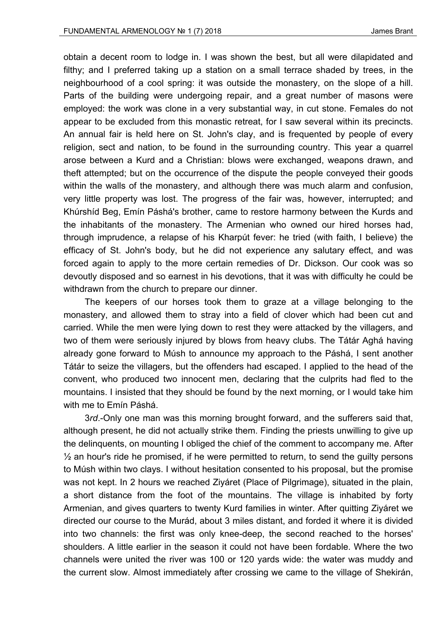obtain a decent room to lodge in. I was shown the best, but all were dilapidated and filthy; and I preferred taking up a station on a small terrace shaded by trees, in the neighbourhood of a cool spring: it was outside the monastery, on the slope of a hill. Parts of the building were undergoing repair, and a great number of masons were employed: the work was clone in a very substantial way, in cut stone. Females do not appear to be excluded from this monastic retreat, for I saw several within its precincts. An annual fair is held here on St. John's clay, and is frequented by people of every religion, sect and nation, to be found in the surrounding country. This year a quarrel arose between a Kurd and a Christian: blows were exchanged, weapons drawn, and theft attempted; but on the occurrence of the dispute the people conveyed their goods within the walls of the monastery, and although there was much alarm and confusion, very little property was lost. The progress of the fair was, however, interrupted; and Khúrshíd Beg, Emín Páshá's brother, came to restore harmony between the Kurds and the inhabitants of the monastery. The Armenian who owned our hired horses had, through imprudence, a relapse of his Kharpút fever: he tried (with faith, I believe) the efficacy of St. John's body, but he did not experience any salutary effect, and was forced again to apply to the more certain remedies of Dr. Dickson. Our cook was so devoutly disposed and so earnest in his devotions, that it was with difficulty he could be withdrawn from the church to prepare our dinner.

The keepers of our horses took them to graze at a village belonging to the monastery, and allowed them to stray into a field of clover which had been cut and carried. While the men were lying down to rest they were attacked by the villagers, and two of them were seriously injured by blows from heavy clubs. The Tátár Aghá having already gone forward to Músh to announce my approach to the Páshá, I sent another Tátár to seize the villagers, but the offenders had escaped. I applied to the head of the convent, who produced two innocent men, declaring that the culprits had fled to the mountains. I insisted that they should be found by the next morning, or I would take him with me to Emín Páshá.

3*rd*.-Only one man was this morning brought forward, and the sufferers said that, although present, he did not actually strike them. Finding the priests unwilling to give up the delinquents, on mounting I obliged the chief of the comment to accompany me. After  $\frac{1}{2}$  an hour's ride he promised, if he were permitted to return, to send the guilty persons to Músh within two clays. I without hesitation consented to his proposal, but the promise was not kept. In 2 hours we reached Ziyáret (Place of Pilgrimage), situated in the plain, a short distance from the foot of the mountains. The village is inhabited by forty Armenian, and gives quarters to twenty Kurd families in winter. After quitting Ziyáret we directed our course to the Murád, about 3 miles distant, and forded it where it is divided into two channels: the first was only knee-deep, the second reached to the horses' shoulders. A little earlier in the season it could not have been fordable. Where the two channels were united the river was 100 or 120 yards wide: the water was muddy and the current slow. Almost immediately after crossing we came to the village of Shekirán,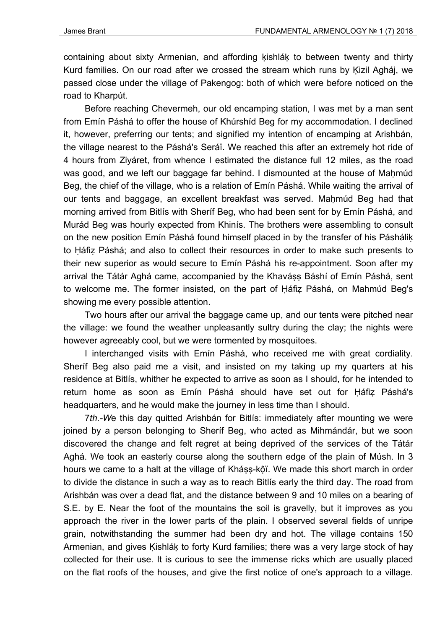containing about sixty Armenian, and affording ḳishláḳ to between twenty and thirty Kurd families. On our road after we crossed the stream which runs by Kizil Agháj, we passed close under the village of Pakengog: both of which were before noticed on the road to Kharpút.

Before reaching Chevermeh, our old encamping station, I was met by a man sent from Emín Páshá to offer the house of Khúrshíd Beg for my accommodation. I declined it, however, preferring our tents; and signified my intention of encamping at Arishbán, the village nearest to the Páshá's Seráï. We reached this after an extremely hot ride of 4 hours from Ziyáret, from whence I estimated the distance full 12 miles, as the road was good, and we left our baggage far behind. I dismounted at the house of Mahmud Beg, the chief of the village, who is a relation of Emín Páshá. While waiting the arrival of our tents and baggage, an excellent breakfast was served. Maḥmúd Beg had that morning arrived from Bitlís with Sheríf Beg, who had been sent for by Emín Páshá, and Murád Beg was hourly expected from Khinís. The brothers were assembling to consult on the new position Emín Páshá found himself placed in by the transfer of his Pásháliḳ to Ḥáfiẓ Páshá; and also to collect their resources in order to make such presents to their new superior as would secure to Emín Páshá his re-appointment. Soon after my arrival the Tátár Aghá came, accompanied by the Khaváṣṣ Báshí of Emín Páshá, sent to welcome me. The former insisted, on the part of Ḥáfiẓ Páshá, on Mahmúd Beg's showing me every possible attention.

Two hours after our arrival the baggage came up, and our tents were pitched near the village: we found the weather unpleasantly sultry during the clay; the nights were however agreeably cool, but we were tormented by mosquitoes.

I interchanged visits with Emín Páshá, who received me with great cordiality. Sheríf Beg also paid me a visit, and insisted on my taking up my quarters at his residence at Bitlís, whither he expected to arrive as soon as I should, for he intended to return home as soon as Emín Páshá should have set out for Ḥáfiẓ Páshá's headquarters, and he would make the journey in less time than I should.

7*th.-W*e this day quitted Arishbán for Bitlís: immediately after mounting we were joined by a person belonging to Sheríf Beg, who acted as Mihmándár, but we soon discovered the change and felt regret at being deprived of the services of the Tátár Aghá. We took an easterly course along the southern edge of the plain of Músh. In 3 hours we came to a halt at the village of Kháṣṣ-kộï. We made this short march in order to divide the distance in such a way as to reach Bitlís early the third day. The road from Arishbán was over a dead flat, and the distance between 9 and 10 miles on a bearing of S.E. by E. Near the foot of the mountains the soil is gravelly, but it improves as you approach the river in the lower parts of the plain. I observed several fields of unripe grain, notwithstanding the summer had been dry and hot. The village contains 150 Armenian, and gives Kishlák to forty Kurd families; there was a very large stock of hay collected for their use. It is curious to see the immense ricks which are usually placed on the flat roofs of the houses, and give the first notice of one's approach to a village.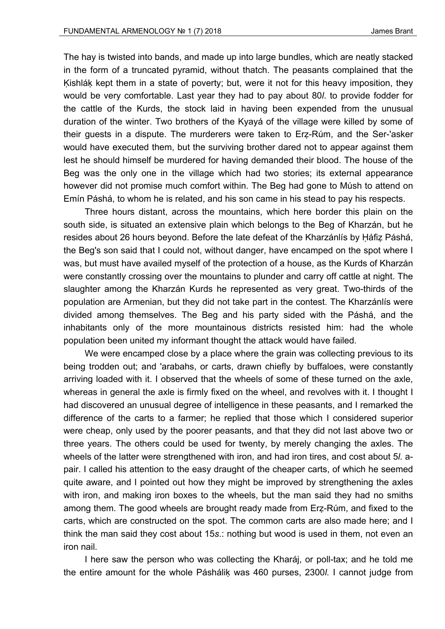The hay is twisted into bands, and made up into large bundles, which are neatly stacked in the form of a truncated pyramid, without thatch. The peasants complained that the Kishlák kept them in a state of poverty; but, were it not for this heavy imposition, they would be very comfortable. Last year they had to pay about 80*l*. to provide fodder for the cattle of the Kurds, the stock laid in having been expended from the unusual duration of the winter. Two brothers of the Kyayá of the village were killed by some of their guests in a dispute. The murderers were taken to Erẓ-Rúm, and the Ser-'asker would have executed them, but the surviving brother dared not to appear against them lest he should himself be murdered for having demanded their blood. The house of the Beg was the only one in the village which had two stories; its external appearance however did not promise much comfort within. The Beg had gone to Músh to attend on Emín Páshá, to whom he is related, and his son came in his stead to pay his respects.

Three hours distant, across the mountains, which here border this plain on the south side, is situated an extensive plain which belongs to the Beg of Kharzán, but he resides about 26 hours beyond. Before the late defeat of the Kharzánlís by Ḥáfiẓ Páshá, the Beg's son said that I could not, without danger, have encamped on the spot where I was, but must have availed myself of the protection of a house, as the Kurds of Kharzán were constantly crossing over the mountains to plunder and carry off cattle at night. The slaughter among the Kharzán Kurds he represented as very great. Two-thirds of the population are Armenian, but they did not take part in the contest. The Kharzánlís were divided among themselves. The Beg and his party sided with the Páshá, and the inhabitants only of the more mountainous districts resisted him: had the whole population been united my informant thought the attack would have failed.

We were encamped close by a place where the grain was collecting previous to its being trodden out; and 'arabahs, or carts, drawn chiefly by buffaloes, were constantly arriving loaded with it. I observed that the wheels of some of these turned on the axle, whereas in general the axle is firmly fixed on the wheel, and revolves with it. I thought I had discovered an unusual degree of intelligence in these peasants, and I remarked the difference of the carts to a farmer; he replied that those which I considered superior were cheap, only used by the poorer peasants, and that they did not last above two or three years. The others could be used for twenty, by merely changing the axles. The wheels of the latter were strengthened with iron, and had iron tires, and cost about 5*l.* apair. I called his attention to the easy draught of the cheaper carts, of which he seemed quite aware, and I pointed out how they might be improved by strengthening the axles with iron, and making iron boxes to the wheels, but the man said they had no smiths among them. The good wheels are brought ready made from Erẓ-Rúm, and fixed to the carts, which are constructed on the spot. The common carts are also made here; and I think the man said they cost about 15*s*.: nothing but wood is used in them, not even an iron nail.

I here saw the person who was collecting the Kharáj, or poll-tax; and he told me the entire amount for the whole Pásháliḳ was 460 purses, 2300*l.* I cannot judge from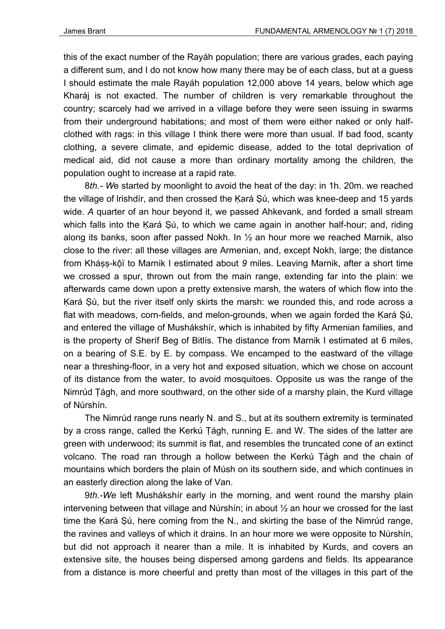this of the exact number of the Rayáh population; there are various grades, each paying a different sum, and I do not know how many there may be of each class, but at a guess I should estimate the male Rayáh population 12,000 above 14 years, below which age Kharáj is not exacted. The number of children is very remarkable throughout the country; scarcely had we arrived in a village before they were seen issuing in swarms from their underground habitations; and most of them were either naked or only halfclothed with rags: in this village I think there were more than usual. If bad food, scanty clothing, a severe climate, and epidemic disease, added to the total deprivation of medical aid, did not cause a more than ordinary mortality among the children, the population ought to increase at a rapid rate.

8*th.- W*e started by moonlight to avoid the heat of the day: in 1h. 20m. we reached the village of lrishdír, and then crossed the Ḳará Ṣú, which was knee-deep and 15 yards wide. *A* quarter of an hour beyond it, we passed Ahkevank, and forded a small stream which falls into the Kará Sú, to which we came again in another half-hour; and, riding along its banks, soon after passed Nokh. In ½ an hour more we reached Marnik, also close to the river: all these villages are Armenian, and, except Nokh, large; the distance from Kháṣṣ-kộï to Marnik I estimated about *9* miles. Leaving Marnik, after a short time we crossed a spur, thrown out from the main range, extending far into the plain: we afterwards came down upon a pretty extensive marsh, the waters of which flow into the Ḳará Ṣú, but the river itself only skirts the marsh: we rounded this, and rode across a flat with meadows, corn-fields, and melon-grounds, when we again forded the Kará Sú, and entered the village of Mushákshír, which is inhabited by fifty Armenian families, and is the property of Sheríf Beg of Bitlís. The distance from Marnik I estimated at 6 miles, on a bearing of S.E. by E. by compass. We encamped to the eastward of the village near a threshing-floor, in a very hot and exposed situation, which we chose on account of its distance from the water, to avoid mosquitoes. Opposite us was the range of the Nimrúd Ṭágh, and more southward, on the other side of a marshy plain, the Kurd village of Núrshín.

The Nimrúd range runs nearly N. and S., but at its southern extremity is terminated by a cross range, called the Kerkú Ṭágh, running E. and W. The sides of the latter are green with underwood; its summit is flat, and resembles the truncated cone of an extinct volcano. The road ran through a hollow between the Kerkú Ṭágh and the chain of mountains which borders the plain of Músh on its southern side, and which continues in an easterly direction along the lake of Van.

9*th.-We* left Mushákshír early in the morning, and went round the marshy plain intervening between that village and Núrshín; in about  $\frac{1}{2}$  an hour we crossed for the last time the Ķará Ṣú, here coming from the N., and skirting the base of the Nimrúd range, the ravines and valleys of which it drains. In an hour more we were opposite to Núrshín, but did not approach it nearer than a mile. It is inhabited by Kurds, and covers an extensive site, the houses being dispersed among gardens and fields. Its appearance from a distance is more cheerful and pretty than most of the villages in this part of the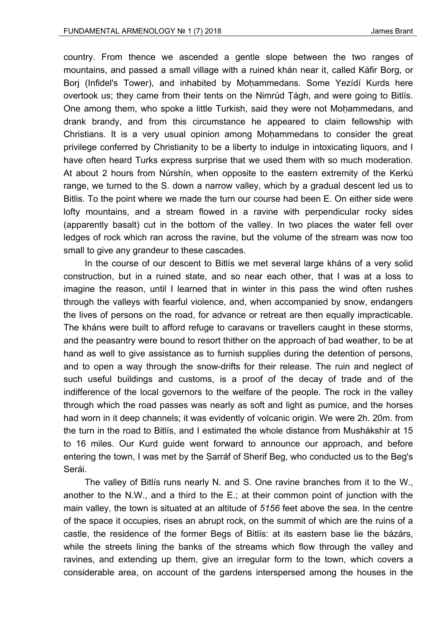country. From thence we ascended a gentle slope between the two ranges of mountains, and passed a small village with a ruined khán near it, called Káfir Borg, or Borj (Infidel's Tower), and inhabited by Moḥammedans. Some Yezídí Kurds here overtook us; they came from their tents on the Nimrúd Ṭágh, and were going to Bitlís. One among them, who spoke a little Turkish, said they were not Mohammedans, and drank brandy, and from this circumstance he appeared to claim fellowship with Christians. It is a very usual opinion among Mohammedans to consider the great privilege conferred by Christianity to be a liberty to indulge in intoxicating liquors, and I have often heard Turks express surprise that we used them with so much moderation. At about 2 hours from Núrshín, when opposite to the eastern extremity of the Kerkú range, we turned to the S. down a narrow valley, which by a gradual descent led us to Bitlis. To the point where we made the turn our course had been E. On either side were lofty mountains, and a stream flowed in a ravine with perpendicular rocky sides (apparently basalt) cut in the bottom of the valley. In two places the water fell over ledges of rock which ran across the ravine, but the volume of the stream was now too small to give any grandeur to these cascades.

In the course of our descent to Bitlís we met several large kháns of a very solid construction, but in a ruined state, and so near each other, that I was at a loss to imagine the reason, until I learned that in winter in this pass the wind often rushes through the valleys with fearful violence, and, when accompanied by snow, endangers the lives of persons on the road, for advance or retreat are then equally impracticable. The kháns were built to afford refuge to caravans or travellers caught in these storms, and the peasantry were bound to resort thither on the approach of bad weather, to be at hand as well to give assistance as to furnish supplies during the detention of persons, and to open a way through the snow-drifts for their release. The ruin and neglect of such useful buildings and customs, is a proof of the decay of trade and of the indifference of the local governors to the welfare of the people. The rock in the valley through which the road passes was nearly as soft and light as pumice, and the horses had worn in it deep channels; it was evidently of volcanic origin. We were 2h. 20m. from the turn in the road to Bitlís, and I estimated the whole distance from Mushákshír at 15 to 16 miles. Our Kurd guide went forward to announce our approach, and before entering the town, I was met by the Ṣarráf of Sherif Beg, who conducted us to the Beg's Serái.

The valley of Bitlís runs nearly N. and S. One ravine branches from it to the W., another to the N.W., and a third to the E.; at their common point of junction with the main valley, the town is situated at an altitude of *5156* feet above the sea. In the centre of the space it occupies, rises an abrupt rock, on the summit of which are the ruins of a castle, the residence of the former Begs of Bitlís: at its eastern base lie the bázárs, while the streets lining the banks of the streams which flow through the valley and ravines, and extending up them, give an irregular form to the town, which covers a considerable area, on account of the gardens interspersed among the houses in the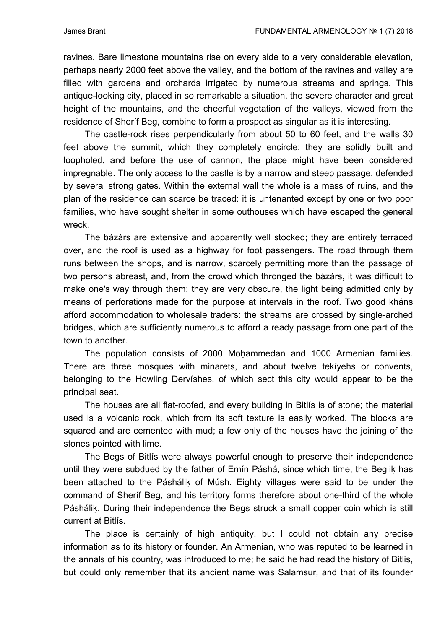ravines. Bare limestone mountains rise on every side to a very considerable elevation, perhaps nearly 2000 feet above the valley, and the bottom of the ravines and valley are filled with gardens and orchards irrigated by numerous streams and springs. This antique-looking city, placed in so remarkable a situation, the severe character and great height of the mountains, and the cheerful vegetation of the valleys, viewed from the residence of Sheríf Beg, combine to form a prospect as singular as it is interesting.

The castle-rock rises perpendicularly from about 50 to 60 feet, and the walls 30 feet above the summit, which they completely encircle; they are solidly built and loopholed, and before the use of cannon, the place might have been considered impregnable. The only access to the castle is by a narrow and steep passage, defended by several strong gates. Within the external wall the whole is a mass of ruins, and the plan of the residence can scarce be traced: it is untenanted except by one or two poor families, who have sought shelter in some outhouses which have escaped the general wreck.

The bázárs are extensive and apparently well stocked; they are entirely terraced over, and the roof is used as a highway for foot passengers. The road through them runs between the shops, and is narrow, scarcely permitting more than the passage of two persons abreast, and, from the crowd which thronged the bázárs, it was difficult to make one's way through them; they are very obscure, the light being admitted only by means of perforations made for the purpose at intervals in the roof. Two good kháns afford accommodation to wholesale traders: the streams are crossed by single-arched bridges, which are sufficiently numerous to afford a ready passage from one part of the town to another.

The population consists of 2000 Moḥammedan and 1000 Armenian families. There are three mosques with minarets, and about twelve tekíyehs or convents, belonging to the Howling Dervíshes, of which sect this city would appear to be the principal seat.

The houses are all flat-roofed, and every building in Bitlís is of stone; the material used is a volcanic rock, which from its soft texture is easily worked. The blocks are squared and are cemented with mud; a few only of the houses have the joining of the stones pointed with lime.

The Begs of Bitlís were always powerful enough to preserve their independence until they were subdued by the father of Emín Páshá, since which time, the Begliḳ has been attached to the Pásháliḳ of Músh. Eighty villages were said to be under the command of Sheríf Beg, and his territory forms therefore about one-third of the whole Pásháliḳ. During their independence the Begs struck a small copper coin which is still current at Bitlís.

The place is certainly of high antiquity, but I could not obtain any precise information as to its history or founder. An Armenian, who was reputed to be learned in the annals of his country, was introduced to me; he said he had read the history of Bitlis, but could only remember that its ancient name was Salamsur, and that of its founder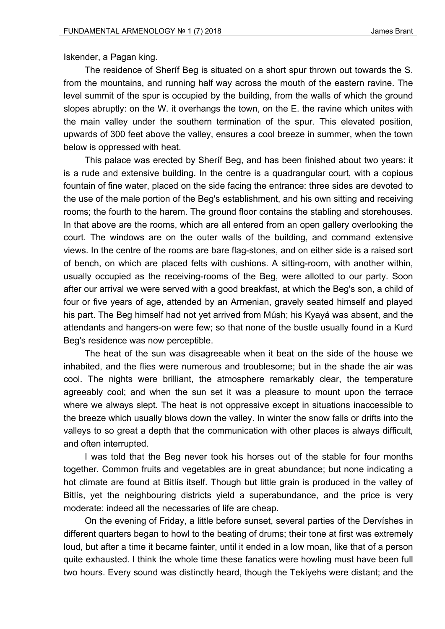Iskender, a Pagan king.

The residence of Sheríf Beg is situated on a short spur thrown out towards the S. from the mountains, and running half way across the mouth of the eastern ravine. The level summit of the spur is occupied by the building, from the walls of which the ground slopes abruptly: on the W. it overhangs the town, on the E. the ravine which unites with the main valley under the southern termination of the spur. This elevated position, upwards of 300 feet above the valley, ensures a cool breeze in summer, when the town below is oppressed with heat.

This palace was erected by Sheríf Beg, and has been finished about two years: it is a rude and extensive building. In the centre is a quadrangular court, with a copious fountain of fine water, placed on the side facing the entrance: three sides are devoted to the use of the male portion of the Beg's establishment, and his own sitting and receiving rooms; the fourth to the harem. The ground floor contains the stabling and storehouses. In that above are the rooms, which are all entered from an open gallery overlooking the court. The windows are on the outer walls of the building, and command extensive views. In the centre of the rooms are bare flag-stones, and on either side is a raised sort of bench, on which are placed felts with cushions. A sitting-room, with another within, usually occupied as the receiving-rooms of the Beg, were allotted to our party. Soon after our arrival we were served with a good breakfast, at which the Beg's son, a child of four or five years of age, attended by an Armenian, gravely seated himself and played his part. The Beg himself had not yet arrived from Músh; his Kyayá was absent, and the attendants and hangers-on were few; so that none of the bustle usually found in a Kurd Beg's residence was now perceptible.

The heat of the sun was disagreeable when it beat on the side of the house we inhabited, and the flies were numerous and troublesome; but in the shade the air was cool. The nights were brilliant, the atmosphere remarkably clear, the temperature agreeably cool; and when the sun set it was a pleasure to mount upon the terrace where we always slept. The heat is not oppressive except in situations inaccessible to the breeze which usually blows down the valley. In winter the snow falls or drifts into the valleys to so great a depth that the communication with other places is always difficult, and often interrupted.

I was told that the Beg never took his horses out of the stable for four months together. Common fruits and vegetables are in great abundance; but none indicating a hot climate are found at Bitlís itself. Though but little grain is produced in the valley of Bitlís, yet the neighbouring districts yield a superabundance, and the price is very moderate: indeed all the necessaries of life are cheap.

On the evening of Friday, a little before sunset, several parties of the Dervíshes in different quarters began to howl to the beating of drums; their tone at first was extremely loud, but after a time it became fainter, until it ended in a low moan, like that of a person quite exhausted. I think the whole time these fanatics were howling must have been full two hours. Every sound was distinctly heard, though the Tekíyehs were distant; and the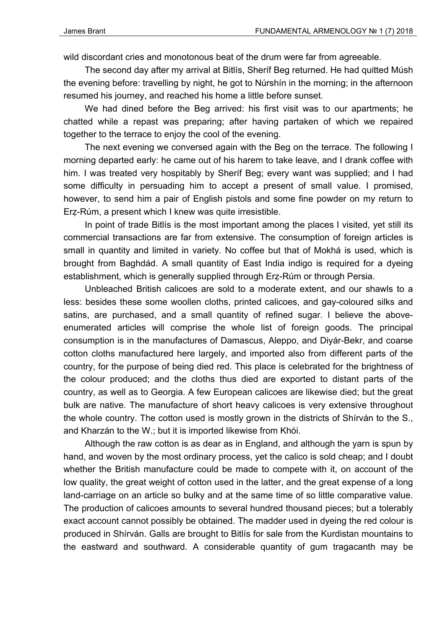wild discordant cries and monotonous beat of the drum were far from agreeable.

The second day after my arrival at Bitlís, Sheríf Beg returned. He had quitted Músh the evening before: travelling by night, he got to Núrshín in the morning; in the afternoon resumed his journey, and reached his home a little before sunset.

We had dined before the Beg arrived: his first visit was to our apartments; he chatted while a repast was preparing; after having partaken of which we repaired together to the terrace to enjoy the cool of the evening.

The next evening we conversed again with the Beg on the terrace. The following I morning departed early: he came out of his harem to take leave, and I drank coffee with him. I was treated very hospitably by Sheríf Beg; every want was supplied; and I had some difficulty in persuading him to accept a present of small value. I promised, however, to send him a pair of English pistols and some fine powder on my return to Erẓ-Rúm, a present which I knew was quite irresistible.

In point of trade Bitlís is the most important among the places I visited, yet still its commercial transactions are far from extensive. The consumption of foreign articles is small in quantity and limited in variety. No coffee but that of Mokhá is used, which is brought from Baghdád. A small quantity of East India indigo is required for a dyeing establishment, which is generally supplied through Erẓ-Rúm or through Persia.

Unbleached British calicoes are sold to a moderate extent, and our shawls to a less: besides these some woollen cloths, printed calicoes, and gay-coloured silks and satins, are purchased, and a small quantity of refined sugar. I believe the aboveenumerated articles will comprise the whole list of foreign goods. The principal consumption is in the manufactures of Damascus, Aleppo, and Diyár-Bekr, and coarse cotton cloths manufactured here largely, and imported also from different parts of the country, for the purpose of being died red. This place is celebrated for the brightness of the colour produced; and the cloths thus died are exported to distant parts of the country, as well as to Georgia. A few European calicoes are likewise died; but the great bulk are native. The manufacture of short heavy calicoes is very extensive throughout the whole country. The cotton used is mostly grown in the districts of Shírván to the S., and Kharzán to the W.; but it is imported likewise from Khói.

Although the raw cotton is as dear as in England, and although the yarn is spun by hand, and woven by the most ordinary process, yet the calico is sold cheap; and I doubt whether the British manufacture could be made to compete with it, on account of the low quality, the great weight of cotton used in the latter, and the great expense of a long land-carriage on an article so bulky and at the same time of so little comparative value. The production of calicoes amounts to several hundred thousand pieces; but a tolerably exact account cannot possibly be obtained. The madder used in dyeing the red colour is produced in Shírván. Galls are brought to Bitlís for sale from the Kurdistan mountains to the eastward and southward. A considerable quantity of gum tragacanth may be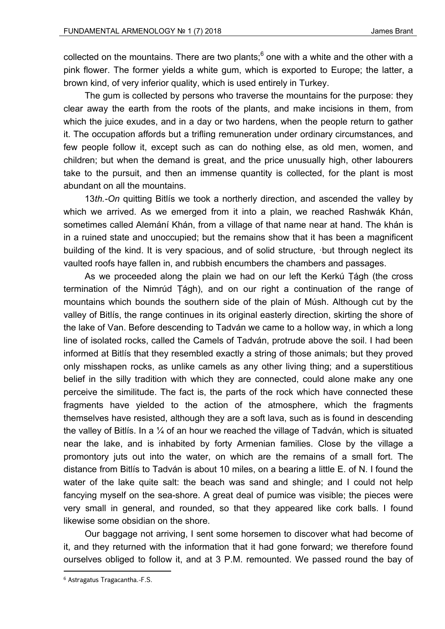collected on the mountains. There are two plants;<sup>6</sup> one with a white and the other with a pink flower. The former yields a white gum, which is exported to Europe; the latter, a brown kind, of very inferior quality, which is used entirely in Turkey.

The gum is collected by persons who traverse the mountains for the purpose: they clear away the earth from the roots of the plants, and make incisions in them, from which the juice exudes, and in a day or two hardens, when the people return to gather it. The occupation affords but a trifling remuneration under ordinary circumstances, and few people follow it, except such as can do nothing else, as old men, women, and children; but when the demand is great, and the price unusually high, other labourers take to the pursuit, and then an immense quantity is collected, for the plant is most abundant on all the mountains.

13*th.-On* quitting Bitlís we took a northerly direction, and ascended the valley by which we arrived. As we emerged from it into a plain, we reached Rashwák Khán, sometimes called Alemání Khán, from a village of that name near at hand. The khán is in a ruined state and unoccupied; but the remains show that it has been a magnificent building of the kind. It is very spacious, and of solid structure, ·but through neglect its vaulted roofs haye fallen in, and rubbish encumbers the chambers and passages.

As we proceeded along the plain we had on our left the Kerkú Ṭágh (the cross termination of the Nimrúd Ṭágh), and on our right a continuation of the range of mountains which bounds the southern side of the plain of Músh. Although cut by the valley of Bitlís, the range continues in its original easterly direction, skirting the shore of the lake of Van. Before descending to Tadván we came to a hollow way, in which a long line of isolated rocks, called the Camels of Tadván, protrude above the soil. I had been informed at Bitlís that they resembled exactly a string of those animals; but they proved only misshapen rocks, as unlike camels as any other living thing; and a superstitious belief in the silly tradition with which they are connected, could alone make any one perceive the similitude. The fact is, the parts of the rock which have connected these fragments have yielded to the action of the atmosphere, which the fragments themselves have resisted, although they are a soft lava, such as is found in descending the valley of Bitlis. In a  $\frac{1}{4}$  of an hour we reached the village of Tadván, which is situated near the lake, and is inhabited by forty Armenian families. Close by the village a promontory juts out into the water, on which are the remains of a small fort. The distance from Bitlís to Tadván is about 10 miles, on a bearing a little E. of N. I found the water of the lake quite salt: the beach was sand and shingle; and I could not help fancying myself on the sea-shore. A great deal of pumice was visible; the pieces were very small in general, and rounded, so that they appeared like cork balls. I found likewise some obsidian on the shore.

Our baggage not arriving, I sent some horsemen to discover what had become of it, and they returned with the information that it had gone forward; we therefore found ourselves obliged to follow it, and at 3 P.M. remounted. We passed round the bay of

<u>.</u>

<sup>6</sup> Astragatus Tragacantha.-F.S.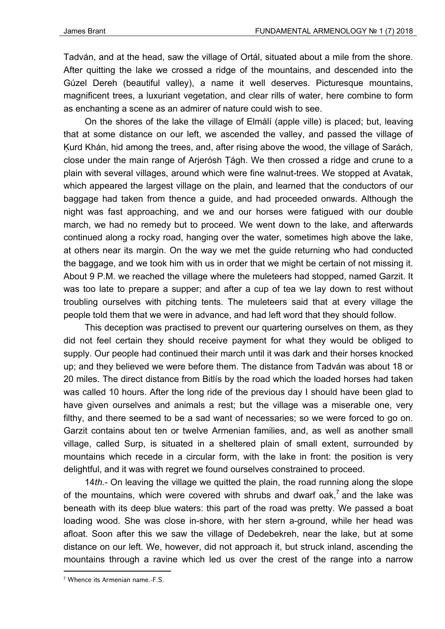Tadván, and at the head, saw the village of Ortál, situated about a mile from the shore. After quitting the lake we crossed a ridge of the mountains, and descended into the Gúzel Dereh (beautiful valley), a name it well deserves. Picturesque mountains, magnificent trees, a luxuriant vegetation, and clear rills of water, here combine to form as enchanting a scene as an admirer of nature could wish to see.

On the shores of the lake the village of Elmálí (apple ville) is placed; but, leaving that at some distance on our left, we ascended the valley, and passed the village of Ḳurd Khán, hid among the trees, and, after rising above the wood, the village of Sarách, close under the main range of Arjerósh Ṭágh. We then crossed a ridge and crune to a plain with several villages, around which were fine walnut-trees. We stopped at Avatak, which appeared the largest village on the plain, and learned that the conductors of our baggage had taken from thence a guide, and had proceeded onwards. Although the night was fast approaching, and we and our horses were fatigued with our double march, we had no remedy but to proceed. We went down to the lake, and afterwards continued along a rocky road, hanging over the water, sometimes high above the lake, at others near its margin. On the way we met the guide returning who had conducted the baggage, and we took him with us in order that we might be certain of not missing it. About 9 P.M. we reached the village where the muleteers had stopped, named Garzit. It was too late to prepare a supper; and after a cup of tea we lay down to rest without troubling ourselves with pitching tents. The muleteers said that at every village the people told them that we were in advance, and had left word that they should follow.

This deception was practised to prevent our quartering ourselves on them, as they did not feel certain they should receive payment for what they would be obliged to supply. Our people had continued their march until it was dark and their horses knocked up; and they believed we were before them. The distance from Tadván was about 18 or 20 miles. The direct distance from Bitlís by the road which the loaded horses had taken was called 10 hours. After the long ride of the previous day I should have been glad to have given ourselves and animals a rest; but the village was a miserable one, very filthy, and there seemed to be a sad want of necessaries; so we were forced to go on. Garzit contains about ten or twelve Armenian families, and, as well as another small village, called Surp, is situated in a sheltered plain of small extent, surrounded by mountains which recede in a circular form, with the lake in front: the position is very delightful, and it was with regret we found ourselves constrained to proceed.

14*th*.- On leaving the village we quitted the plain, the road running along the slope of the mountains, which were covered with shrubs and dwarf oak,<sup>7</sup> and the lake was beneath with its deep blue waters: this part of the road was pretty. We passed a boat loading wood. She was close in-shore, with her stern a-ground, while her head was afloat. Soon after this we saw the village of Dedebekreh, near the lake, but at some distance on our left. We, however, did not approach it, but struck inland, ascending the mountains through a ravine which led us over the crest of the range into a narrow

<u>.</u>

<sup>7</sup> Whence its Armenian name.-F.S.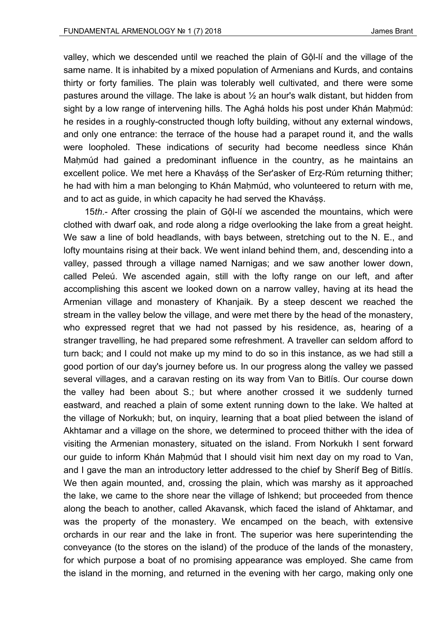valley, which we descended until we reached the plain of Gộl-lí and the village of the same name. It is inhabited by a mixed population of Armenians and Kurds, and contains thirty or forty families. The plain was tolerably well cultivated, and there were some pastures around the village. The lake is about  $\frac{1}{2}$  an hour's walk distant, but hidden from sight by a low range of intervening hills. The Aghá holds his post under Khán Mahmúd: he resides in a roughly-constructed though lofty building, without any external windows, and only one entrance: the terrace of the house had a parapet round it, and the walls were loopholed. These indications of security had become needless since Khán Mahmúd had gained a predominant influence in the country, as he maintains an excellent police. We met here a Khaváss of the Ser'asker of Erz-Rúm returning thither; he had with him a man belonging to Khán Mahmúd, who volunteered to return with me, and to act as guide, in which capacity he had served the Khaváṣṣ.

15*th*.- After crossing the plain of Gộl-lí we ascended the mountains, which were clothed with dwarf oak, and rode along a ridge overlooking the lake from a great height. We saw a line of bold headlands, with bays between, stretching out to the N. E., and lofty mountains rising at their back. We went inland behind them, and, descending into a valley, passed through a village named Narnigas; and we saw another lower down, called Peleú. We ascended again, still with the lofty range on our left, and after accomplishing this ascent we looked down on a narrow valley, having at its head the Armenian village and monastery of Khanjaik. By a steep descent we reached the stream in the valley below the village, and were met there by the head of the monastery, who expressed regret that we had not passed by his residence, as, hearing of a stranger travelling, he had prepared some refreshment. A traveller can seldom afford to turn back; and I could not make up my mind to do so in this instance, as we had still a good portion of our day's journey before us. In our progress along the valley we passed several villages, and a caravan resting on its way from Van to Bitlís. Our course down the valley had been about S.; but where another crossed it we suddenly turned eastward, and reached a plain of some extent running down to the lake. We halted at the village of Norkukh; but, on inquiry, learning that a boat plied between the island of Akhtamar and a village on the shore, we determined to proceed thither with the idea of visiting the Armenian monastery, situated on the island. From Norkukh I sent forward our guide to inform Khán Mahmúd that I should visit him next day on my road to Van, and I gave the man an introductory letter addressed to the chief by Sheríf Beg of Bitlís. We then again mounted, and, crossing the plain, which was marshy as it approached the lake, we came to the shore near the village of lshkend; but proceeded from thence along the beach to another, called Akavansk, which faced the island of Ahktamar, and was the property of the monastery. We encamped on the beach, with extensive orchards in our rear and the lake in front. The superior was here superintending the conveyance (to the stores on the island) of the produce of the lands of the monastery, for which purpose a boat of no promising appearance was employed. She came from the island in the morning, and returned in the evening with her cargo, making only one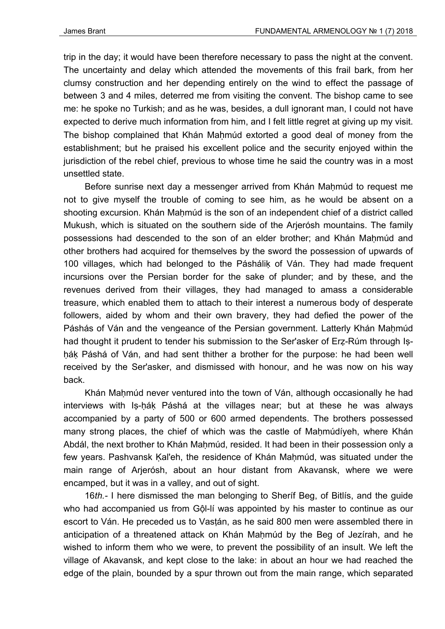trip in the day; it would have been therefore necessary to pass the night at the convent. The uncertainty and delay which attended the movements of this frail bark, from her clumsy construction and her depending entirely on the wind to effect the passage of between 3 and 4 miles, deterred me from visiting the convent. The bishop came to see me: he spoke no Turkish; and as he was, besides, a dull ignorant man, I could not have expected to derive much information from him, and I felt little regret at giving up my visit. The bishop complained that Khán Mahmúd extorted a good deal of money from the establishment; but he praised his excellent police and the security enjoyed within the jurisdiction of the rebel chief, previous to whose time he said the country was in a most unsettled state.

Before sunrise next day a messenger arrived from Khán Mahmúd to request me not to give myself the trouble of coming to see him, as he would be absent on a shooting excursion. Khán Maḥmúd is the son of an independent chief of a district called Mukush, which is situated on the southern side of the Arjerósh mountains. The family possessions had descended to the son of an elder brother; and Khán Maḥmúd and other brothers had acquired for themselves by the sword the possession of upwards of 100 villages, which had belonged to the Páshálik of Ván. They had made frequent incursions over the Persian border for the sake of plunder; and by these, and the revenues derived from their villages, they had managed to amass a considerable treasure, which enabled them to attach to their interest a numerous body of desperate followers, aided by whom and their own bravery, they had defied the power of the Páshás of Ván and the vengeance of the Persian government. Latterly Khán Mahmúd had thought it prudent to tender his submission to the Ser'asker of Erẓ-Rúm through Iṣḥáḳ Páshá of Ván, and had sent thither a brother for the purpose: he had been well received by the Ser'asker, and dismissed with honour, and he was now on his way back.

Khán Maḥmúd never ventured into the town of Ván, although occasionally he had interviews with Iṣ-ḥáḳ Páshá at the villages near; but at these he was always accompanied by a party of 500 or 600 armed dependents. The brothers possessed many strong places, the chief of which was the castle of Mahmúdíyeh, where Khán Abdál, the next brother to Khán Maḥmúd, resided. It had been in their possession only a few years. Pashvansk Kal'eh, the residence of Khán Maḥmúd, was situated under the main range of Arjerósh, about an hour distant from Akavansk, where we were encamped, but it was in a valley, and out of sight.

16*th.-* I here dismissed the man belonging to Sheríf Beg, of Bitlís, and the guide who had accompanied us from Gộl-lí was appointed by his master to continue as our escort to Ván. He preceded us to Vasṭán, as he said 800 men were assembled there in anticipation of a threatened attack on Khán Maḥmúd by the Beg of Jezírah, and he wished to inform them who we were, to prevent the possibility of an insult. We left the village of Akavansk, and kept close to the lake: in about an hour we had reached the edge of the plain, bounded by a spur thrown out from the main range, which separated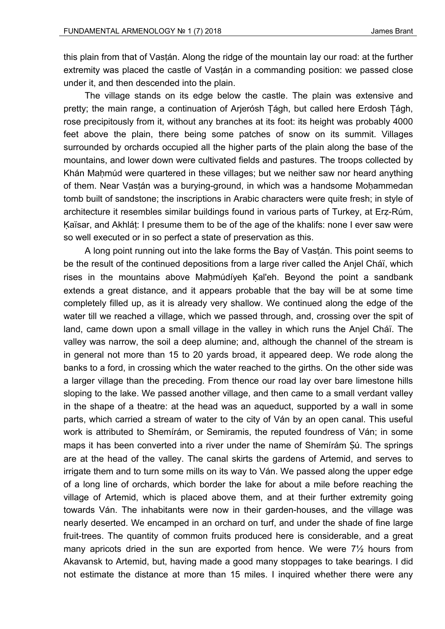this plain from that of Vasṭán. Along the ridge of the mountain lay our road: at the further extremity was placed the castle of Vasṭán in a commanding position: we passed close under it, and then descended into the plain.

The village stands on its edge below the castle. The plain was extensive and pretty; the main range, a continuation of Arjerósh Ṭágh, but called here Erdosh Ṭágh, rose precipitously from it, without any branches at its foot: its height was probably 4000 feet above the plain, there being some patches of snow on its summit. Villages surrounded by orchards occupied all the higher parts of the plain along the base of the mountains, and lower down were cultivated fields and pastures. The troops collected by Khán Maḥmúd were quartered in these villages; but we neither saw nor heard anything of them. Near Vasṭán was a burying-ground, in which was a handsome Moḥammedan tomb built of sandstone; the inscriptions in Arabic characters were quite fresh; in style of architecture it resembles similar buildings found in various parts of Turkey, at Erẓ-Rúm, Kaïsar, and Akhlát: I presume them to be of the age of the khalifs: none I ever saw were so well executed or in so perfect a state of preservation as this.

A long point running out into the lake forms the Bay of Vasṭán. This point seems to be the result of the continued depositions from a large river called the Anjel Cháï, which rises in the mountains above Mahmúdíyeh Kal'eh. Beyond the point a sandbank extends a great distance, and it appears probable that the bay will be at some time completely filled up, as it is already very shallow. We continued along the edge of the water till we reached a village, which we passed through, and, crossing over the spit of land, came down upon a small village in the valley in which runs the Anjel Cháï. The valley was narrow, the soil a deep alumine; and, although the channel of the stream is in general not more than 15 to 20 yards broad, it appeared deep. We rode along the banks to a ford, in crossing which the water reached to the girths. On the other side was a larger village than the preceding. From thence our road lay over bare limestone hills sloping to the lake. We passed another village, and then came to a small verdant valley in the shape of a theatre: at the head was an aqueduct, supported by a wall in some parts, which carried a stream of water to the city of Ván by an open canal. This useful work is attributed to Shemírám, or Semiramis, the reputed foundress of Ván; in some maps it has been converted into a river under the name of Shemírám Ṣú. The springs are at the head of the valley. The canal skirts the gardens of Artemid, and serves to irrigate them and to turn some mills on its way to Ván. We passed along the upper edge of a long line of orchards, which border the lake for about a mile before reaching the village of Artemid, which is placed above them, and at their further extremity going towards Ván. The inhabitants were now in their garden-houses, and the village was nearly deserted. We encamped in an orchard on turf, and under the shade of fine large fruit-trees. The quantity of common fruits produced here is considerable, and a great many apricots dried in the sun are exported from hence. We were 7½ hours from Akavansk to Artemid, but, having made a good many stoppages to take bearings. I did not estimate the distance at more than 15 miles. I inquired whether there were any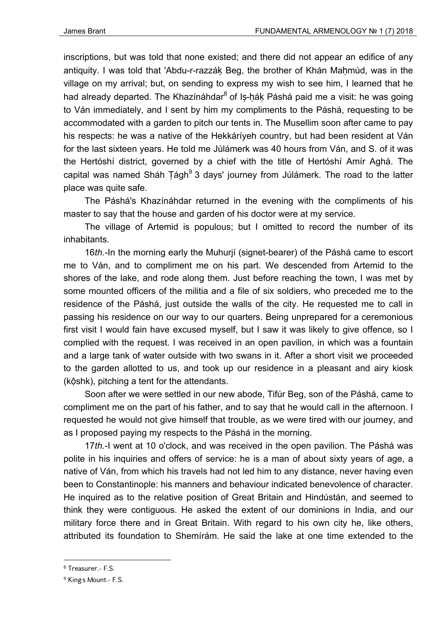inscriptions, but was told that none existed; and there did not appear an edifice of any antiquity. I was told that 'Abdu-r-razzák Beg, the brother of Khán Mahmúd, was in the village on my arrival; but, on sending to express my wish to see him, I learned that he had already departed. The Khazínáhdar<sup>8</sup> of Iṣ-ḥáķ Páshá paid me a visit: he was going to Ván immediately, and I sent by him my compliments to the Páshá, requesting to be accommodated with a garden to pitch our tents in. The Musellim soon after came to pay his respects: he was a native of the Hekkáríyeh country, but had been resident at Ván for the last sixteen years. He told me Júlámerk was 40 hours from Ván, and S. of it was the Hertóshí district, governed by a chief with the title of Hertóshí Amír Aghá. The capital was named Sháh Ṭágh<sup>9</sup> 3 days' journey from Júlámerk. The road to the latter place was quite safe.

The Páshá's Khazínáhdar returned in the evening with the compliments of his master to say that the house and garden of his doctor were at my service.

The village of Artemid is populous; but I omitted to record the number of its inhabitants.

16*th.-*In the morning early the Muhurjí (signet-bearer) of the Páshá came to escort me to Ván, and to compliment me on his part. We descended from Artemid to the shores of the lake, and rode along them. Just before reaching the town, I was met by some mounted officers of the militia and a file of six soldiers, who preceded me to the residence of the Páshá, just outside the walls of the city. He requested me to call in passing his residence on our way to our quarters. Being unprepared for a ceremonious first visit I would fain have excused myself, but I saw it was likely to give offence, so I complied with the request. I was received in an open pavilion, in which was a fountain and a large tank of water outside with two swans in it. After a short visit we proceeded to the garden allotted to us, and took up our residence in a pleasant and airy kiosk (kộshk), pitching a tent for the attendants.

Soon after we were settled in our new abode, Tifúr Beg, son of the Páshá, came to compliment me on the part of his father, and to say that he would call in the afternoon. I requested he would not give himself that trouble, as we were tired with our journey, and as I proposed paying my respects to the Páshá in the morning.

17*th.*-I went at 10 o'clock, and was received in the open pavilion. The Páshá was polite in his inquiries and offers of service: he is a man of about sixty years of age, a native of Ván, from which his travels had not led him to any distance, never having even been to Constantinople: his manners and behaviour indicated benevolence of character. He inquired as to the relative position of Great Britain and Hindústán, and seemed to think they were contiguous. He asked the extent of our dominions in India, and our military force there and in Great Britain. With regard to his own city he, like others, attributed its foundation to Shemírám. He said the lake at one time extended to the

1

<sup>8</sup> Treasurer.- F.S.

<sup>&</sup>lt;sup>9</sup> King<sub>'</sub>s Mount.- F.S.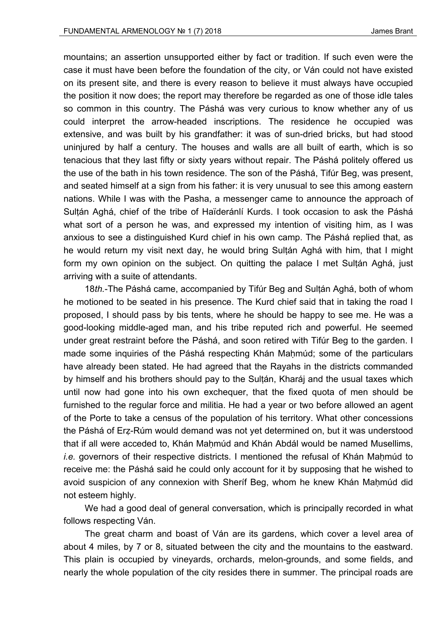mountains; an assertion unsupported either by fact or tradition. If such even were the case it must have been before the foundation of the city, or Ván could not have existed on its present site, and there is every reason to believe it must always have occupied the position it now does; the report may therefore be regarded as one of those idle tales so common in this country. The Páshá was very curious to know whether any of us could interpret the arrow-headed inscriptions. The residence he occupied was extensive, and was built by his grandfather: it was of sun-dried bricks, but had stood uninjured by half a century. The houses and walls are all built of earth, which is so tenacious that they last fifty or sixty years without repair. The Páshá politely offered us the use of the bath in his town residence. The son of the Páshá, Tifúr Beg, was present, and seated himself at a sign from his father: it is very unusual to see this among eastern nations. While I was with the Pasha, a messenger came to announce the approach of Sulṭán Aghá, chief of the tribe of Haïderánlí Kurds. I took occasion to ask the Páshá what sort of a person he was, and expressed my intention of visiting him, as I was anxious to see a distinguished Kurd chief in his own camp. The Páshá replied that, as he would return my visit next day, he would bring Sulṭán Aghá with him, that I might form my own opinion on the subject. On quitting the palace I met Sulṭán Aghá, just arriving with a suite of attendants.

18*th.*-The Páshá came, accompanied by Tifúr Beg and Sulṭán Aghá, both of whom he motioned to be seated in his presence. The Kurd chief said that in taking the road I proposed, I should pass by bis tents, where he should be happy to see me. He was a good-looking middle-aged man, and his tribe reputed rich and powerful. He seemed under great restraint before the Páshá, and soon retired with Tifúr Beg to the garden. I made some inquiries of the Páshá respecting Khán Maḥmúd; some of the particulars have already been stated. He had agreed that the Rayahs in the districts commanded by himself and his brothers should pay to the Sulṭán, Kharáj and the usual taxes which until now had gone into his own exchequer, that the fixed quota of men should be furnished to the regular force and militia. He had a year or two before allowed an agent of the Porte to take a census of the population of his territory. What other concessions the Páshá of Erẓ-Rúm would demand was not yet determined on, but it was understood that if all were acceded to, Khán Maḥmúd and Khán Abdál would be named Musellims, *i.e.* governors of their respective districts. I mentioned the refusal of Khán Maḥmúd to receive me: the Páshá said he could only account for it by supposing that he wished to avoid suspicion of any connexion with Sheríf Beg, whom he knew Khán Maḥmúd did not esteem highly.

We had a good deal of general conversation, which is principally recorded in what follows respecting Ván.

The great charm and boast of Ván are its gardens, which cover a level area of about 4 miles, by 7 or 8, situated between the city and the mountains to the eastward. This plain is occupied by vineyards, orchards, melon-grounds, and some fields, and nearly the whole population of the city resides there in summer. The principal roads are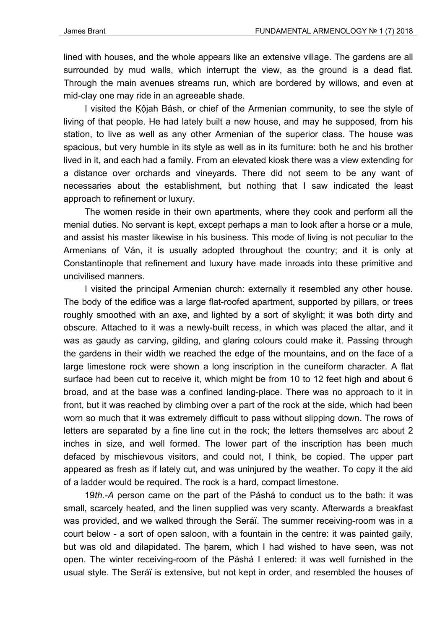lined with houses, and the whole appears like an extensive village. The gardens are all surrounded by mud walls, which interrupt the view, as the ground is a dead flat. Through the main avenues streams run, which are bordered by willows, and even at mid-clay one may ride in an agreeable shade.

I visited the Kôjah Básh, or chief of the Armenian community, to see the style of living of that people. He had lately built a new house, and may he supposed, from his station, to live as well as any other Armenian of the superior class. The house was spacious, but very humble in its style as well as in its furniture: both he and his brother lived in it, and each had a family. From an elevated kiosk there was a view extending for a distance over orchards and vineyards. There did not seem to be any want of necessaries about the establishment, but nothing that I saw indicated the least approach to refinement or luxury.

The women reside in their own apartments, where they cook and perform all the menial duties. No servant is kept, except perhaps a man to look after a horse or a mule, and assist his master likewise in his business. This mode of living is not peculiar to the Armenians of Ván, it is usually adopted throughout the country; and it is only at Constantinople that refinement and luxury have made inroads into these primitive and uncivilised manners.

I visited the principal Armenian church: externally it resembled any other house. The body of the edifice was a large flat-roofed apartment, supported by pillars, or trees roughly smoothed with an axe, and lighted by a sort of skylight; it was both dirty and obscure. Attached to it was a newly-built recess, in which was placed the altar, and it was as gaudy as carving, gilding, and glaring colours could make it. Passing through the gardens in their width we reached the edge of the mountains, and on the face of a large limestone rock were shown a long inscription in the cuneiform character. A flat surface had been cut to receive it, which might be from 10 to 12 feet high and about 6 broad, and at the base was a confined landing-place. There was no approach to it in front, but it was reached by climbing over a part of the rock at the side, which had been worn so much that it was extremely difficult to pass without slipping down. The rows of letters are separated by a fine line cut in the rock; the letters themselves arc about 2 inches in size, and well formed. The lower part of the inscription has been much defaced by mischievous visitors, and could not, I think, be copied. The upper part appeared as fresh as if lately cut, and was uninjured by the weather. To copy it the aid of a ladder would be required. The rock is a hard, compact limestone.

19*th.-A* person came on the part of the Páshá to conduct us to the bath: it was small, scarcely heated, and the linen supplied was very scanty. Afterwards a breakfast was provided, and we walked through the Seráï. The summer receiving-room was in a court below - a sort of open saloon, with a fountain in the centre: it was painted gaily, but was old and dilapidated. The ḥarem, which I had wished to have seen, was not open. The winter receiving-room of the Páshá I entered: it was well furnished in the usual style. The Seráï is extensive, but not kept in order, and resembled the houses of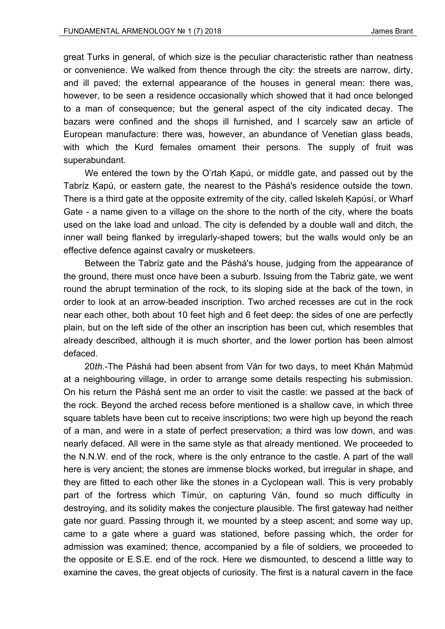great Turks in general, of which size is the peculiar characteristic rather than neatness or convenience. We walked from thence through the city: the streets are narrow, dirty, and ill paved; the external appearance of the houses in general mean: there was, however, to be seen a residence occasionally which showed that it had once belonged to a man of consequence; but the general aspect of the city indicated decay. The bazars were confined and the shops ill furnished, and I scarcely saw an article of European manufacture: there was, however, an abundance of Venetian glass beads, with which the Kurd females ornament their persons. The supply of fruit was superabundant.

We entered the town by the O'rtah Kapú, or middle gate, and passed out by the Tabríz Ḳapú, or eastern gate, the nearest to the Páshá's residence outside the town. There is a third gate at the opposite extremity of the city, called Iskeleh Kapúsí, or Wharf Gate - a name given to a village on the shore to the north of the city, where the boats used on the lake load and unload. The city is defended by a double wall and ditch, the inner wall being flanked by irregularly-shaped towers; but the walls would only be an effective defence against cavalry or musketeers.

Between the Tabríz gate and the Páshá's house, judging from the appearance of the ground, there must once have been a suburb. Issuing from the Tabriz gate, we went round the abrupt termination of the rock, to its sloping side at the back of the town, in order to look at an arrow-beaded inscription. Two arched recesses are cut in the rock near each other, both about 10 feet high and 6 feet deep: the sides of one are perfectly plain, but on the left side of the other an inscription has been cut, which resembles that already described, although it is much shorter, and the lower portion has been almost defaced.

20th.-The Páshá had been absent from Ván for two days, to meet Khán Mahmúd at a neighbouring village, in order to arrange some details respecting his submission. On his return the Páshá sent me an order to visit the castle: we passed at the back of the rock. Beyond the arched recess before mentioned is a shallow cave, in which three square tablets have been cut to receive inscriptions; two were high up beyond the reach of a man, and were in a state of perfect preservation; a third was low down, and was nearly defaced. All were in the same style as that already mentioned. We proceeded to the N.N.W. end of the rock, where is the only entrance to the castle. A part of the wall here is very ancient; the stones are immense blocks worked, but irregular in shape, and they are fitted to each other like the stones in a Cyclopean wall. This is very probably part of the fortress which Tímúr, on capturing Ván, found so much difficulty in destroying, and its solidity makes the conjecture plausible. The first gateway had neither gate nor guard. Passing through it, we mounted by a steep ascent; and some way up, came to a gate where a guard was stationed, before passing which, the order for admission was examined; thence, accompanied by a file of soldiers, we proceeded to the opposite or E.S.E. end of the rock. Here we dismounted, to descend a little way to examine the caves, the great objects of curiosity. The first is a natural cavern in the face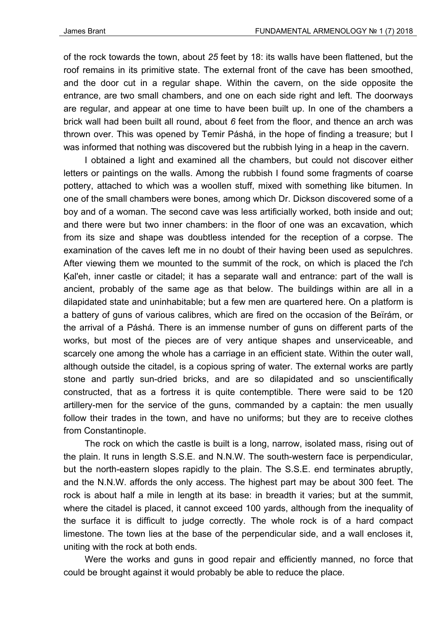of the rock towards the town, about *25* feet by 18: its walls have been flattened, but the roof remains in its primitive state. The external front of the cave has been smoothed, and the door cut in a regular shape. Within the cavern, on the side opposite the entrance, are two small chambers, and one on each side right and left. The doorways are regular, and appear at one time to have been built up. In one of the chambers a brick wall had been built all round, about *6* feet from the floor, and thence an arch was thrown over. This was opened by Temir Páshá, in the hope of finding a treasure; but I was informed that nothing was discovered but the rubbish lying in a heap in the cavern.

I obtained a light and examined all the chambers, but could not discover either letters or paintings on the walls. Among the rubbish I found some fragments of coarse pottery, attached to which was a woollen stuff, mixed with something like bitumen. In one of the small chambers were bones, among which Dr. Dickson discovered some of a boy and of a woman. The second cave was less artificially worked, both inside and out; and there were but two inner chambers: in the floor of one was an excavation, which from its size and shape was doubtless intended for the reception of a corpse. The examination of the caves left me in no doubt of their having been used as sepulchres. After viewing them we mounted to the summit of the rock, on which is placed the l'ch Kal'eh, inner castle or citadel; it has a separate wall and entrance: part of the wall is ancient, probably of the same age as that below. The buildings within are all in a dilapidated state and uninhabitable; but a few men are quartered here. On a platform is a battery of guns of various calibres, which are fired on the occasion of the Beïrám, or the arrival of a Páshá. There is an immense number of guns on different parts of the works, but most of the pieces are of very antique shapes and unserviceable, and scarcely one among the whole has a carriage in an efficient state. Within the outer wall, although outside the citadel, is a copious spring of water. The external works are partly stone and partly sun-dried bricks, and are so dilapidated and so unscientifically constructed, that as a fortress it is quite contemptible. There were said to be 120 artillery-men for the service of the guns, commanded by a captain: the men usually follow their trades in the town, and have no uniforms; but they are to receive clothes from Constantinople.

The rock on which the castle is built is a long, narrow, isolated mass, rising out of the plain. It runs in length S.S.E. and N.N.W. The south-western face is perpendicular, but the north-eastern slopes rapidly to the plain. The S.S.E. end terminates abruptly, and the N.N.W. affords the only access. The highest part may be about 300 feet. The rock is about half a mile in length at its base: in breadth it varies; but at the summit, where the citadel is placed, it cannot exceed 100 yards, although from the inequality of the surface it is difficult to judge correctly. The whole rock is of a hard compact limestone. The town lies at the base of the perpendicular side, and a wall encloses it, uniting with the rock at both ends.

Were the works and guns in good repair and efficiently manned, no force that could be brought against it would probably be able to reduce the place.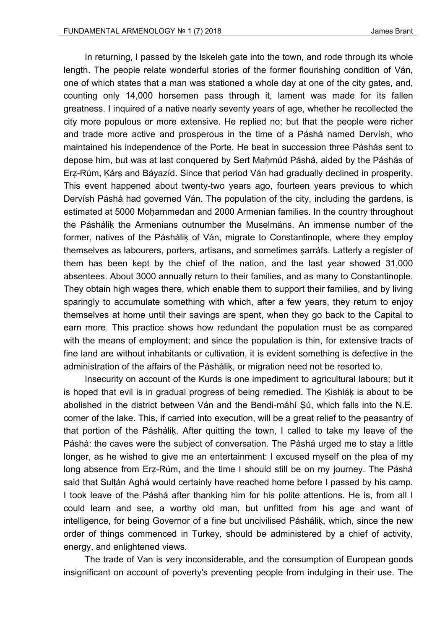In returning, I passed by the Iskeleh gate into the town, and rode through its whole length. The people relate wonderful stories of the former flourishing condition of Ván, one of which states that a man was stationed a whole day at one of the city gates, and, counting only 14,000 horsemen pass through it, lament was made for its fallen greatness. I inquired of a native nearly seventy years of age, whether he recollected the city more populous or more extensive. He replied no; but that the people were richer and trade more active and prosperous in the time of a Páshá named Dervísh, who maintained his independence of the Porte. He beat in succession three Páshás sent to depose him, but was at last conquered by Sert Mahmúd Páshá, aided by the Páshás of Erẓ-Rúm, Ḳárṣ and Báyazíd. Since that period Ván had gradually declined in prosperity. This event happened about twenty-two years ago, fourteen years previous to which Dervísh Páshá had governed Ván. The population of the city, including the gardens, is estimated at 5000 Mohammedan and 2000 Armenian families. In the country throughout the Pásháliḳ the Armenians outnumber the Muselmáns. An immense number of the former, natives of the Pásháliḳ of Ván, migrate to Constantinople, where they employ themselves as labourers, porters, artisans, and sometimes sarráfs. Latterly a register of them has been kept by the chief of the nation, and the last year showed 31,000 absentees. About 3000 annually return to their families, and as many to Constantinople. They obtain high wages there, which enable them to support their families, and by living sparingly to accumulate something with which, after a few years, they return to enjoy themselves at home until their savings are spent, when they go back to the Capital to earn more. This practice shows how redundant the population must be as compared with the means of employment; and since the population is thin, for extensive tracts of fine land are without inhabitants or cultivation, it is evident something is defective in the administration of the affairs of the Pásháliḳ, or migration need not be resorted to.

Insecurity on account of the Kurds is one impediment to agricultural labours; but it is hoped that evil is in gradual progress of being remedied. The Ḳishláḳ is about to be abolished in the district between Ván and the Bendi-máhí Ṣú, which falls into the N.E. corner of the lake. This, if carried into execution, will be a great relief to the peasantry of that portion of the Pásháliḳ. After quitting the town, I called to take my leave of the Páshá: the caves were the subject of conversation. The Páshá urged me to stay a little longer, as he wished to give me an entertainment: I excused myself on the plea of my long absence from Erẓ-Rúm, and the time I should still be on my journey. The Páshá said that Sulṭán Aghá would certainly have reached home before I passed by his camp. I took leave of the Páshá after thanking him for his polite attentions. He is, from all I could learn and see, a worthy old man, but unfitted from his age and want of intelligence, for being Governor of a fine but uncivilised Pásháliḳ, which, since the new order of things commenced in Turkey, should be administered by a chief of activity, energy, and enlightened views.

The trade of Van is very inconsiderable, and the consumption of European goods insignificant on account of poverty's preventing people from indulging in their use. The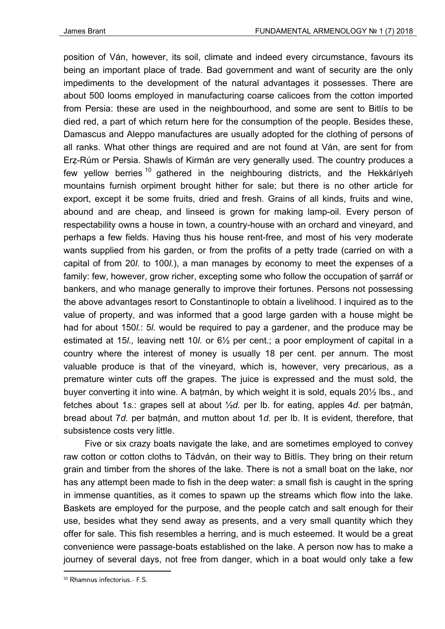position of Ván, however, its soil, climate and indeed every circumstance, favours its being an important place of trade. Bad government and want of security are the only impediments to the development of the natural advantages it possesses. There are about 500 looms employed in manufacturing coarse calicoes from the cotton imported from Persia: these are used in the neighbourhood, and some are sent to Bitlís to be died red, a part of which return here for the consumption of the people. Besides these, Damascus and Aleppo manufactures are usually adopted for the clothing of persons of all ranks. What other things are required and are not found at Ván, are sent for from Erẓ-Rúm or Persia. Shawls of Kirmán are very generally used. The country produces a few yellow berries  $10$  gathered in the neighbouring districts, and the Hekkáríyeh mountains furnish orpiment brought hither for sale; but there is no other article for export, except it be some fruits, dried and fresh. Grains of all kinds, fruits and wine, abound and are cheap, and linseed is grown for making lamp-oil. Every person of respectability owns a house in town, a country-house with an orchard and vineyard, and perhaps a few fields. Having thus his house rent-free, and most of his very moderate wants supplied from his garden, or from the profits of a petty trade (carried on with a capital of from 20*l.* to 100*l.*), a man manages by economy to meet the expenses of a family: few, however, grow richer, excepting some who follow the occupation of sarráf or bankers, and who manage generally to improve their fortunes. Persons not possessing the above advantages resort to Constantinople to obtain a livelihood. I inquired as to the value of property, and was informed that a good large garden with a house might be had for about 150*l.*: 5*l.* would be required to pay a gardener, and the produce may be estimated at 15*l.,* leaving nett 10*l.* or 6½ per cent.; a poor employment of capital in a country where the interest of money is usually 18 per cent. per annum. The most valuable produce is that of the vineyard, which is, however, very precarious, as a premature winter cuts off the grapes. The juice is expressed and the must sold, the buyer converting it into wine. A baṭmán, by which weight it is sold, equals 20½ lbs., and fetches about 1*s.*: grapes sell at about ½*d.* per lb. for eating, apples 4*d.* per baṭmán, bread about 7*d.* per baṭmán, and mutton about 1*d.* per lb. It is evident, therefore, that subsistence costs very little.

Five or six crazy boats navigate the lake, and are sometimes employed to convey raw cotton or cotton cloths to Tádván, on their way to Bitlís. They bring on their return grain and timber from the shores of the lake. There is not a small boat on the lake, nor has any attempt been made to fish in the deep water: a small fish is caught in the spring in immense quantities, as it comes to spawn up the streams which flow into the lake. Baskets are employed for the purpose, and the people catch and salt enough for their use, besides what they send away as presents, and a very small quantity which they offer for sale. This fish resembles a herring, and is much esteemed. It would be a great convenience were passage-boats established on the lake. A person now has to make a journey of several days, not free from danger, which in a boat would only take a few

<u>.</u>

<sup>10</sup> Rhamnus infectorius.- F.S.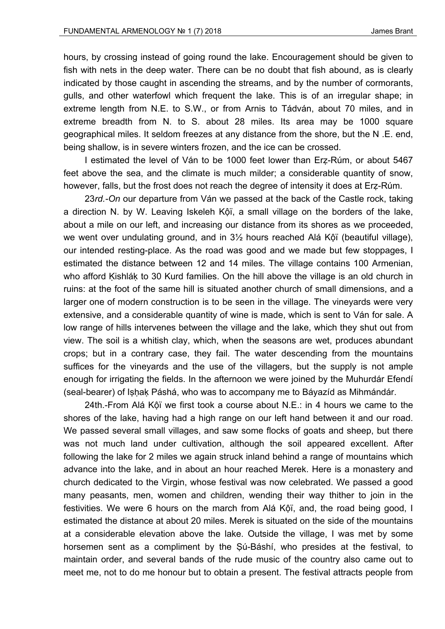hours, by crossing instead of going round the lake. Encouragement should be given to fish with nets in the deep water. There can be no doubt that fish abound, as is clearly indicated by those caught in ascending the streams, and by the number of cormorants, gulls, and other waterfowl which frequent the lake. This is of an irregular shape; in extreme length from N.E. to S.W., or from Arnis to Tádván, about 70 miles, and in extreme breadth from N. to S. about 28 miles. Its area may be 1000 square geographical miles. It seldom freezes at any distance from the shore, but the N .E. end, being shallow, is in severe winters frozen, and the ice can be crossed.

I estimated the level of Ván to be 1000 feet lower than Erẓ-Rúm, or about 5467 feet above the sea, and the climate is much milder; a considerable quantity of snow, however, falls, but the frost does not reach the degree of intensity it does at Erẓ-Rúm.

23*rd.-On* our departure from Ván we passed at the back of the Castle rock, taking a direction N. by W. Leaving Iskeleh Kộï, a small village on the borders of the lake, about a mile on our left, and increasing our distance from its shores as we proceeded, we went over undulating ground, and in 3½ hours reached Alá Kộï (beautiful village), our intended resting-place. As the road was good and we made but few stoppages, I estimated the distance between 12 and 14 miles. The village contains 100 Armenian, who afford Kishlák to 30 Kurd families. On the hill above the village is an old church in ruins: at the foot of the same hill is situated another church of small dimensions, and a larger one of modern construction is to be seen in the village. The vineyards were very extensive, and a considerable quantity of wine is made, which is sent to Ván for sale. A low range of hills intervenes between the village and the lake, which they shut out from view. The soil is a whitish clay, which, when the seasons are wet, produces abundant crops; but in a contrary case, they fail. The water descending from the mountains suffices for the vineyards and the use of the villagers, but the supply is not ample enough for irrigating the fields. In the afternoon we were joined by the Muhurdár Efendí (seal-bearer) of Iṣḥaḳ Páshá, who was to accompany me to Báyazíd as Mihmándár.

24th.-From Alá Kộï we first took a course about N.E.: in 4 hours we came to the shores of the lake, having had a high range on our left hand between it and our road. We passed several small villages, and saw some flocks of goats and sheep, but there was not much land under cultivation, although the soil appeared excellent. After following the lake for 2 miles we again struck inland behind a range of mountains which advance into the lake, and in about an hour reached Merek. Here is a monastery and church dedicated to the Virgin, whose festival was now celebrated. We passed a good many peasants, men, women and children, wending their way thither to join in the festivities. We were 6 hours on the march from Alá Kộï, and, the road being good, I estimated the distance at about 20 miles. Merek is situated on the side of the mountains at a considerable elevation above the lake. Outside the village, I was met by some horsemen sent as a compliment by the Ṣú-Báshí, who presides at the festival, to maintain order, and several bands of the rude music of the country also came out to meet me, not to do me honour but to obtain a present. The festival attracts people from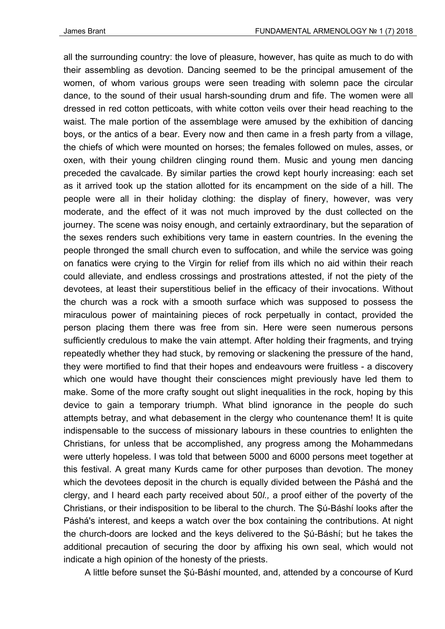all the surrounding country: the love of pleasure, however, has quite as much to do with their assembling as devotion. Dancing seemed to be the principal amusement of the women, of whom various groups were seen treading with solemn pace the circular dance, to the sound of their usual harsh-sounding drum and fife. The women were all dressed in red cotton petticoats, with white cotton veils over their head reaching to the waist. The male portion of the assemblage were amused by the exhibition of dancing boys, or the antics of a bear. Every now and then came in a fresh party from a village, the chiefs of which were mounted on horses; the females followed on mules, asses, or oxen, with their young children clinging round them. Music and young men dancing preceded the cavalcade. By similar parties the crowd kept hourly increasing: each set as it arrived took up the station allotted for its encampment on the side of a hill. The people were all in their holiday clothing: the display of finery, however, was very moderate, and the effect of it was not much improved by the dust collected on the journey. The scene was noisy enough, and certainly extraordinary, but the separation of the sexes renders such exhibitions very tame in eastern countries. In the evening the people thronged the small church even to suffocation, and while the service was going on fanatics were crying to the Virgin for relief from ills which no aid within their reach could alleviate, and endless crossings and prostrations attested, if not the piety of the devotees, at least their superstitious belief in the efficacy of their invocations. Without the church was a rock with a smooth surface which was supposed to possess the miraculous power of maintaining pieces of rock perpetually in contact, provided the person placing them there was free from sin. Here were seen numerous persons sufficiently credulous to make the vain attempt. After holding their fragments, and trying repeatedly whether they had stuck, by removing or slackening the pressure of the hand, they were mortified to find that their hopes and endeavours were fruitless - a discovery which one would have thought their consciences might previously have led them to make. Some of the more crafty sought out slight inequalities in the rock, hoping by this device to gain a temporary triumph. What blind ignorance in the people do such attempts betray, and what debasement in the clergy who countenance them! It is quite indispensable to the success of missionary labours in these countries to enlighten the Christians, for unless that be accomplished, any progress among the Mohammedans were utterly hopeless. I was told that between 5000 and 6000 persons meet together at this festival. A great many Kurds came for other purposes than devotion. The money which the devotees deposit in the church is equally divided between the Páshá and the clergy, and I heard each party received about 50*l.,* a proof either of the poverty of the Christians, or their indisposition to be liberal to the church. The Ṣú-Báshí looks after the Páshá's interest, and keeps a watch over the box containing the contributions. At night the church-doors are locked and the keys delivered to the Ṣú-Báshí; but he takes the additional precaution of securing the door by affixing his own seal, which would not indicate a high opinion of the honesty of the priests.

A little before sunset the Ṣú-Báshí mounted, and, attended by a concourse of Kurd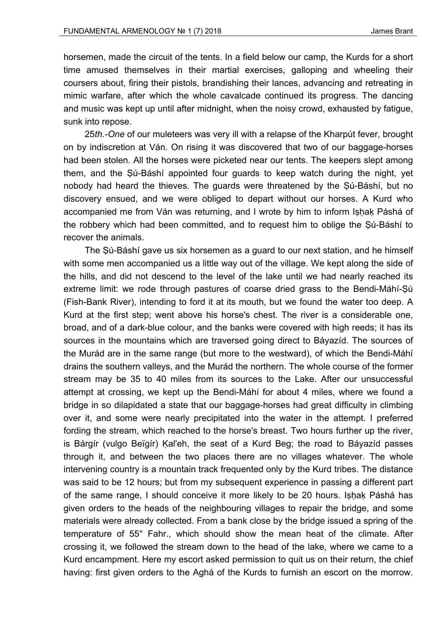horsemen, made the circuit of the tents. In a field below our camp, the Kurds for a short time amused themselves in their martial exercises, galloping and wheeling their coursers about, firing their pistols, brandishing their lances, advancing and retreating in mimic warfare, after which the whole cavalcade continued its progress. The dancing and music was kept up until after midnight, when the noisy crowd, exhausted by fatigue, sunk into repose.

25*th.-One* of our muleteers was very ill with a relapse of the Kharpút fever, brought on by indiscretion at Ván. On rising it was discovered that two of our baggage-horses had been stolen. All the horses were picketed near our tents. The keepers slept among them, and the Ṣú-Báshí appointed four guards to keep watch during the night, yet nobody had heard the thieves. The guards were threatened by the Ṣú-Báshí, but no discovery ensued, and we were obliged to depart without our horses. A Kurd who accompanied me from Ván was returning, and I wrote by him to inform Iṣḥaḳ Páshá of the robbery which had been committed, and to request him to oblige the Ṣú-Báshí to recover the animals.

The Ṣú-Báshí gave us six horsemen as a guard to our next station, and he himself with some men accompanied us a little way out of the village. We kept along the side of the hills, and did not descend to the level of the lake until we had nearly reached its extreme limit: we rode through pastures of coarse dried grass to the Bendi-Máhí-Ṣú (Fish-Bank River), intending to ford it at its mouth, but we found the water too deep. A Kurd at the first step; went above his horse's chest. The river is a considerable one, broad, and of a dark-blue colour, and the banks were covered with high reeds; it has its sources in the mountains which are traversed going direct to Báyazíd. The sources of the Murád are in the same range (but more to the westward), of which the Bendi-Máhí drains the southern valleys, and the Murád the northern. The whole course of the former stream may be 35 to 40 miles from its sources to the Lake. After our unsuccessful attempt at crossing, we kept up the Bendi-Máhí for about 4 miles, where we found a bridge in so dilapidated a state that our baggage-horses had great difficulty in climbing over it, and some were nearly precipitated into the water in the attempt. I preferred fording the stream, which reached to the horse's breast. Two hours further up the river, is Bárgír (vulgo Beïgír) Ḳal'eh, the seat of a Kurd Beg; the road to Báyazíd passes through it, and between the two places there are no villages whatever. The whole intervening country is a mountain track frequented only by the Kurd tribes. The distance was said to be 12 hours; but from my subsequent experience in passing a different part of the same range, I should conceive it more likely to be 20 hours. Ishak Páshá has given orders to the heads of the neighbouring villages to repair the bridge, and some materials were already collected. From a bank close by the bridge issued a spring of the temperature of 55° Fahr., which should show the mean heat of the climate. After crossing it, we followed the stream down to the head of the lake, where we came to a Kurd encampment. Here my escort asked permission to quit us on their return, the chief having: first given orders to the Aghá of the Kurds to furnish an escort on the morrow.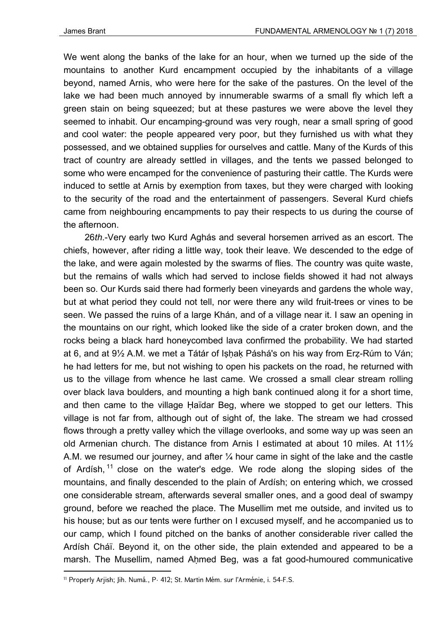We went along the banks of the lake for an hour, when we turned up the side of the mountains to another Kurd encampment occupied by the inhabitants of a village beyond, named Arnis, who were here for the sake of the pastures. On the level of the lake we had been much annoyed by innumerable swarms of a small fly which left a green stain on being squeezed; but at these pastures we were above the level they seemed to inhabit. Our encamping-ground was very rough, near a small spring of good and cool water: the people appeared very poor, but they furnished us with what they possessed, and we obtained supplies for ourselves and cattle. Many of the Kurds of this tract of country are already settled in villages, and the tents we passed belonged to some who were encamped for the convenience of pasturing their cattle. The Kurds were induced to settle at Arnis by exemption from taxes, but they were charged with looking to the security of the road and the entertainment of passengers. Several Kurd chiefs came from neighbouring encampments to pay their respects to us during the course of the afternoon.

26*th*.-Very early two Kurd Aghás and several horsemen arrived as an escort. The chiefs, however, after riding a little way, took their leave. We descended to the edge of the lake, and were again molested by the swarms of flies. The country was quite waste, but the remains of walls which had served to inclose fields showed it had not always been so. Our Kurds said there had formerly been vineyards and gardens the whole way, but at what period they could not tell, nor were there any wild fruit-trees or vines to be seen. We passed the ruins of a large Khán, and of a village near it. I saw an opening in the mountains on our right, which looked like the side of a crater broken down, and the rocks being a black hard honeycombed lava confirmed the probability. We had started at 6, and at 9½ A.M. we met a Tátár of Iṣḥaḳ Páshá's on his way from Erẓ-Rúm to Ván; he had letters for me, but not wishing to open his packets on the road, he returned with us to the village from whence he last came. We crossed a small clear stream rolling over black lava boulders, and mounting a high bank continued along it for a short time, and then came to the village Ḥaïdar Beg, where we stopped to get our letters. This village is not far from, although out of sight of, the lake. The stream we had crossed flows through a pretty valley which the village overlooks, and some way up was seen an old Armenian church. The distance from Arnis I estimated at about 10 miles. At 11½ A.M. we resumed our journey, and after  $\frac{1}{4}$  hour came in sight of the lake and the castle of Ardísh, <sup>11</sup> close on the water's edge. We rode along the sloping sides of the mountains, and finally descended to the plain of Ardísh; on entering which, we crossed one considerable stream, afterwards several smaller ones, and a good deal of swampy ground, before we reached the place. The Musellim met me outside, and invited us to his house; but as our tents were further on I excused myself, and he accompanied us to our camp, which I found pitched on the banks of another considerable river called the Ardísh Cháï. Beyond it, on the other side, the plain extended and appeared to be a marsh. The Musellim, named Ahmed Beg, was a fat good-humoured communicative

<u>.</u>

<sup>11</sup> Properly Arjish; Jih. Numá., P· 412; St. Martin Mém. sur l'Arménie, i. 54-F.S.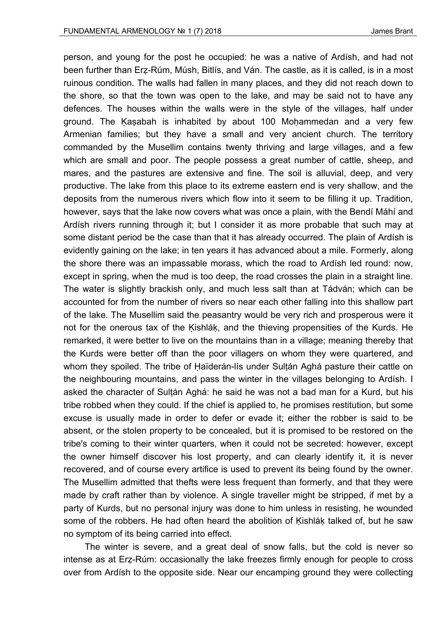person, and young for the post he occupied: he was a native of Ardísh, and had not been further than Erẓ-Rúm, Músh, Bitlís, and Ván. The castle, as it is called, is in a most ruinous condition. The walls had fallen in many places, and they did not reach down to the shore, so that the town was open to the lake, and may be said not to have any defences. The houses within the walls were in the style of the villages, half under ground. The Kasabah is inhabited by about 100 Moḥammedan and a very few Armenian families; but they have a small and very ancient church. The territory commanded by the Musellim contains twenty thriving and large villages, and a few which are small and poor. The people possess a great number of cattle, sheep, and mares, and the pastures are extensive and fine. The soil is alluvial, deep, and very productive. The lake from this place to its extreme eastern end is very shallow, and the deposits from the numerous rivers which flow into it seem to be filling it up. Tradition, however, says that the lake now covers what was once a plain, with the Bendí Máhí and Ardísh rivers running through it; but I consider it as more probable that such may at some distant period be the case than that it has already occurred. The plain of Ardísh is evidently gaining on the lake; in ten years it has advanced about a mile. Formerly, along the shore there was an impassable morass, which the road to Ardísh led round: now, except in spring, when the mud is too deep, the road crosses the plain in a straight line. The water is slightly brackish only, and much less salt than at Tádván; which can be accounted for from the number of rivers so near each other falling into this shallow part of the lake. The Musellim said the peasantry would be very rich and prosperous were it not for the onerous tax of the Kishlák, and the thieving propensities of the Kurds. He remarked, it were better to live on the mountains than in a village; meaning thereby that the Kurds were better off than the poor villagers on whom they were quartered, and whom they spoiled. The tribe of Ḥaïderán-lís under Sulṭán Aghá pasture their cattle on the neighbouring mountains, and pass the winter in the villages belonging to Ardísh. I asked the character of Sulṭán Aghá: he said he was not a bad man for a Kurd, but his tribe robbed when they could. If the chief is applied to, he promises restitution, but some excuse is usually made in order to defer or evade it; either the robber is said to be absent, or the stolen property to be concealed, but it is promised to be restored on the tribe's coming to their winter quarters, when it could not be secreted: however, except the owner himself discover his lost property, and can clearly identify it, it is never recovered, and of course every artifice is used to prevent its being found by the owner. The Musellim admitted that thefts were less frequent than formerly, and that they were made by craft rather than by violence. A single traveller might be stripped, if met by a party of Kurds, but no personal injury was done to him unless in resisting, he wounded some of the robbers. He had often heard the abolition of Kishlák talked of, but he saw no symptom of its being carried into effect.

The winter is severe, and a great deal of snow falls, but the cold is never so intense as at Erẓ-Rúm: occasionally the lake freezes firmly enough for people to cross over from Ardísh to the opposite side. Near our encamping ground they were collecting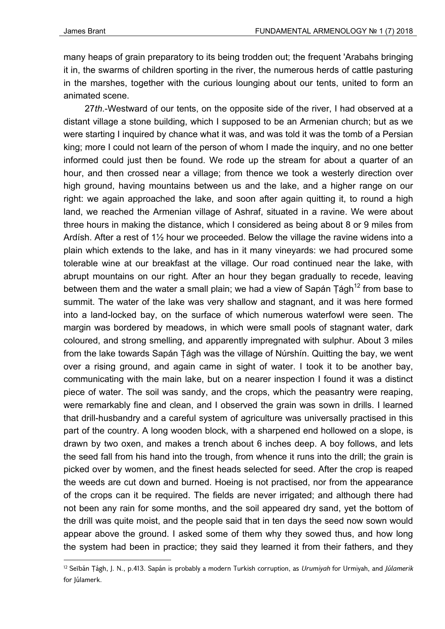1

many heaps of grain preparatory to its being trodden out; the frequent 'Arabahs bringing it in, the swarms of children sporting in the river, the numerous herds of cattle pasturing in the marshes, together with the curious lounging about our tents, united to form an animated scene.

27*th*.-Westward of our tents, on the opposite side of the river, I had observed at a distant village a stone building, which I supposed to be an Armenian church; but as we were starting I inquired by chance what it was, and was told it was the tomb of a Persian king; more I could not learn of the person of whom I made the inquiry, and no one better informed could just then be found. We rode up the stream for about a quarter of an hour, and then crossed near a village; from thence we took a westerly direction over high ground, having mountains between us and the lake, and a higher range on our right: we again approached the lake, and soon after again quitting it, to round a high land, we reached the Armenian village of Ashraf, situated in a ravine. We were about three hours in making the distance, which I considered as being about 8 or 9 miles from Ardísh. After a rest of 1½ hour we proceeded. Below the village the ravine widens into a plain which extends to the lake, and has in it many vineyards: we had procured some tolerable wine at our breakfast at the village. Our road continued near the lake, with abrupt mountains on our right. After an hour they began gradually to recede, leaving between them and the water a small plain; we had a view of Sapán Tágh<sup>12</sup> from base to summit. The water of the lake was very shallow and stagnant, and it was here formed into a land-locked bay, on the surface of which numerous waterfowl were seen. The margin was bordered by meadows, in which were small pools of stagnant water, dark coloured, and strong smelling, and apparently impregnated with sulphur. About 3 miles from the lake towards Sapán Ṭágh was the village of Núrshín. Quitting the bay, we went over a rising ground, and again came in sight of water. I took it to be another bay, communicating with the main lake, but on a nearer inspection I found it was a distinct piece of water. The soil was sandy, and the crops, which the peasantry were reaping, were remarkably fine and clean, and I observed the grain was sown in drills. I learned that drill-husbandry and a careful system of agriculture was universally practised in this part of the country. A long wooden block, with a sharpened end hollowed on a slope, is drawn by two oxen, and makes a trench about 6 inches deep. A boy follows, and lets the seed fall from his hand into the trough, from whence it runs into the drill; the grain is picked over by women, and the finest heads selected for seed. After the crop is reaped the weeds are cut down and burned. Hoeing is not practised, nor from the appearance of the crops can it be required. The fields are never irrigated; and although there had not been any rain for some months, and the soil appeared dry sand, yet the bottom of the drill was quite moist, and the people said that in ten days the seed now sown would appear above the ground. I asked some of them why they sowed thus, and how long the system had been in practice; they said they learned it from their fathers, and they

<sup>12</sup> Seïbán Ṭágh, J. N., p.413. Sapán is probably a modern Turkish corruption, as *Urumiyah* for Urmiyah, and *Júlamerik*  for Júlamerk.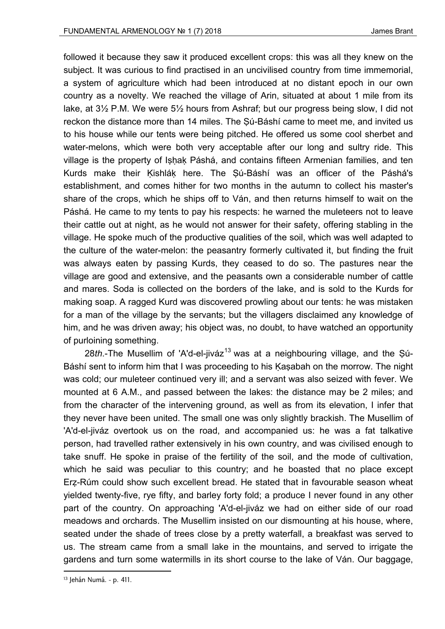followed it because they saw it produced excellent crops: this was all they knew on the subject. It was curious to find practised in an uncivilised country from time immemorial, a system of agriculture which had been introduced at no distant epoch in our own country as a novelty. We reached the village of Arin, situated at about 1 mile from its lake, at 3½ P.M. We were 5½ hours from Ashraf; but our progress being slow, I did not reckon the distance more than 14 miles. The Sú-Báshí came to meet me, and invited us to his house while our tents were being pitched. He offered us some cool sherbet and water-melons, which were both very acceptable after our long and sultry ride. This village is the property of Ishak Páshá, and contains fifteen Armenian families, and ten Kurds make their Ḳishláḳ here. The Ṣú-Báshí was an officer of the Páshá's establishment, and comes hither for two months in the autumn to collect his master's share of the crops, which he ships off to Ván, and then returns himself to wait on the Páshá. He came to my tents to pay his respects: he warned the muleteers not to leave their cattle out at night, as he would not answer for their safety, offering stabling in the village. He spoke much of the productive qualities of the soil, which was well adapted to the culture of the water-melon: the peasantry formerly cultivated it, but finding the fruit was always eaten by passing Kurds, they ceased to do so. The pastures near the village are good and extensive, and the peasants own a considerable number of cattle and mares. Soda is collected on the borders of the lake, and is sold to the Kurds for making soap. A ragged Kurd was discovered prowling about our tents: he was mistaken for a man of the village by the servants; but the villagers disclaimed any knowledge of him, and he was driven away; his object was, no doubt, to have watched an opportunity of purloining something.

28th.-The Musellim of 'A'd-el-jiváz<sup>13</sup> was at a neighbouring village, and the Sú-Báshí sent to inform him that I was proceeding to his Kasabah on the morrow. The night was cold; our muleteer continued very ill; and a servant was also seized with fever. We mounted at 6 A.M., and passed between the lakes: the distance may be 2 miles; and from the character of the intervening ground, as well as from its elevation, I infer that they never have been united. The small one was only slightly brackish. The Musellim of 'A'd-el-jiváz overtook us on the road, and accompanied us: he was a fat talkative person, had travelled rather extensively in his own country, and was civilised enough to take snuff. He spoke in praise of the fertility of the soil, and the mode of cultivation, which he said was peculiar to this country; and he boasted that no place except Erẓ-Rúm could show such excellent bread. He stated that in favourable season wheat yielded twenty-five, rye fifty, and barley forty fold; a produce I never found in any other part of the country. On approaching 'A'd-el-jiváz we had on either side of our road meadows and orchards. The Musellim insisted on our dismounting at his house, where, seated under the shade of trees close by a pretty waterfall, a breakfast was served to us. The stream came from a small lake in the mountains, and served to irrigate the gardens and turn some watermills in its short course to the lake of Ván. Our baggage,

<u>.</u>

<sup>13</sup> Jehán Numá. - p. 411.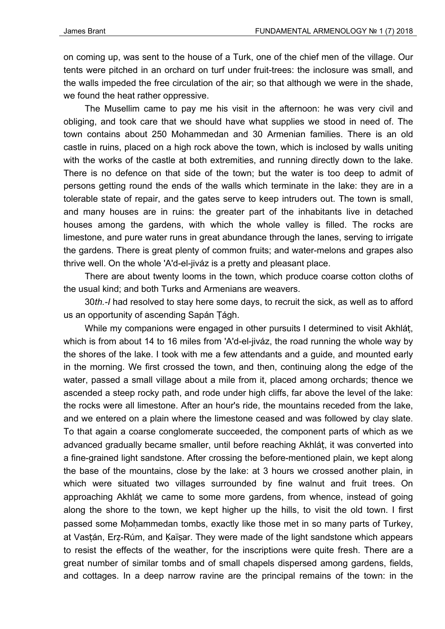on coming up, was sent to the house of a Turk, one of the chief men of the village. Our tents were pitched in an orchard on turf under fruit-trees: the inclosure was small, and the walls impeded the free circulation of the air; so that although we were in the shade, we found the heat rather oppressive.

The Musellim came to pay me his visit in the afternoon: he was very civil and obliging, and took care that we should have what supplies we stood in need of. The town contains about 250 Mohammedan and 30 Armenian families. There is an old castle in ruins, placed on a high rock above the town, which is inclosed by walls uniting with the works of the castle at both extremities, and running directly down to the lake. There is no defence on that side of the town; but the water is too deep to admit of persons getting round the ends of the walls which terminate in the lake: they are in a tolerable state of repair, and the gates serve to keep intruders out. The town is small, and many houses are in ruins: the greater part of the inhabitants live in detached houses among the gardens, with which the whole valley is filled. The rocks are limestone, and pure water runs in great abundance through the lanes, serving to irrigate the gardens. There is great plenty of common fruits; and water-melons and grapes also thrive well. On the whole 'A'd-el-jiváz is a pretty and pleasant place.

There are about twenty looms in the town, which produce coarse cotton cloths of the usual kind; and both Turks and Armenians are weavers.

30*th.-I* had resolved to stay here some days, to recruit the sick, as well as to afford us an opportunity of ascending Sapán Ṭágh.

While my companions were engaged in other pursuits I determined to visit Akhlát, which is from about 14 to 16 miles from 'A'd-el-jiváz, the road running the whole way by the shores of the lake. I took with me a few attendants and a guide, and mounted early in the morning. We first crossed the town, and then, continuing along the edge of the water, passed a small village about a mile from it, placed among orchards; thence we ascended a steep rocky path, and rode under high cliffs, far above the level of the lake: the rocks were all limestone. After an hour's ride, the mountains receded from the lake, and we entered on a plain where the limestone ceased and was followed by clay slate. To that again a coarse conglomerate succeeded, the component parts of which as we advanced gradually became smaller, until before reaching Akhláṭ, it was converted into a fine-grained light sandstone. After crossing the before-mentioned plain, we kept along the base of the mountains, close by the lake: at 3 hours we crossed another plain, in which were situated two villages surrounded by fine walnut and fruit trees. On approaching Akhláṭ we came to some more gardens, from whence, instead of going along the shore to the town, we kept higher up the hills, to visit the old town. I first passed some Mohammedan tombs, exactly like those met in so many parts of Turkey, at Vastán, Erz-Rúm, and Kaïsar. They were made of the light sandstone which appears to resist the effects of the weather, for the inscriptions were quite fresh. There are a great number of similar tombs and of small chapels dispersed among gardens, fields, and cottages. In a deep narrow ravine are the principal remains of the town: in the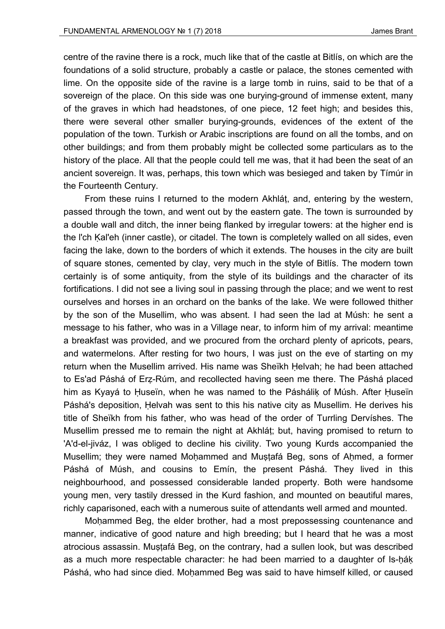centre of the ravine there is a rock, much like that of the castle at Bitlís, on which are the foundations of a solid structure, probably a castle or palace, the stones cemented with lime. On the opposite side of the ravine is a large tomb in ruins, said to be that of a sovereign of the place. On this side was one burying-ground of immense extent, many of the graves in which had headstones, of one piece, 12 feet high; and besides this, there were several other smaller burying-grounds, evidences of the extent of the population of the town. Turkish or Arabic inscriptions are found on all the tombs, and on other buildings; and from them probably might be collected some particulars as to the history of the place. All that the people could tell me was, that it had been the seat of an ancient sovereign. It was, perhaps, this town which was besieged and taken by Tímúr in the Fourteenth Century.

From these ruins I returned to the modern Akhláṭ, and, entering by the western, passed through the town, and went out by the eastern gate. The town is surrounded by a double wall and ditch, the inner being flanked by irregular towers: at the higher end is the l'ch Ḳal'eh (inner castle), or citadel. The town is completely walled on all sides, even facing the lake, down to the borders of which it extends. The houses in the city are built of square stones, cemented by clay, very much in the style of Bitlís. The modern town certainly is of some antiquity, from the style of its buildings and the character of its fortifications. I did not see a living soul in passing through the place; and we went to rest ourselves and horses in an orchard on the banks of the lake. We were followed thither by the son of the Musellim, who was absent. I had seen the lad at Músh: he sent a message to his father, who was in a Village near, to inform him of my arrival: meantime a breakfast was provided, and we procured from the orchard plenty of apricots, pears, and watermelons. After resting for two hours, I was just on the eve of starting on my return when the Musellim arrived. His name was Sheïkh Ḥelvah; he had been attached to Es'ad Páshá of Erẓ-Rúm, and recollected having seen me there. The Páshá placed him as Kyayá to Ḥuseïn, when he was named to the Pásháliḳ of Músh. After Ḥuseïn Páshá's deposition, Ḥelvah was sent to this his native city as Musellim. He derives his title of Sheïkh from his father, who was head of the order of Turrling Dervíshes. The Musellim pressed me to remain the night at Akhláṭ; but, having promised to return to 'A'd-el-jiváz, I was obliged to decline his civility. Two young Kurds accompanied the Musellim; they were named Moḥammed and Muṣṭafá Beg, sons of Aḥmed, a former Páshá of Músh, and cousins to Emín, the present Páshá. They lived in this neighbourhood, and possessed considerable landed property. Both were handsome young men, very tastily dressed in the Kurd fashion, and mounted on beautiful mares, richly caparisoned, each with a numerous suite of attendants well armed and mounted.

Mohammed Beg, the elder brother, had a most prepossessing countenance and manner, indicative of good nature and high breeding; but I heard that he was a most atrocious assassin. Muṣṭafá Beg, on the contrary, had a sullen look, but was described as a much more respectable character: he had been married to a daughter of Is-ḥáḳ Páshá, who had since died. Moḥammed Beg was said to have himself killed, or caused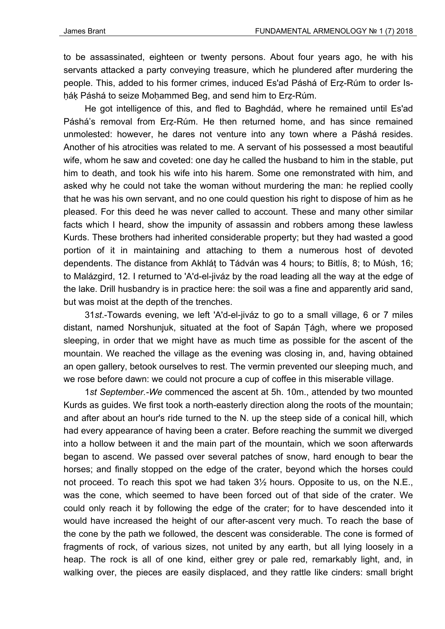to be assassinated, eighteen or twenty persons. About four years ago, he with his servants attacked a party conveying treasure, which he plundered after murdering the people. This, added to his former crimes, induced Es'ad Páshá of Erẓ-Rúm to order Ishák Páshá to seize Mohammed Beg, and send him to Erz-Rúm.

He got intelligence of this, and fled to Baghdád, where he remained until Es'ad Páshá's removal from Erẓ-Rúm. He then returned home, and has since remained unmolested: however, he dares not venture into any town where a Páshá resides. Another of his atrocities was related to me. A servant of his possessed a most beautiful wife, whom he saw and coveted: one day he called the husband to him in the stable, put him to death, and took his wife into his harem. Some one remonstrated with him, and asked why he could not take the woman without murdering the man: he replied coolly that he was his own servant, and no one could question his right to dispose of him as he pleased. For this deed he was never called to account. These and many other similar facts which I heard, show the impunity of assassin and robbers among these lawless Kurds. These brothers had inherited considerable property; but they had wasted a good portion of it in maintaining and attaching to them a numerous host of devoted dependents. The distance from Akhláṭ to Tádván was 4 hours; to Bitlís, 8; to Músh, 16; to Malázgird, 12. I returned to 'A'd-el-jiváz by the road leading all the way at the edge of the lake. Drill husbandry is in practice here: the soil was a fine and apparently arid sand, but was moist at the depth of the trenches.

31*st*.-Towards evening, we left 'A'd-el-jiváz to go to a small village, 6 or 7 miles distant, named Norshunjuk, situated at the foot of Sapán Ṭágh, where we proposed sleeping, in order that we might have as much time as possible for the ascent of the mountain. We reached the village as the evening was closing in, and, having obtained an open gallery, betook ourselves to rest. The vermin prevented our sleeping much, and we rose before dawn: we could not procure a cup of coffee in this miserable village.

1*st September.-We* commenced the ascent at 5h. 10m., attended by two mounted Kurds as guides. We first took a north-easterly direction along the roots of the mountain; and after about an hour's ride turned to the N. up the steep side of a conical hill, which had every appearance of having been a crater. Before reaching the summit we diverged into a hollow between it and the main part of the mountain, which we soon afterwards began to ascend. We passed over several patches of snow, hard enough to bear the horses; and finally stopped on the edge of the crater, beyond which the horses could not proceed. To reach this spot we had taken 3½ hours. Opposite to us, on the N.E., was the cone, which seemed to have been forced out of that side of the crater. We could only reach it by following the edge of the crater; for to have descended into it would have increased the height of our after-ascent very much. To reach the base of the cone by the path we followed, the descent was considerable. The cone is formed of fragments of rock, of various sizes, not united by any earth, but all lying loosely in a heap. The rock is all of one kind, either grey or pale red, remarkably light, and, in walking over, the pieces are easily displaced, and they rattle like cinders: small bright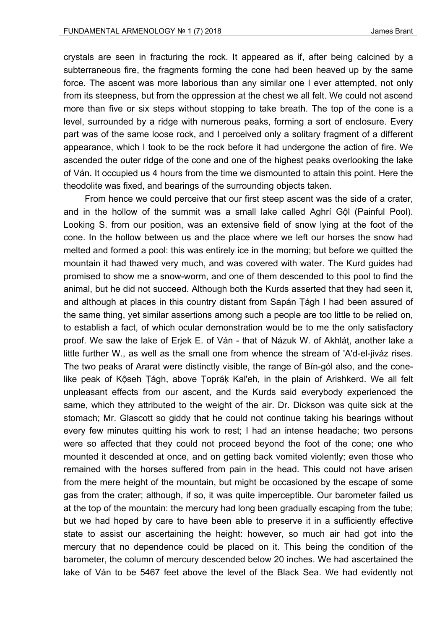crystals are seen in fracturing the rock. It appeared as if, after being calcined by a subterraneous fire, the fragments forming the cone had been heaved up by the same force. The ascent was more laborious than any similar one I ever attempted, not only from its steepness, but from the oppression at the chest we all felt. We could not ascend more than five or six steps without stopping to take breath. The top of the cone is a level, surrounded by a ridge with numerous peaks, forming a sort of enclosure. Every part was of the same loose rock, and I perceived only a solitary fragment of a different appearance, which I took to be the rock before it had undergone the action of fire. We ascended the outer ridge of the cone and one of the highest peaks overlooking the lake of Ván. It occupied us 4 hours from the time we dismounted to attain this point. Here the theodolite was fixed, and bearings of the surrounding objects taken.

From hence we could perceive that our first steep ascent was the side of a crater, and in the hollow of the summit was a small lake called Aghrí Gộl (Painful Pool). Looking S. from our position, was an extensive field of snow lying at the foot of the cone. In the hollow between us and the place where we left our horses the snow had melted and formed a pool: this was entirely ice in the morning; but before we quitted the mountain it had thawed very much, and was covered with water. The Kurd guides had promised to show me a snow-worm, and one of them descended to this pool to find the animal, but he did not succeed. Although both the Kurds asserted that they had seen it, and although at places in this country distant from Sapán Ṭágh I had been assured of the same thing, yet similar assertions among such a people are too little to be relied on, to establish a fact, of which ocular demonstration would be to me the only satisfactory proof. We saw the lake of Erjek E. of Ván - that of Názuk W. of Akhláṭ, another lake a little further W., as well as the small one from whence the stream of 'A'd-el-jiváz rises. The two peaks of Ararat were distinctly visible, the range of Bín-gól also, and the conelike peak of Kộseh Ṭágh, above Ṭopráḳ Kal'eh, in the plain of Arishkerd. We all felt unpleasant effects from our ascent, and the Kurds said everybody experienced the same, which they attributed to the weight of the air. Dr. Dickson was quite sick at the stomach; Mr. Glascott so giddy that he could not continue taking his bearings without every few minutes quitting his work to rest; I had an intense headache; two persons were so affected that they could not proceed beyond the foot of the cone; one who mounted it descended at once, and on getting back vomited violently; even those who remained with the horses suffered from pain in the head. This could not have arisen from the mere height of the mountain, but might be occasioned by the escape of some gas from the crater; although, if so, it was quite imperceptible. Our barometer failed us at the top of the mountain: the mercury had long been gradually escaping from the tube; but we had hoped by care to have been able to preserve it in a sufficiently effective state to assist our ascertaining the height: however, so much air had got into the mercury that no dependence could be placed on it. This being the condition of the barometer, the column of mercury descended below 20 inches. We had ascertained the lake of Ván to be 5467 feet above the level of the Black Sea. We had evidently not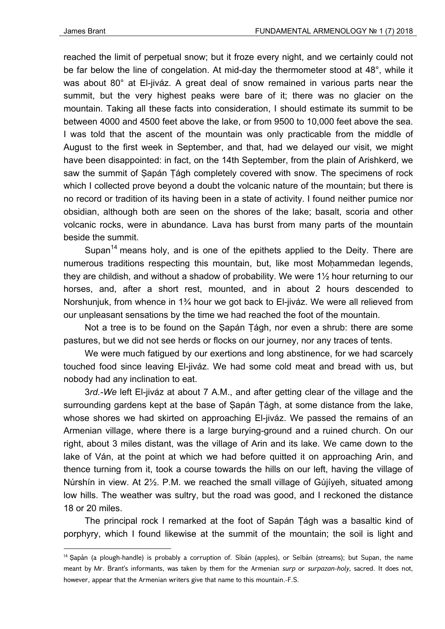1

reached the limit of perpetual snow; but it froze every night, and we certainly could not be far below the line of congelation. At mid-day the thermometer stood at 48°, while it was about 80° at El-jiváz. A great deal of snow remained in various parts near the summit, but the very highest peaks were bare of it; there was no glacier on the mountain. Taking all these facts into consideration, I should estimate its summit to be between 4000 and 4500 feet above the lake, or from 9500 to 10,000 feet above the sea. I was told that the ascent of the mountain was only practicable from the middle of August to the first week in September, and that, had we delayed our visit, we might have been disappointed: in fact, on the 14th September, from the plain of Arishkerd, we saw the summit of Ṣapán Ṭágh completely covered with snow. The specimens of rock which I collected prove beyond a doubt the volcanic nature of the mountain; but there is no record or tradition of its having been in a state of activity. I found neither pumice nor obsidian, although both are seen on the shores of the lake; basalt, scoria and other volcanic rocks, were in abundance. Lava has burst from many parts of the mountain beside the summit.

Supan<sup>14</sup> means holy, and is one of the epithets applied to the Deity. There are numerous traditions respecting this mountain, but, like most Moḥammedan legends, they are childish, and without a shadow of probability. We were 1½ hour returning to our horses, and, after a short rest, mounted, and in about 2 hours descended to Norshunjuk, from whence in  $1\frac{3}{4}$  hour we got back to El-jiváz. We were all relieved from our unpleasant sensations by the time we had reached the foot of the mountain.

Not a tree is to be found on the Ṣapán Ṭágh, nor even a shrub: there are some pastures, but we did not see herds or flocks on our journey, nor any traces of tents.

We were much fatigued by our exertions and long abstinence, for we had scarcely touched food since leaving El-jiváz. We had some cold meat and bread with us, but nobody had any inclination to eat.

3*rd.-We* left El-jiváz at about 7 A.M., and after getting clear of the village and the surrounding gardens kept at the base of Ṣapán Ṭágh, at some distance from the lake, whose shores we had skirted on approaching El-jiváz. We passed the remains of an Armenian village, where there is a large burying-ground and a ruined church. On our right, about 3 miles distant, was the village of Arin and its lake. We came down to the lake of Ván, at the point at which we had before quitted it on approaching Arin, and thence turning from it, took a course towards the hills on our left, having the village of Núrshín in view. At 2½. P.M. we reached the small village of Gújíyeh, situated among low hills. The weather was sultry, but the road was good, and I reckoned the distance 18 or 20 miles.

The principal rock I remarked at the foot of Sapán Ṭágh was a basaltic kind of porphyry, which I found likewise at the summit of the mountain; the soil is light and

<sup>14</sup> Ṣapán (a plough-handle) is probably a corruption of. Síbán (apples), or Seïbán (streams); but Supan, the name meant by Mr. Brant's informants, was taken by them for the Armenian *surp* or *surpazan-holy,* sacred. It does not, however, appear that the Armenian writers give that name to this mountain.-F.S.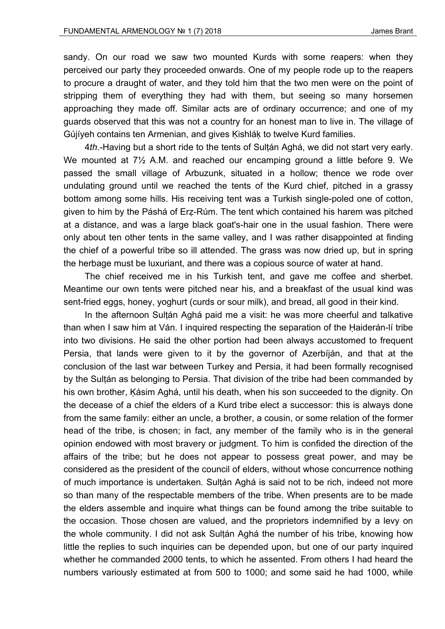sandy. On our road we saw two mounted Kurds with some reapers: when they perceived our party they proceeded onwards. One of my people rode up to the reapers to procure a draught of water, and they told him that the two men were on the point of stripping them of everything they had with them, but seeing so many horsemen approaching they made off. Similar acts are of ordinary occurrence; and one of my guards observed that this was not a country for an honest man to live in. The village of Gújíyeh contains ten Armenian, and gives Kishlák to twelve Kurd families.

4*th*.-Having but a short ride to the tents of Sulṭán Aghá, we did not start very early. We mounted at  $7\frac{1}{2}$  A.M. and reached our encamping ground a little before 9. We passed the small village of Arbuzunk, situated in a hollow; thence we rode over undulating ground until we reached the tents of the Kurd chief, pitched in a grassy bottom among some hills. His receiving tent was a Turkish single-poled one of cotton, given to him by the Páshá of Erẓ-Rúm. The tent which contained his harem was pitched at a distance, and was a large black goat's-hair one in the usual fashion. There were only about ten other tents in the same valley, and I was rather disappointed at finding the chief of a powerful tribe so ill attended. The grass was now dried up, but in spring the herbage must be luxuriant, and there was a copious source of water at hand.

The chief received me in his Turkish tent, and gave me coffee and sherbet. Meantime our own tents were pitched near his, and a breakfast of the usual kind was sent-fried eggs, honey, yoghurt (curds or sour milk), and bread, all good in their kind.

In the afternoon Sultán Aghá paid me a visit: he was more cheerful and talkative than when I saw him at Ván. I inquired respecting the separation of the Ḥaiderán-lí tribe into two divisions. He said the other portion had been always accustomed to frequent Persia, that lands were given to it by the governor of Azerbíján, and that at the conclusion of the last war between Turkey and Persia, it had been formally recognised by the Sulṭán as belonging to Persia. That division of the tribe had been commanded by his own brother, Kásim Aghá, until his death, when his son succeeded to the dignity. On the decease of a chief the elders of a Kurd tribe elect a successor: this is always done from the same family: either an uncle, a brother, a cousin, or some relation of the former head of the tribe, is chosen; in fact, any member of the family who is in the general opinion endowed with most bravery or judgment. To him is confided the direction of the affairs of the tribe; but he does not appear to possess great power, and may be considered as the president of the council of elders, without whose concurrence nothing of much importance is undertaken. Sulṭán Aghá is said not to be rich, indeed not more so than many of the respectable members of the tribe. When presents are to be made the elders assemble and inquire what things can be found among the tribe suitable to the occasion. Those chosen are valued, and the proprietors indemnified by a levy on the whole community. I did not ask Sulṭán Aghá the number of his tribe, knowing how little the replies to such inquiries can be depended upon, but one of our party inquired whether he commanded 2000 tents, to which he assented. From others I had heard the numbers variously estimated at from 500 to 1000; and some said he had 1000, while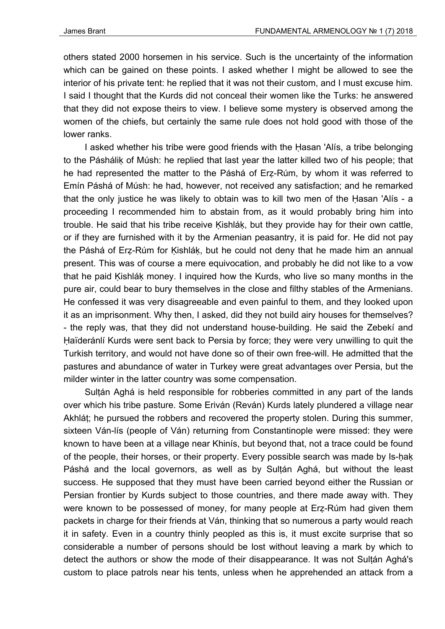others stated 2000 horsemen in his service. Such is the uncertainty of the information which can be gained on these points. I asked whether I might be allowed to see the interior of his private tent: he replied that it was not their custom, and I must excuse him. I said I thought that the Kurds did not conceal their women like the Turks: he answered that they did not expose theirs to view. I believe some mystery is observed among the women of the chiefs, but certainly the same rule does not hold good with those of the lower ranks.

I asked whether his tribe were good friends with the Ḥasan 'Alís, a tribe belonging to the Pásháliḳ of Músh: he replied that last year the latter killed two of his people; that he had represented the matter to the Páshá of Erẓ-Rúm, by whom it was referred to Emín Páshá of Músh: he had, however, not received any satisfaction; and he remarked that the only justice he was likely to obtain was to kill two men of the Ḥasan 'Alís - a proceeding I recommended him to abstain from, as it would probably bring him into trouble. He said that his tribe receive Kishlák, but they provide hay for their own cattle, or if they are furnished with it by the Armenian peasantry, it is paid for. He did not pay the Páshá of Erz-Rúm for Kishlák, but he could not deny that he made him an annual present. This was of course a mere equivocation, and probably he did not like to a vow that he paid Ḳishláḳ money. I inquired how the Kurds, who live so many months in the pure air, could bear to bury themselves in the close and filthy stables of the Armenians. He confessed it was very disagreeable and even painful to them, and they looked upon it as an imprisonment. Why then, I asked, did they not build airy houses for themselves? - the reply was, that they did not understand house-building. He said the Zebekí and Haïderánlí Kurds were sent back to Persia by force; they were very unwilling to quit the Turkish territory, and would not have done so of their own free-will. He admitted that the pastures and abundance of water in Turkey were great advantages over Persia, but the milder winter in the latter country was some compensation.

Sulṭán Aghá is held responsible for robberies committed in any part of the lands over which his tribe pasture. Some Eriván (Reván) Kurds lately plundered a village near Akhláṭ; he pursued the robbers and recovered the property stolen. During this summer, sixteen Ván-lís (people of Ván) returning from Constantinople were missed: they were known to have been at a village near Khinís, but beyond that, not a trace could be found of the people, their horses, or their property. Every possible search was made by Is-ḥaḳ Páshá and the local governors, as well as by Sulṭán Aghá, but without the least success. He supposed that they must have been carried beyond either the Russian or Persian frontier by Kurds subject to those countries, and there made away with. They were known to be possessed of money, for many people at Erẓ-Rúm had given them packets in charge for their friends at Ván, thinking that so numerous a party would reach it in safety. Even in a country thinly peopled as this is, it must excite surprise that so considerable a number of persons should be lost without leaving a mark by which to detect the authors or show the mode of their disappearance. It was not Sulṭán Aghá's custom to place patrols near his tents, unless when he apprehended an attack from a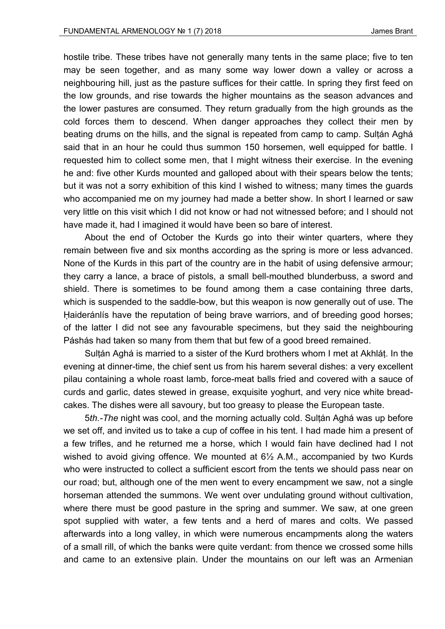hostile tribe. These tribes have not generally many tents in the same place; five to ten may be seen together, and as many some way lower down a valley or across a neighbouring hill, just as the pasture suffices for their cattle. In spring they first feed on the low grounds, and rise towards the higher mountains as the season advances and the lower pastures are consumed. They return gradually from the high grounds as the cold forces them to descend. When danger approaches they collect their men by beating drums on the hills, and the signal is repeated from camp to camp. Sulṭán Aghá said that in an hour he could thus summon 150 horsemen, well equipped for battle. I requested him to collect some men, that I might witness their exercise. In the evening he and: five other Kurds mounted and galloped about with their spears below the tents; but it was not a sorry exhibition of this kind I wished to witness; many times the guards who accompanied me on my journey had made a better show. In short I learned or saw very little on this visit which I did not know or had not witnessed before; and I should not have made it, had I imagined it would have been so bare of interest.

About the end of October the Kurds go into their winter quarters, where they remain between five and six months according as the spring is more or less advanced. None of the Kurds in this part of the country are in the habit of using defensive armour; they carry a lance, a brace of pistols, a small bell-mouthed blunderbuss, a sword and shield. There is sometimes to be found among them a case containing three darts, which is suspended to the saddle-bow, but this weapon is now generally out of use. The Haideránlís have the reputation of being brave warriors, and of breeding good horses; of the latter I did not see any favourable specimens, but they said the neighbouring Páshás had taken so many from them that but few of a good breed remained.

Sulṭán Aghá is married to a sister of the Kurd brothers whom I met at Akhláṭ. In the evening at dinner-time, the chief sent us from his harem several dishes: a very excellent pilau containing a whole roast lamb, force-meat balls fried and covered with a sauce of curds and garlic, dates stewed in grease, exquisite yoghurt, and very nice white breadcakes. The dishes were all savoury, but too greasy to please the European taste.

5*th.-The* night was cool, and the morning actually cold. Sulṭán Aghá was up before we set off, and invited us to take a cup of coffee in his tent. I had made him a present of a few trifles, and he returned me a horse, which I would fain have declined had I not wished to avoid giving offence. We mounted at 6½ A.M., accompanied by two Kurds who were instructed to collect a sufficient escort from the tents we should pass near on our road; but, although one of the men went to every encampment we saw, not a single horseman attended the summons. We went over undulating ground without cultivation, where there must be good pasture in the spring and summer. We saw, at one green spot supplied with water, a few tents and a herd of mares and colts. We passed afterwards into a long valley, in which were numerous encampments along the waters of a small rill, of which the banks were quite verdant: from thence we crossed some hills and came to an extensive plain. Under the mountains on our left was an Armenian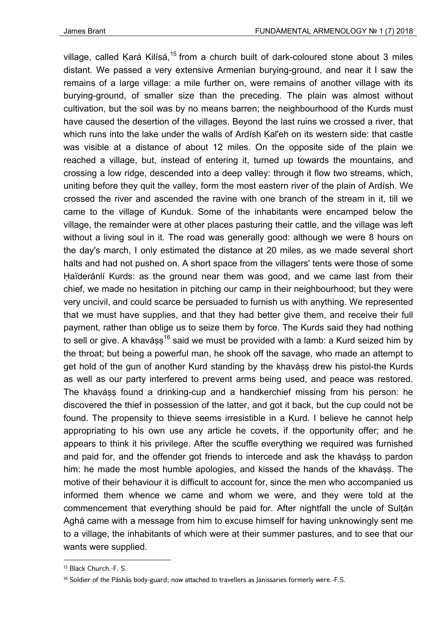village, called Kará Kilísá.<sup>15</sup> from a church built of dark-coloured stone about 3 miles distant. We passed a very extensive Armenian burying-ground, and near it I saw the remains of a large village: a mile further on, were remains of another village with its burying-ground, of smaller size than the preceding. The plain was almost without cultivation, but the soil was by no means barren; the neighbourhood of the Kurds must have caused the desertion of the villages. Beyond the last ruins we crossed a river, that which runs into the lake under the walls of Ardísh Kal'eh on its western side: that castle was visible at a distance of about 12 miles. On the opposite side of the plain we reached a village, but, instead of entering it, turned up towards the mountains, and crossing a low ridge, descended into a deep valley: through it flow two streams, which, uniting before they quit the valley, form the most eastern river of the plain of Ardísh. We crossed the river and ascended the ravine with one branch of the stream in it, till we came to the village of Kunduk. Some of the inhabitants were encamped below the village, the remainder were at other places pasturing their cattle, and the village was left without a living soul in it. The road was generally good: although we were 8 hours on the day's march, I only estimated the distance at 20 miles, as we made several short halts and had not pushed on. A short space from the villagers' tents were those of some Ḥaïderánlí Kurds: as the ground near them was good, and we came last from their chief, we made no hesitation in pitching our camp in their neighbourhood; but they were very uncivil, and could scarce be persuaded to furnish us with anything. We represented that we must have supplies, and that they had better give them, and receive their full payment, rather than oblige us to seize them by force. The Kurds said they had nothing to sell or give. A khaváss<sup>16</sup> said we must be provided with a lamb: a Kurd seized him by the throat; but being a powerful man, he shook off the savage, who made an attempt to get hold of the gun of another Kurd standing by the khaváss drew his pistol-the Kurds as well as our party interfered to prevent arms being used, and peace was restored. The khaváṣṣ found a drinking-cup and a handkerchief missing from his person: he discovered the thief in possession of the latter, and got it back, but the cup could not be found. The propensity to thieve seems irresistible in a Kurd. I believe he cannot help appropriating to his own use any article he covets, if the opportunity offer; and he appears to think it his privilege. After the scuffle everything we required was furnished and paid for, and the offender got friends to intercede and ask the khaváṣṣ to pardon him: he made the most humble apologies, and kissed the hands of the khaváss. The motive of their behaviour it is difficult to account for, since the men who accompanied us informed them whence we came and whom we were, and they were told at the commencement that everything should be paid for. After nightfall the uncle of Sulṭán Aghá came with a message from him to excuse himself for having unknowingly sent me to a village, the inhabitants of which were at their summer pastures, and to see that our wants were supplied.

1

<sup>15</sup> Black Church.-F. S.

<sup>&</sup>lt;sup>16</sup> Soldier of the Páshás body-guard; now attached to travellers as Janissaries formerly were.-F.S.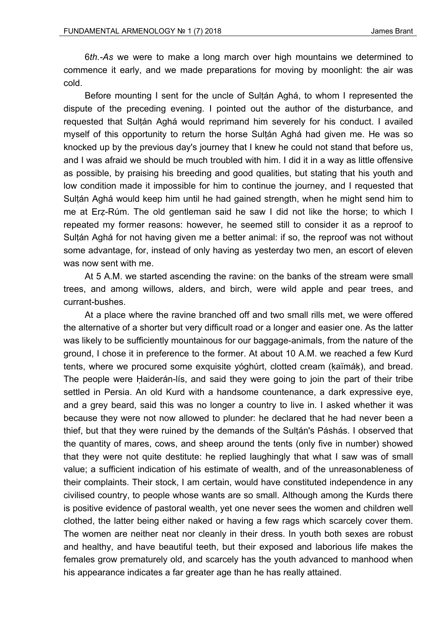6*th.-As* we were to make a long march over high mountains we determined to commence it early, and we made preparations for moving by moonlight: the air was cold.

Before mounting I sent for the uncle of Sultán Aghá, to whom I represented the dispute of the preceding evening. I pointed out the author of the disturbance, and requested that Sulṭán Aghá would reprimand him severely for his conduct. I availed myself of this opportunity to return the horse Sulṭán Aghá had given me. He was so knocked up by the previous day's journey that I knew he could not stand that before us, and I was afraid we should be much troubled with him. I did it in a way as little offensive as possible, by praising his breeding and good qualities, but stating that his youth and low condition made it impossible for him to continue the journey, and I requested that Sulṭán Aghá would keep him until he had gained strength, when he might send him to me at Erẓ-Rúm. The old gentleman said he saw I did not like the horse; to which I repeated my former reasons: however, he seemed still to consider it as a reproof to Sulṭán Aghá for not having given me a better animal: if so, the reproof was not without some advantage, for, instead of only having as yesterday two men, an escort of eleven was now sent with me.

At 5 A.M. we started ascending the ravine: on the banks of the stream were small trees, and among willows, alders, and birch, were wild apple and pear trees, and currant-bushes.

At a place where the ravine branched off and two small rills met, we were offered the alternative of a shorter but very difficult road or a longer and easier one. As the latter was likely to be sufficiently mountainous for our baggage-animals, from the nature of the ground, I chose it in preference to the former. At about 10 A.M. we reached a few Kurd tents, where we procured some exquisite yóghúrt, clotted cream (ḳaïmáḳ), and bread. The people were Ḥaiderán-lís, and said they were going to join the part of their tribe settled in Persia. An old Kurd with a handsome countenance, a dark expressive eye, and a grey beard, said this was no longer a country to live in. I asked whether it was because they were not now allowed to plunder: he declared that he had never been a thief, but that they were ruined by the demands of the Sulṭán's Páshás. I observed that the quantity of mares, cows, and sheep around the tents (only five in number) showed that they were not quite destitute: he replied laughingly that what I saw was of small value; a sufficient indication of his estimate of wealth, and of the unreasonableness of their complaints. Their stock, I am certain, would have constituted independence in any civilised country, to people whose wants are so small. Although among the Kurds there is positive evidence of pastoral wealth, yet one never sees the women and children well clothed, the latter being either naked or having a few rags which scarcely cover them. The women are neither neat nor cleanly in their dress. In youth both sexes are robust and healthy, and have beautiful teeth, but their exposed and laborious life makes the females grow prematurely old, and scarcely has the youth advanced to manhood when his appearance indicates a far greater age than he has really attained.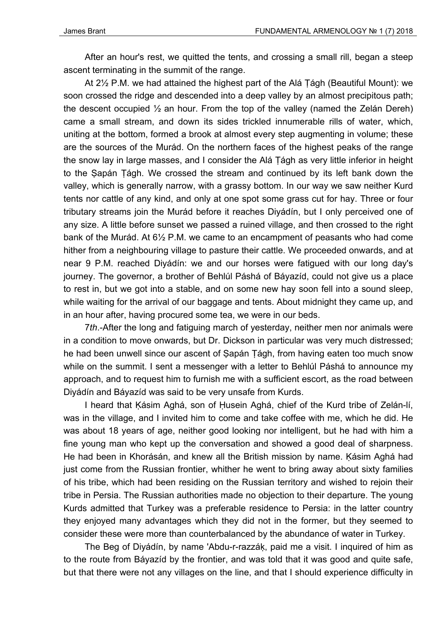After an hour's rest, we quitted the tents, and crossing a small rill, began a steep ascent terminating in the summit of the range.

At 2½ P.M. we had attained the highest part of the Alá Ṭágh (Beautiful Mount): we soon crossed the ridge and descended into a deep valley by an almost precipitous path; the descent occupied  $\frac{1}{2}$  an hour. From the top of the valley (named the Zelán Dereh) came a small stream, and down its sides trickled innumerable rills of water, which, uniting at the bottom, formed a brook at almost every step augmenting in volume; these are the sources of the Murád. On the northern faces of the highest peaks of the range the snow lay in large masses, and I consider the Alá Ṭágh as very little inferior in height to the Ṣapán Ṭágh. We crossed the stream and continued by its left bank down the valley, which is generally narrow, with a grassy bottom. In our way we saw neither Kurd tents nor cattle of any kind, and only at one spot some grass cut for hay. Three or four tributary streams join the Murád before it reaches Diyádín, but I only perceived one of any size. A little before sunset we passed a ruined village, and then crossed to the right bank of the Murád. At 6½ P.M. we came to an encampment of peasants who had come hither from a neighbouring village to pasture their cattle. We proceeded onwards, and at near 9 P.M. reached Diyádín: we and our horses were fatigued with our long day's journey. The governor, a brother of Behlúl Páshá of Báyazíd, could not give us a place to rest in, but we got into a stable, and on some new hay soon fell into a sound sleep, while waiting for the arrival of our baggage and tents. About midnight they came up, and in an hour after, having procured some tea, we were in our beds.

7*th*.-After the long and fatiguing march of yesterday, neither men nor animals were in a condition to move onwards, but Dr. Dickson in particular was very much distressed; he had been unwell since our ascent of Ṣapán Ṭágh, from having eaten too much snow while on the summit. I sent a messenger with a letter to Behlúl Páshá to announce my approach, and to request him to furnish me with a sufficient escort, as the road between Diyádín and Báyazíd was said to be very unsafe from Kurds.

I heard that Kásim Aghá, son of Husein Aghá, chief of the Kurd tribe of Zelán-lí, was in the village, and I invited him to come and take coffee with me, which he did. He was about 18 years of age, neither good looking nor intelligent, but he had with him a fine young man who kept up the conversation and showed a good deal of sharpness. He had been in Khorásán, and knew all the British mission by name. Kásim Aghá had just come from the Russian frontier, whither he went to bring away about sixty families of his tribe, which had been residing on the Russian territory and wished to rejoin their tribe in Persia. The Russian authorities made no objection to their departure. The young Kurds admitted that Turkey was a preferable residence to Persia: in the latter country they enjoyed many advantages which they did not in the former, but they seemed to consider these were more than counterbalanced by the abundance of water in Turkey.

The Beg of Diyádín, by name 'Abdu-r-razzáḳ, paid me a visit. I inquired of him as to the route from Báyazíd by the frontier, and was told that it was good and quite safe, but that there were not any villages on the line, and that I should experience difficulty in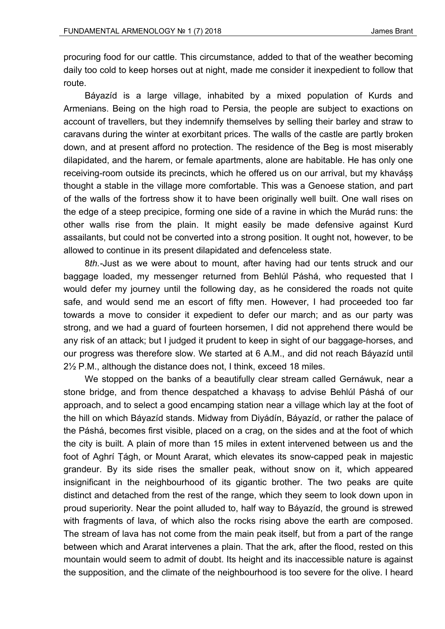procuring food for our cattle. This circumstance, added to that of the weather becoming daily too cold to keep horses out at night, made me consider it inexpedient to follow that route.

Báyazíd is a large village, inhabited by a mixed population of Kurds and Armenians. Being on the high road to Persia, the people are subject to exactions on account of travellers, but they indemnify themselves by selling their barley and straw to caravans during the winter at exorbitant prices. The walls of the castle are partly broken down, and at present afford no protection. The residence of the Beg is most miserably dilapidated, and the harem, or female apartments, alone are habitable. He has only one receiving-room outside its precincts, which he offered us on our arrival, but my khaváṣṣ thought a stable in the village more comfortable. This was a Genoese station, and part of the walls of the fortress show it to have been originally well built. One wall rises on the edge of a steep precipice, forming one side of a ravine in which the Murád runs: the other walls rise from the plain. It might easily be made defensive against Kurd assailants, but could not be converted into a strong position. It ought not, however, to be allowed to continue in its present dilapidated and defenceless state.

8*th.-*Just as we were about to mount, after having had our tents struck and our baggage loaded, my messenger returned from Behlúl Páshá, who requested that I would defer my journey until the following day, as he considered the roads not quite safe, and would send me an escort of fifty men. However, I had proceeded too far towards a move to consider it expedient to defer our march; and as our party was strong, and we had a guard of fourteen horsemen, I did not apprehend there would be any risk of an attack; but I judged it prudent to keep in sight of our baggage-horses, and our progress was therefore slow. We started at 6 A.M., and did not reach Báyazíd until 2½ P.M., although the distance does not, I think, exceed 18 miles.

We stopped on the banks of a beautifully clear stream called Gernáwuk, near a stone bridge, and from thence despatched a khavass to advise Behlúl Páshá of our approach, and to select a good encamping station near a village which lay at the foot of the hill on which Báyazíd stands. Midway from Diyádín, Báyazíd, or rather the palace of the Páshá, becomes first visible, placed on a crag, on the sides and at the foot of which the city is built. A plain of more than 15 miles in extent intervened between us and the foot of Aghrí Ṭágh, or Mount Ararat, which elevates its snow-capped peak in majestic grandeur. By its side rises the smaller peak, without snow on it, which appeared insignificant in the neighbourhood of its gigantic brother. The two peaks are quite distinct and detached from the rest of the range, which they seem to look down upon in proud superiority. Near the point alluded to, half way to Báyazíd, the ground is strewed with fragments of lava, of which also the rocks rising above the earth are composed. The stream of lava has not come from the main peak itself, but from a part of the range between which and Ararat intervenes a plain. That the ark, after the flood, rested on this mountain would seem to admit of doubt. Its height and its inaccessible nature is against the supposition, and the climate of the neighbourhood is too severe for the olive. I heard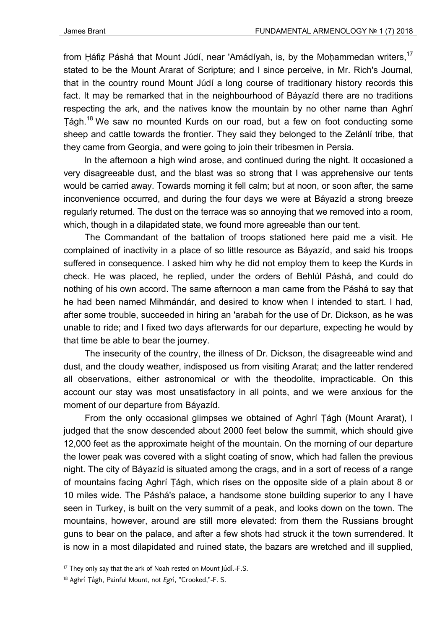from Ḥáfiẓ Páshá that Mount Júdí, near 'Amádíyah, is, by the Moḥammedan writers,<sup>17</sup> stated to be the Mount Ararat of Scripture; and I since perceive, in Mr. Rich's Journal, that in the country round Mount Júdí a long course of traditionary history records this fact. It may be remarked that in the neighbourhood of Báyazíd there are no traditions respecting the ark, and the natives know the mountain by no other name than Aghrí Tágh.<sup>18</sup> We saw no mounted Kurds on our road, but a few on foot conducting some sheep and cattle towards the frontier. They said they belonged to the Zelánlí tribe, that they came from Georgia, and were going to join their tribesmen in Persia.

ln the afternoon a high wind arose, and continued during the night. It occasioned a very disagreeable dust, and the blast was so strong that I was apprehensive our tents would be carried away. Towards morning it fell calm; but at noon, or soon after, the same inconvenience occurred, and during the four days we were at Báyazíd a strong breeze regularly returned. The dust on the terrace was so annoying that we removed into a room, which, though in a dilapidated state, we found more agreeable than our tent.

The Commandant of the battalion of troops stationed here paid me a visit. He complained of inactivity in a place of so little resource as Báyazíd, and said his troops suffered in consequence. I asked him why he did not employ them to keep the Kurds in check. He was placed, he replied, under the orders of Behlúl Páshá, and could do nothing of his own accord. The same afternoon a man came from the Páshá to say that he had been named Mihmándár, and desired to know when I intended to start. I had, after some trouble, succeeded in hiring an 'arabah for the use of Dr. Dickson, as he was unable to ride; and I fixed two days afterwards for our departure, expecting he would by that time be able to bear the journey.

The insecurity of the country, the illness of Dr. Dickson, the disagreeable wind and dust, and the cloudy weather, indisposed us from visiting Ararat; and the latter rendered all observations, either astronomical or with the theodolite, impracticable. On this account our stay was most unsatisfactory in all points, and we were anxious for the moment of our departure from Báyazíd.

From the only occasional glimpses we obtained of Aghrí Ṭágh (Mount Ararat), I judged that the snow descended about 2000 feet below the summit, which should give 12,000 feet as the approximate height of the mountain. On the morning of our departure the lower peak was covered with a slight coating of snow, which had fallen the previous night. The city of Báyazíd is situated among the crags, and in a sort of recess of a range of mountains facing Aghrí Ṭágh, which rises on the opposite side of a plain about 8 or 10 miles wide. The Páshá's palace, a handsome stone building superior to any I have seen in Turkey, is built on the very summit of a peak, and looks down on the town. The mountains, however, around are still more elevated: from them the Russians brought guns to bear on the palace, and after a few shots had struck it the town surrendered. It is now in a most dilapidated and ruined state, the bazars are wretched and ill supplied,

1

<sup>&</sup>lt;sup>17</sup> They only say that the ark of Noah rested on Mount Júdí.-F.S.

<sup>18</sup> Aghrí Ṭágh, Painful Mount, not *Egr*í*,* "Crooked,"-F. S.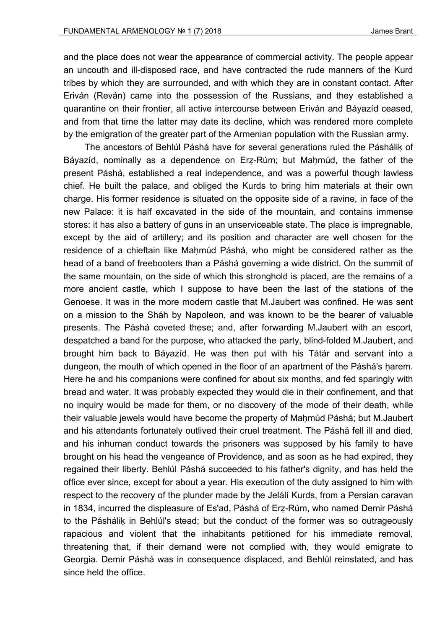and the place does not wear the appearance of commercial activity. The people appear an uncouth and ill-disposed race, and have contracted the rude manners of the Kurd tribes by which they are surrounded, and with which they are in constant contact. After Eriván (Reván) came into the possession of the Russians, and they established a quarantine on their frontier, all active intercourse between Eriván and Báyazíd ceased, and from that time the latter may date its decline, which was rendered more complete by the emigration of the greater part of the Armenian population with the Russian army.

The ancestors of Behlúl Páshá have for several generations ruled the Pásháliḳ of Báyazíd, nominally as a dependence on Erz-Rúm; but Mahmúd, the father of the present Páshá, established a real independence, and was a powerful though lawless chief. He built the palace, and obliged the Kurds to bring him materials at their own charge. His former residence is situated on the opposite side of a ravine, in face of the new Palace: it is half excavated in the side of the mountain, and contains immense stores: it has also a battery of guns in an unserviceable state. The place is impregnable, except by the aid of artillery; and its position and character are well chosen for the residence of a chieftain like Mahmúd Páshá, who might be considered rather as the head of a band of freebooters than a Páshá governing a wide district. On the summit of the same mountain, on the side of which this stronghold is placed, are the remains of a more ancient castle, which I suppose to have been the last of the stations of the Genoese. It was in the more modern castle that M.Jaubert was confined. He was sent on a mission to the Sháh by Napoleon, and was known to be the bearer of valuable presents. The Páshá coveted these; and, after forwarding M.Jaubert with an escort, despatched a band for the purpose, who attacked the party, blind-folded M.Jaubert, and brought him back to Báyazíd. He was then put with his Tátár and servant into a dungeon, the mouth of which opened in the floor of an apartment of the Páshá's harem. Here he and his companions were confined for about six months, and fed sparingly with bread and water. It was probably expected they would die in their confinement, and that no inquiry would be made for them, or no discovery of the mode of their death, while their valuable jewels would have become the property of Maḥmúd Páshá; but M.Jaubert and his attendants fortunately outlived their cruel treatment. The Páshá fell ill and died, and his inhuman conduct towards the prisoners was supposed by his family to have brought on his head the vengeance of Providence, and as soon as he had expired, they regained their liberty. Behlúl Páshá succeeded to his father's dignity, and has held the office ever since, except for about a year. His execution of the duty assigned to him with respect to the recovery of the plunder made by the Jelálí Kurds, from a Persian caravan in 1834, incurred the displeasure of Es'ad, Páshá of Erẓ-Rúm, who named Demir Páshá to the Pásháliḳ in Behlúl's stead; but the conduct of the former was so outrageously rapacious and violent that the inhabitants petitioned for his immediate removal, threatening that, if their demand were not complied with, they would emigrate to Georgia. Demir Páshá was in consequence displaced, and Behlúl reinstated, and has since held the office.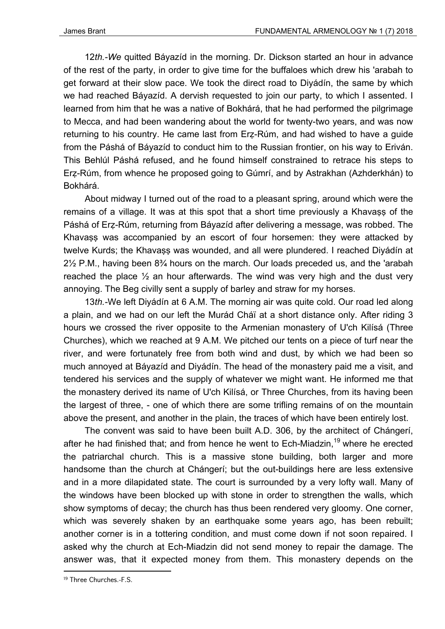12*th.-We* quitted Báyazíd in the morning. Dr. Dickson started an hour in advance of the rest of the party, in order to give time for the buffaloes which drew his 'arabah to get forward at their slow pace. We took the direct road to Diyádín, the same by which we had reached Báyazíd. A dervish requested to join our party, to which I assented. I learned from him that he was a native of Bokhárá, that he had performed the pilgrimage to Mecca, and had been wandering about the world for twenty-two years, and was now returning to his country. He came last from Erẓ-Rúm, and had wished to have a guide from the Páshá of Báyazíd to conduct him to the Russian frontier, on his way to Eriván. This Behlúl Páshá refused, and he found himself constrained to retrace his steps to Erẓ-Rúm, from whence he proposed going to Gúmrí, and by Astrakhan (Azhderkhán) to Bokhárá.

About midway I turned out of the road to a pleasant spring, around which were the remains of a village. It was at this spot that a short time previously a Khavass of the Páshá of Erẓ-Rúm, returning from Báyazíd after delivering a message, was robbed. The Khavaṣṣ was accompanied by an escort of four horsemen: they were attacked by twelve Kurds; the Khavass was wounded, and all were plundered. I reached Diyádín at 2½ P.M., having been 8¾ hours on the march. Our loads preceded us, and the 'arabah reached the place  $\frac{1}{2}$  an hour afterwards. The wind was very high and the dust very annoying. The Beg civilly sent a supply of barley and straw for my horses.

13*th.-*We left Diyádín at 6 A.M. The morning air was quite cold. Our road led along a plain, and we had on our left the Murád Cháï at a short distance only. After riding 3 hours we crossed the river opposite to the Armenian monastery of U'ch Kilísá (Three Churches), which we reached at 9 A.M. We pitched our tents on a piece of turf near the river, and were fortunately free from both wind and dust, by which we had been so much annoyed at Báyazíd and Diyádín. The head of the monastery paid me a visit, and tendered his services and the supply of whatever we might want. He informed me that the monastery derived its name of U'ch Kilísá, or Three Churches, from its having been the largest of three, - one of which there are some trifling remains of on the mountain above the present, and another in the plain, the traces of which have been entirely lost.

The convent was said to have been built A.D. 306, by the architect of Chángerí, after he had finished that; and from hence he went to Ech-Miadzin,<sup>19</sup> where he erected the patriarchal church. This is a massive stone building, both larger and more handsome than the church at Chángerí; but the out-buildings here are less extensive and in a more dilapidated state. The court is surrounded by a very lofty wall. Many of the windows have been blocked up with stone in order to strengthen the walls, which show symptoms of decay; the church has thus been rendered very gloomy. One corner, which was severely shaken by an earthquake some years ago, has been rebuilt; another corner is in a tottering condition, and must come down if not soon repaired. I asked why the church at Ech-Miadzin did not send money to repair the damage. The answer was, that it expected money from them. This monastery depends on the

<u>.</u>

<sup>&</sup>lt;sup>19</sup> Three Churches.-F.S.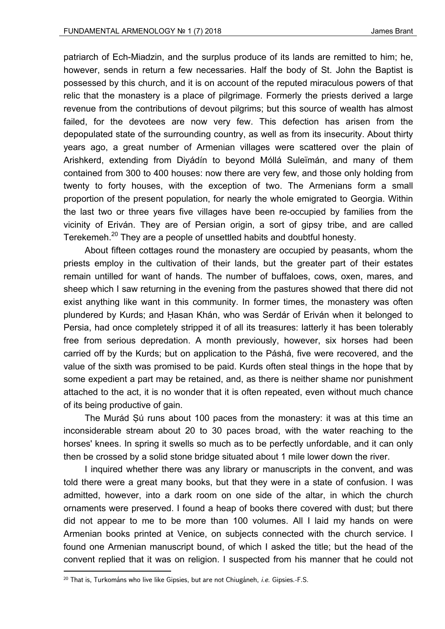patriarch of Ech-Miadzin, and the surplus produce of its lands are remitted to him; he, however, sends in return a few necessaries. Half the body of St. John the Baptist is possessed by this church, and it is on account of the reputed miraculous powers of that relic that the monastery is a place of pilgrimage. Formerly the priests derived a large revenue from the contributions of devout pilgrims; but this source of wealth has almost failed, for the devotees are now very few. This defection has arisen from the depopulated state of the surrounding country, as well as from its insecurity. About thirty years ago, a great number of Armenian villages were scattered over the plain of Arishkerd, extending from Diyádín to beyond Móllá Suleïmán, and many of them contained from 300 to 400 houses: now there are very few, and those only holding from twenty to forty houses, with the exception of two. The Armenians form a small proportion of the present population, for nearly the whole emigrated to Georgia. Within the last two or three years five villages have been re-occupied by families from the vicinity of Eriván. They are of Persian origin, a sort of gipsy tribe, and are called Terekemeh.<sup>20</sup> They are a people of unsettled habits and doubtful honesty.

About fifteen cottages round the monastery are occupied by peasants, whom the priests employ in the cultivation of their lands, but the greater part of their estates remain untilled for want of hands. The number of buffaloes, cows, oxen, mares, and sheep which I saw returning in the evening from the pastures showed that there did not exist anything like want in this community. In former times, the monastery was often plundered by Kurds; and Ḥasan Khán, who was Serdár of Eriván when it belonged to Persia, had once completely stripped it of all its treasures: latterly it has been tolerably free from serious depredation. A month previously, however, six horses had been carried off by the Kurds; but on application to the Páshá, five were recovered, and the value of the sixth was promised to be paid. Kurds often steal things in the hope that by some expedient a part may be retained, and, as there is neither shame nor punishment attached to the act, it is no wonder that it is often repeated, even without much chance of its being productive of gain.

The Murád Ṣú runs about 100 paces from the monastery: it was at this time an inconsiderable stream about 20 to 30 paces broad, with the water reaching to the horses' knees. In spring it swells so much as to be perfectly unfordable, and it can only then be crossed by a solid stone bridge situated about 1 mile lower down the river.

I inquired whether there was any library or manuscripts in the convent, and was told there were a great many books, but that they were in a state of confusion. I was admitted, however, into a dark room on one side of the altar, in which the church ornaments were preserved. I found a heap of books there covered with dust; but there did not appear to me to be more than 100 volumes. All I laid my hands on were Armenian books printed at Venice, on subjects connected with the church service. I found one Armenian manuscript bound, of which I asked the title; but the head of the convent replied that it was on religion. I suspected from his manner that he could not

<u>.</u>

<sup>20</sup> That is, Turkománs who live like Gipsies, but are not Chiugáneh, *i.e.* Gipsies.-F.S.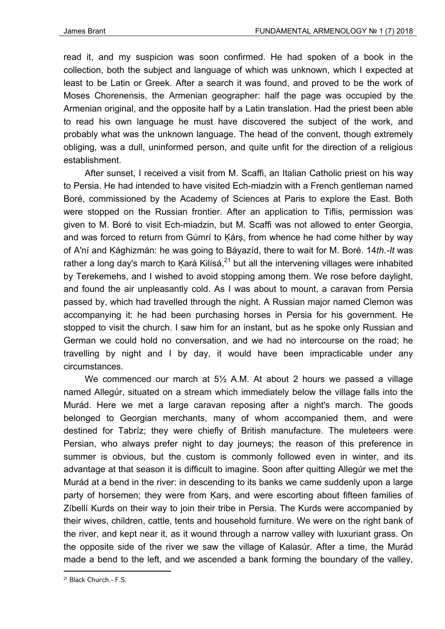read it, and my suspicion was soon confirmed. He had spoken of a book in the collection, both the subject and language of which was unknown, which I expected at least to be Latin or Greek. After a search it was found, and proved to be the work of Moses Chorenensis, the Armenian geographer: half the page was occupied by the Armenian original, and the opposite half by a Latin translation. Had the priest been able to read his own language he must have discovered the subject of the work, and probably what was the unknown language. The head of the convent, though extremely obliging, was a dull, uninformed person, and quite unfit for the direction of a religious establishment.

After sunset, I received a visit from M. Scaffi, an Italian Catholic priest on his way to Persia. He had intended to have visited Ech-miadzin with a French gentleman named Boré, commissioned by the Academy of Sciences at Paris to explore the East. Both were stopped on the Russian frontier. After an application to Tiflis, permission was given to M. Boré to visit Ech-miadzin, but M. Scaffi was not allowed to enter Georgia, and was forced to return from Gúmrí to Kárs, from whence he had come hither by way of A'ní and Ḳághizmán: he was going to Báyazíd, there to wait for M. Boré. 14*th.-It* was rather a long day's march to Kará Kilísá, $^{21}$  but all the intervening villages were inhabited by Terekemehs, and I wished to avoid stopping among them. We rose before daylight, and found the air unpleasantly cold. As I was about to mount, a caravan from Persia passed by, which had travelled through the night. A Russian major named Clemon was accompanying it: he had been purchasing horses in Persia for his government. He stopped to visit the church. I saw him for an instant, but as he spoke only Russian and German we could hold no conversation, and we had no intercourse on the road; he travelling by night and I by day, it would have been impracticable under any circumstances.

We commenced our march at 5½ A.M. At about 2 hours we passed a village named Allegúr, situated on a stream which immediately below the village falls into the Murád. Here we met a large caravan reposing after a night's march. The goods belonged to Georgian merchants, many of whom accompanied them, and were destined for Tabríz; they were chiefly of British manufacture. The muleteers were Persian, who always prefer night to day journeys; the reason of this preference in summer is obvious, but the custom is commonly followed even in winter, and its advantage at that season it is difficult to imagine. Soon after quitting Allegúr we met the Murád at a bend in the river: in descending to its banks we came suddenly upon a large party of horsemen; they were from Kars, and were escorting about fifteen families of Zíbellí Kurds on their way to join their tribe in Persia. The Kurds were accompanied by their wives, children, cattle, tents and household furniture. We were on the right bank of the river, and kept near it, as it wound through a narrow valley with luxuriant grass. On the opposite side of the river we saw the village of Kalasúr. After a time, the Murád made a bend to the left, and we ascended a bank forming the boundary of the valley, <u>.</u>

<sup>21</sup> Black Church.- F.S.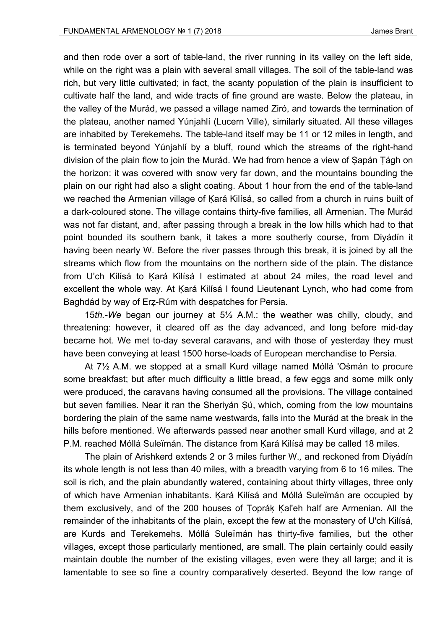and then rode over a sort of table-land, the river running in its valley on the left side, while on the right was a plain with several small villages. The soil of the table-land was rich, but very little cultivated; in fact, the scanty population of the plain is insufficient to cultivate half the land, and wide tracts of fine ground are waste. Below the plateau, in the valley of the Murád, we passed a village named Ziró, and towards the termination of the plateau, another named Yúnjahlí (Lucern Ville), similarly situated. All these villages are inhabited by Terekemehs. The table-land itself may be 11 or 12 miles in length, and is terminated beyond Yúnjahlí by a bluff, round which the streams of the right-hand division of the plain flow to join the Murád. We had from hence a view of Ṣapán Ṭágh on the horizon: it was covered with snow very far down, and the mountains bounding the plain on our right had also a slight coating. About 1 hour from the end of the table-land we reached the Armenian village of Kará Kilísá, so called from a church in ruins built of a dark-coloured stone. The village contains thirty-five families, all Armenian. The Murád was not far distant, and, after passing through a break in the low hills which had to that point bounded its southern bank, it takes a more southerly course, from Diyádín it having been nearly W. Before the river passes through this break, it is joined by all the streams which flow from the mountains on the northern side of the plain. The distance from U'ch Kilísá to Kará Kilísá I estimated at about 24 miles, the road level and excellent the whole way. At Kará Kilísá I found Lieutenant Lynch, who had come from Baghdád by way of Erẓ-Rúm with despatches for Persia.

15*th.-We* began our journey at 5½ A.M.: the weather was chilly, cloudy, and threatening: however, it cleared off as the day advanced, and long before mid-day became hot. We met to-day several caravans, and with those of yesterday they must have been conveying at least 1500 horse-loads of European merchandise to Persia.

At 7½ A.M. we stopped at a small Kurd village named Móllá 'Oṡmán to procure some breakfast; but after much difficulty a little bread, a few eggs and some milk only were produced, the caravans having consumed all the provisions. The village contained but seven families. Near it ran the Sheriyán Ṣú, which, coming from the low mountains bordering the plain of the same name westwards, falls into the Murád at the break in the hills before mentioned. We afterwards passed near another small Kurd village, and at 2 P.M. reached Móllá Suleïmán. The distance from Kará Kilísá may be called 18 miles.

The plain of Arishkerd extends 2 or 3 miles further W.*,* and reckoned from Diyádín its whole length is not less than 40 miles, with a breadth varying from 6 to 16 miles. The soil is rich, and the plain abundantly watered, containing about thirty villages, three only of which have Armenian inhabitants. Kará Kilísá and Móllá Suleïmán are occupied by them exclusively, and of the 200 houses of Ṭopráḳ Ḳal'eh half are Armenian. All the remainder of the inhabitants of the plain, except the few at the monastery of U'ch Kilísá, are Kurds and Terekemehs. Móllá Suleïmán has thirty-five families, but the other villages, except those particularly mentioned, are small. The plain certainly could easily maintain double the number of the existing villages, even were they all large; and it is lamentable to see so fine a country comparatively deserted. Beyond the low range of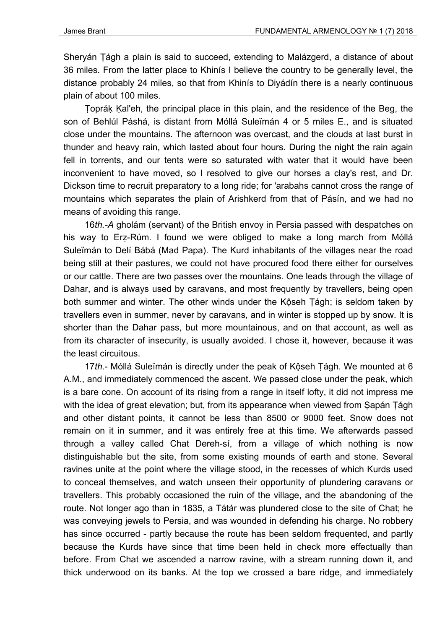Sheryán Ṭágh a plain is said to succeed, extending to Malázgerd, a distance of about 36 miles. From the latter place to Khinís I believe the country to be generally level, the distance probably 24 miles, so that from Khinís to Diyádín there is a nearly continuous plain of about 100 miles.

Ṭopráḳ Ḳal'eh, the principal place in this plain, and the residence of the Beg, the son of Behlúl Páshá, is distant from Móllá Suleïmán 4 or 5 miles E., and is situated close under the mountains. The afternoon was overcast, and the clouds at last burst in thunder and heavy rain, which lasted about four hours. During the night the rain again fell in torrents, and our tents were so saturated with water that it would have been inconvenient to have moved, so I resolved to give our horses a clay's rest, and Dr. Dickson time to recruit preparatory to a long ride; for 'arabahs cannot cross the range of mountains which separates the plain of Arishkerd from that of Pásín, and we had no means of avoiding this range.

16*th.-A* gholám (servant) of the British envoy in Persia passed with despatches on his way to Erẓ-Rúm. I found we were obliged to make a long march from Móllá Suleïmán to Delí Bábá (Mad Papa). The Kurd inhabitants of the villages near the road being still at their pastures, we could not have procured food there either for ourselves or our cattle. There are two passes over the mountains. One leads through the village of Dahar, and is always used by caravans, and most frequently by travellers, being open both summer and winter. The other winds under the Kộseh Ṭágh; is seldom taken by travellers even in summer, never by caravans, and in winter is stopped up by snow. It is shorter than the Dahar pass, but more mountainous, and on that account, as well as from its character of insecurity, is usually avoided. I chose it, however, because it was the least circuitous.

17*th*.- Móllá Suleïmán is directly under the peak of Kộseh Ṭágh. We mounted at 6 A.M., and immediately commenced the ascent. We passed close under the peak, which is a bare cone. On account of its rising from a range in itself lofty, it did not impress me with the idea of great elevation; but, from its appearance when viewed from Ṣapán Ṭágh and other distant points, it cannot be less than 8500 or 9000 feet. Snow does not remain on it in summer, and it was entirely free at this time. We afterwards passed through a valley called Chat Dereh-sí, from a village of which nothing is now distinguishable but the site, from some existing mounds of earth and stone. Several ravines unite at the point where the village stood, in the recesses of which Kurds used to conceal themselves, and watch unseen their opportunity of plundering caravans or travellers. This probably occasioned the ruin of the village, and the abandoning of the route. Not longer ago than in 1835, a Tátár was plundered close to the site of Chat; he was conveying jewels to Persia, and was wounded in defending his charge. No robbery has since occurred - partly because the route has been seldom frequented, and partly because the Kurds have since that time been held in check more effectually than before. From Chat we ascended a narrow ravine, with a stream running down it, and thick underwood on its banks. At the top we crossed a bare ridge, and immediately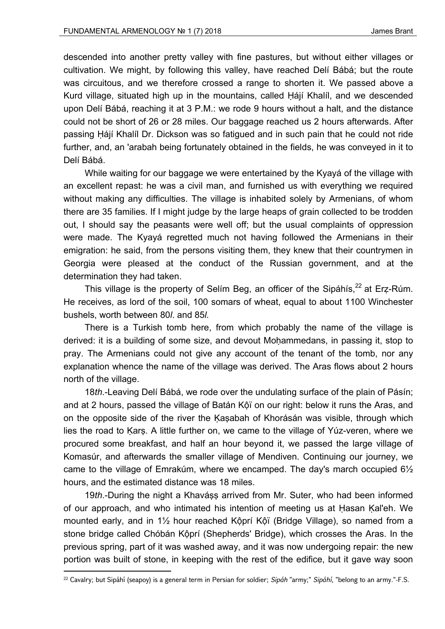descended into another pretty valley with fine pastures, but without either villages or cultivation. We might, by following this valley, have reached Delí Bábá; but the route was circuitous, and we therefore crossed a range to shorten it. We passed above a Kurd village, situated high up in the mountains, called Ḥájí Khalíl, and we descended upon Delí Bábá, reaching it at 3 P.M.: we rode 9 hours without a halt, and the distance could not be short of 26 or 28 miles. Our baggage reached us 2 hours afterwards. After passing Ḥájí Khalíl Dr. Dickson was so fatigued and in such pain that he could not ride further, and, an 'arabah being fortunately obtained in the fields, he was conveyed in it to Delí Bábá.

While waiting for our baggage we were entertained by the Kyayá of the village with an excellent repast: he was a civil man, and furnished us with everything we required without making any difficulties. The village is inhabited solely by Armenians, of whom there are 35 families. If I might judge by the large heaps of grain collected to be trodden out, I should say the peasants were well off; but the usual complaints of oppression were made. The Kyayá regretted much not having followed the Armenians in their emigration: he said, from the persons visiting them, they knew that their countrymen in Georgia were pleased at the conduct of the Russian government, and at the determination they had taken.

This village is the property of Selím Beg, an officer of the Sipáhís,<sup>22</sup> at Erz-Rúm. He receives, as lord of the soil, 100 somars of wheat, equal to about 1100 Winchester bushels, worth between 80*l*. and 85*l.*

There is a Turkish tomb here, from which probably the name of the village is derived: it is a building of some size, and devout Mohammedans, in passing it, stop to pray. The Armenians could not give any account of the tenant of the tomb, nor any explanation whence the name of the village was derived. The Aras flows about 2 hours north of the village.

18*th*.-Leaving Delí Bábá, we rode over the undulating surface of the plain of Pásín; and at 2 hours, passed the village of Batán Kộï on our right: below it runs the Aras, and on the opposite side of the river the Ḳaṣabah of Khorásán was visible, through which lies the road to Kars. A little further on, we came to the village of Yúz-veren, where we procured some breakfast, and half an hour beyond it, we passed the large village of Komasúr, and afterwards the smaller village of Mendiven. Continuing our journey, we came to the village of Emrakúm, where we encamped. The day's march occupied 6½ hours, and the estimated distance was 18 miles.

19th.-During the night a Khaváss arrived from Mr. Suter, who had been informed of our approach, and who intimated his intention of meeting us at Ḥasan Ḳal'eh. We mounted early, and in 1½ hour reached Kộprí Kộï (Bridge Village), so named from a stone bridge called Chóbán Kộprí (Shepherds' Bridge), which crosses the Aras. In the previous spring, part of it was washed away, and it was now undergoing repair: the new portion was built of stone, in keeping with the rest of the edifice, but it gave way soon

<u>.</u>

<sup>22</sup> Cavalry; but Sipáhí (seapoy) is a general term in Persian for soldier; *Sipáh* "army;" *Sipáhí,* "belong to an army."-F.S.